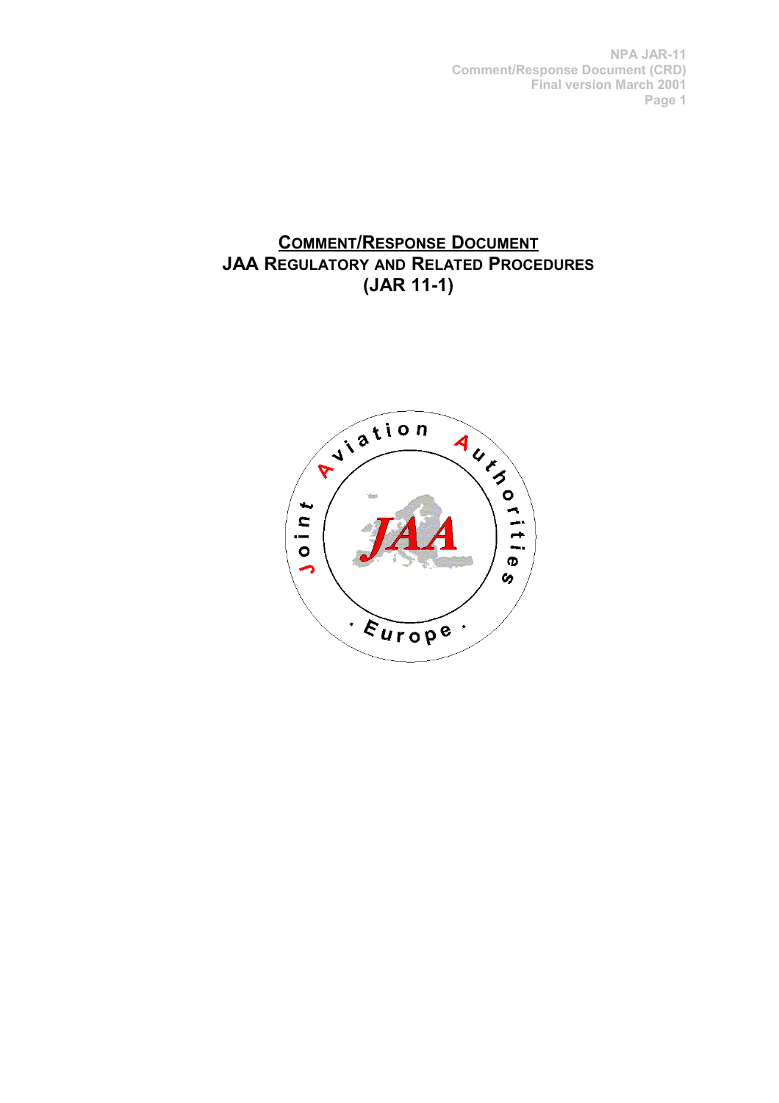# **COMMENT/RESPONSE DOCUMENT JAA REGULATORY AND RELATED PROCEDURES (JAR 11-1)**

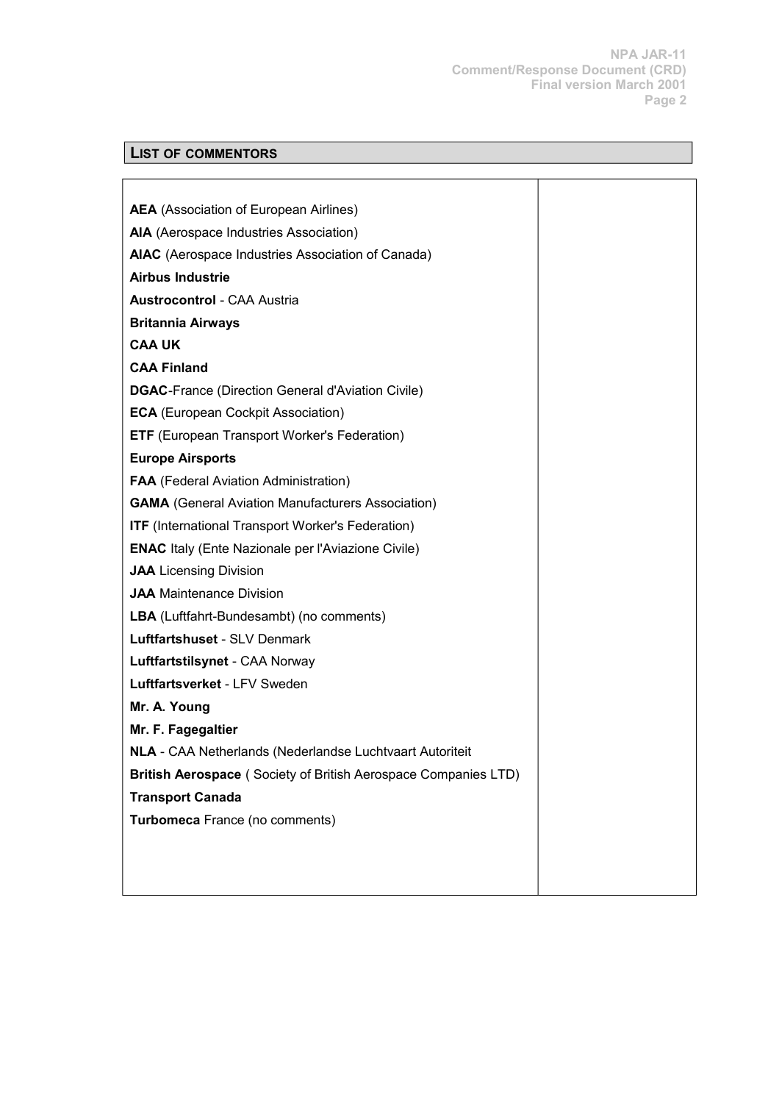**NPA JAR-11 Comment/Response Document (CRD) Final version March 2001 Page 2**

# **LIST OF COMMENTORS**

| <b>AEA</b> (Association of European Airlines)                   |  |
|-----------------------------------------------------------------|--|
| AIA (Aerospace Industries Association)                          |  |
| AIAC (Aerospace Industries Association of Canada)               |  |
| <b>Airbus Industrie</b>                                         |  |
| <b>Austrocontrol - CAA Austria</b>                              |  |
| <b>Britannia Airways</b>                                        |  |
| <b>CAA UK</b>                                                   |  |
| <b>CAA Finland</b>                                              |  |
| <b>DGAC-France (Direction General d'Aviation Civile)</b>        |  |
| <b>ECA</b> (European Cockpit Association)                       |  |
| <b>ETF</b> (European Transport Worker's Federation)             |  |
| <b>Europe Airsports</b>                                         |  |
| <b>FAA</b> (Federal Aviation Administration)                    |  |
| <b>GAMA</b> (General Aviation Manufacturers Association)        |  |
| <b>ITF</b> (International Transport Worker's Federation)        |  |
| <b>ENAC</b> Italy (Ente Nazionale per l'Aviazione Civile)       |  |
| <b>JAA</b> Licensing Division                                   |  |
| <b>JAA</b> Maintenance Division                                 |  |
| LBA (Luftfahrt-Bundesambt) (no comments)                        |  |
| Luftfartshuset - SLV Denmark                                    |  |
| Luftfartstilsynet - CAA Norway                                  |  |
| Luftfartsverket - LFV Sweden                                    |  |
| Mr. A. Young                                                    |  |
| Mr. F. Fagegaltier                                              |  |
| <b>NLA</b> - CAA Netherlands (Nederlandse Luchtvaart Autoriteit |  |
| British Aerospace (Society of British Aerospace Companies LTD)  |  |
| <b>Transport Canada</b>                                         |  |
| Turbomeca France (no comments)                                  |  |
|                                                                 |  |
|                                                                 |  |
|                                                                 |  |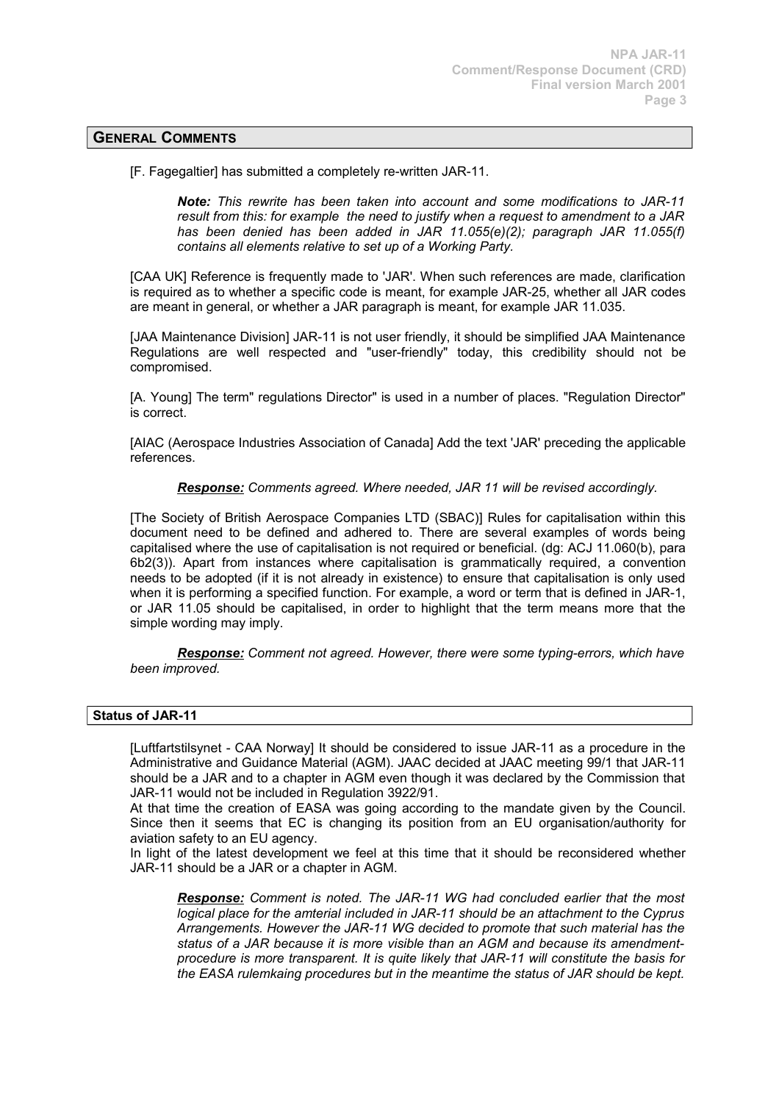# **GENERAL COMMENTS**

[F. Fagegaltier] has submitted a completely re-written JAR-11.

*Note: This rewrite has been taken into account and some modifications to JAR-11 result from this: for example the need to justify when a request to amendment to a JAR has been denied has been added in JAR 11.055(e)(2); paragraph JAR 11.055(f) contains all elements relative to set up of a Working Party.*

[CAA UK] Reference is frequently made to 'JAR'. When such references are made, clarification is required as to whether a specific code is meant, for example JAR-25, whether all JAR codes are meant in general, or whether a JAR paragraph is meant, for example JAR 11.035.

[JAA Maintenance Division] JAR-11 is not user friendly, it should be simplified JAA Maintenance Regulations are well respected and "user-friendly" today, this credibility should not be compromised.

[A. Young] The term" regulations Director" is used in a number of places. "Regulation Director" is correct.

[AIAC (Aerospace Industries Association of Canada] Add the text 'JAR' preceding the applicable references.

*Response: Comments agreed. Where needed, JAR 11 will be revised accordingly.*

[The Society of British Aerospace Companies LTD (SBAC)] Rules for capitalisation within this document need to be defined and adhered to. There are several examples of words being capitalised where the use of capitalisation is not required or beneficial. (dg: ACJ 11.060(b), para 6b2(3)). Apart from instances where capitalisation is grammatically required, a convention needs to be adopted (if it is not already in existence) to ensure that capitalisation is only used when it is performing a specified function. For example, a word or term that is defined in JAR-1, or JAR 11.05 should be capitalised, in order to highlight that the term means more that the simple wording may imply.

*Response: Comment not agreed. However, there were some typing-errors, which have been improved.*

# **Status of JAR-11**

[Luftfartstilsynet - CAA Norway] It should be considered to issue JAR-11 as a procedure in the Administrative and Guidance Material (AGM). JAAC decided at JAAC meeting 99/1 that JAR-11 should be a JAR and to a chapter in AGM even though it was declared by the Commission that JAR-11 would not be included in Regulation 3922/91.

At that time the creation of EASA was going according to the mandate given by the Council. Since then it seems that EC is changing its position from an EU organisation/authority for aviation safety to an EU agency.

In light of the latest development we feel at this time that it should be reconsidered whether JAR-11 should be a JAR or a chapter in AGM.

*Response: Comment is noted. The JAR-11 WG had concluded earlier that the most logical place for the amterial included in JAR-11 should be an attachment to the Cyprus Arrangements. However the JAR-11 WG decided to promote that such material has the status of a JAR because it is more visible than an AGM and because its amendmentprocedure is more transparent. It is quite likely that JAR-11 will constitute the basis for the EASA rulemkaing procedures but in the meantime the status of JAR should be kept.*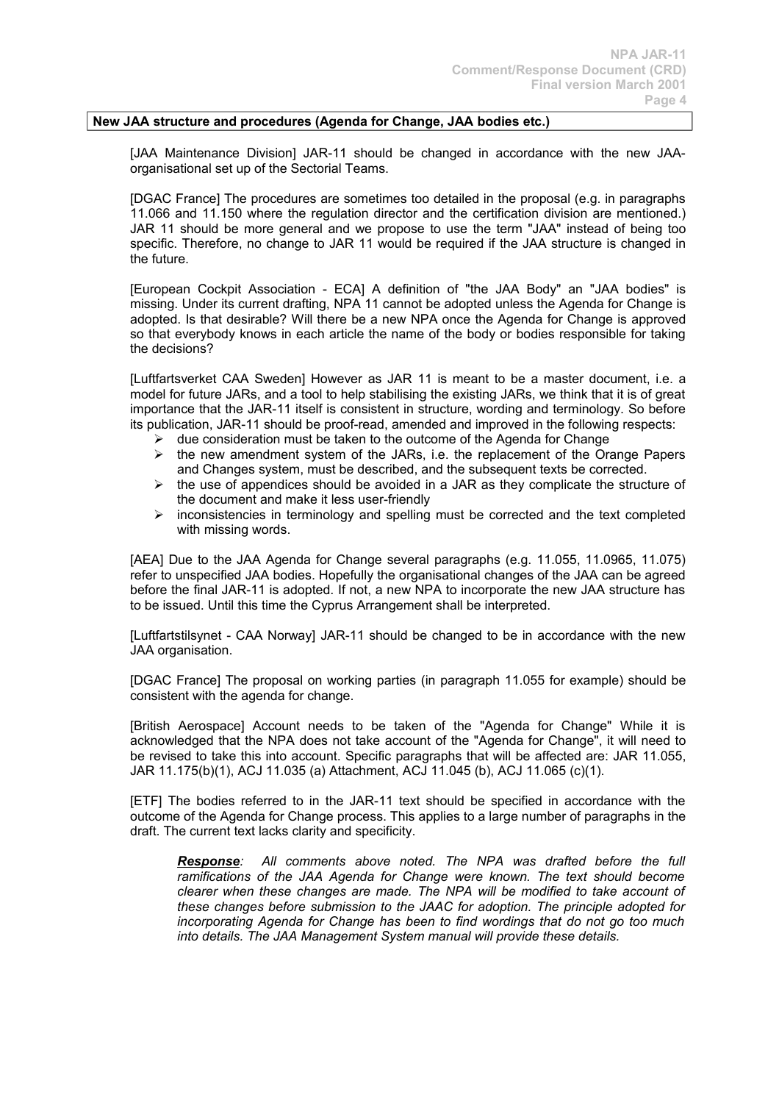### **New JAA structure and procedures (Agenda for Change, JAA bodies etc.)**

[JAA Maintenance Division] JAR-11 should be changed in accordance with the new JAAorganisational set up of the Sectorial Teams.

[DGAC France] The procedures are sometimes too detailed in the proposal (e.g. in paragraphs 11.066 and 11.150 where the regulation director and the certification division are mentioned.) JAR 11 should be more general and we propose to use the term "JAA" instead of being too specific. Therefore, no change to JAR 11 would be required if the JAA structure is changed in the future.

[European Cockpit Association - ECA] A definition of "the JAA Body" an "JAA bodies" is missing. Under its current drafting, NPA 11 cannot be adopted unless the Agenda for Change is adopted. Is that desirable? Will there be a new NPA once the Agenda for Change is approved so that everybody knows in each article the name of the body or bodies responsible for taking the decisions?

[Luftfartsverket CAA Sweden] However as JAR 11 is meant to be a master document, i.e. a model for future JARs, and a tool to help stabilising the existing JARs, we think that it is of great importance that the JAR-11 itself is consistent in structure, wording and terminology. So before its publication, JAR-11 should be proof-read, amended and improved in the following respects:

- $\triangleright$  due consideration must be taken to the outcome of the Agenda for Change
- $\triangleright$  the new amendment system of the JARs, i.e. the replacement of the Orange Papers and Changes system, must be described, and the subsequent texts be corrected.
- $\triangleright$  the use of appendices should be avoided in a JAR as they complicate the structure of the document and make it less user-friendly
- $\triangleright$  inconsistencies in terminology and spelling must be corrected and the text completed with missing words.

[AEA] Due to the JAA Agenda for Change several paragraphs (e.g. 11.055, 11.0965, 11.075) refer to unspecified JAA bodies. Hopefully the organisational changes of the JAA can be agreed before the final JAR-11 is adopted. If not, a new NPA to incorporate the new JAA structure has to be issued. Until this time the Cyprus Arrangement shall be interpreted.

[Luftfartstilsynet - CAA Norway] JAR-11 should be changed to be in accordance with the new JAA organisation.

[DGAC France] The proposal on working parties (in paragraph 11.055 for example) should be consistent with the agenda for change.

[British Aerospace] Account needs to be taken of the "Agenda for Change" While it is acknowledged that the NPA does not take account of the "Agenda for Change", it will need to be revised to take this into account. Specific paragraphs that will be affected are: JAR 11.055, JAR 11.175(b)(1), ACJ 11.035 (a) Attachment, ACJ 11.045 (b), ACJ 11.065 (c)(1).

[ETF] The bodies referred to in the JAR-11 text should be specified in accordance with the outcome of the Agenda for Change process. This applies to a large number of paragraphs in the draft. The current text lacks clarity and specificity.

*Response: All comments above noted. The NPA was drafted before the full ramifications of the JAA Agenda for Change were known. The text should become clearer when these changes are made. The NPA will be modified to take account of these changes before submission to the JAAC for adoption. The principle adopted for incorporating Agenda for Change has been to find wordings that do not go too much into details. The JAA Management System manual will provide these details.*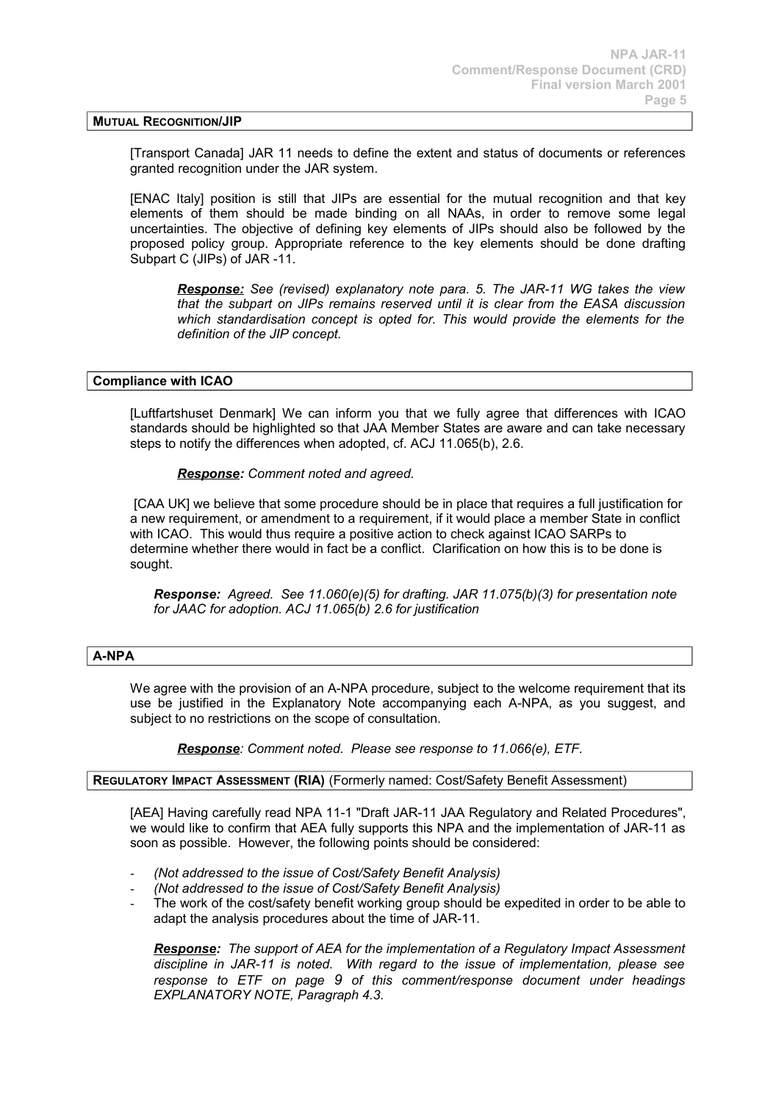#### **MUTUAL RECOGNITION/JIP**

[Transport Canada] JAR 11 needs to define the extent and status of documents or references granted recognition under the JAR system.

[ENAC Italy] position is still that JIPs are essential for the mutual recognition and that key elements of them should be made binding on all NAAs, in order to remove some legal uncertainties. The objective of defining key elements of JIPs should also be followed by the proposed policy group. Appropriate reference to the key elements should be done drafting Subpart C (JIPs) of JAR -11.

 *Response: See (revised) explanatory note para. 5. The JAR-11 WG takes the view that the subpart on JIPs remains reserved until it is clear from the EASA discussion which standardisation concept is opted for. This would provide the elements for the definition of the JIP concept.*

### **Compliance with ICAO**

[Luftfartshuset Denmark] We can inform you that we fully agree that differences with ICAO standards should be highlighted so that JAA Member States are aware and can take necessary steps to notify the differences when adopted, cf. ACJ 11.065(b), 2.6.

 *Response: Comment noted and agreed.*

[CAA UK] we believe that some procedure should be in place that requires a full justification for a new requirement, or amendment to a requirement, if it would place a member State in conflict with ICAO. This would thus require a positive action to check against ICAO SARPs to determine whether there would in fact be a conflict. Clarification on how this is to be done is sought.

*Response: Agreed. See 11.060(e)(5) for drafting. JAR 11.075(b)(3) for presentation note for JAAC for adoption. ACJ 11.065(b) 2.6 for justification*

### **A-NPA**

We agree with the provision of an A-NPA procedure, subject to the welcome requirement that its use be justified in the Explanatory Note accompanying each A-NPA, as you suggest, and subject to no restrictions on the scope of consultation.

*Response: Comment noted. Please see response to 11.066(e), ETF.*

# **REGULATORY IMPACT ASSESSMENT (RIA)** (Formerly named: Cost/Safety Benefit Assessment)

[AEA] Having carefully read NPA 11-1 "Draft JAR-11 JAA Regulatory and Related Procedures", we would like to confirm that AEA fully supports this NPA and the implementation of JAR-11 as soon as possible. However, the following points should be considered:

- *(Not addressed to the issue of Cost/Safety Benefit Analysis)*
- *(Not addressed to the issue of Cost/Safety Benefit Analysis)*
- The work of the cost/safety benefit working group should be expedited in order to be able to adapt the analysis procedures about the time of JAR-11.

*Response: The support of AEA for the implementation of a Regulatory Impact Assessment discipline in JAR-11 is noted. With regard to the issue of implementation, please see response to ETF on page 9 of this comment/response document under headings EXPLANATORY NOTE, Paragraph 4.3.*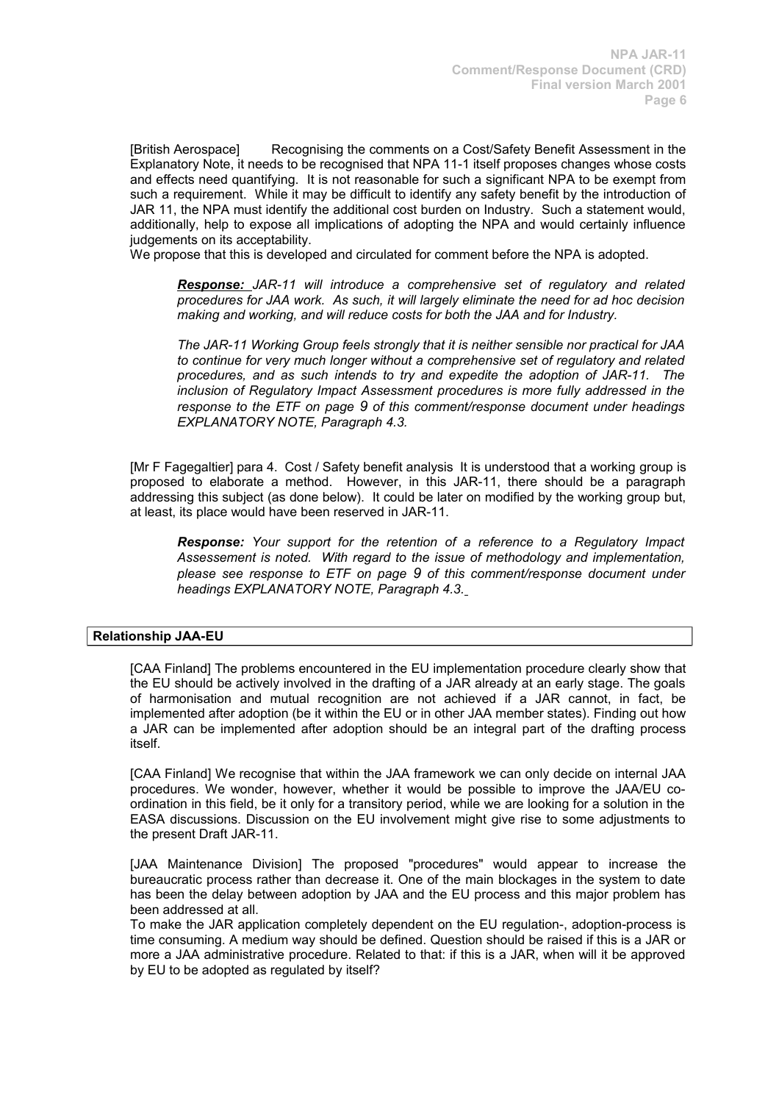[British Aerospace] Recognising the comments on a Cost/Safety Benefit Assessment in the Explanatory Note, it needs to be recognised that NPA 11-1 itself proposes changes whose costs and effects need quantifying. It is not reasonable for such a significant NPA to be exempt from such a requirement. While it may be difficult to identify any safety benefit by the introduction of JAR 11, the NPA must identify the additional cost burden on Industry. Such a statement would, additionally, help to expose all implications of adopting the NPA and would certainly influence judgements on its acceptability.

We propose that this is developed and circulated for comment before the NPA is adopted.

*Response: JAR-11 will introduce a comprehensive set of regulatory and related procedures for JAA work. As such, it will largely eliminate the need for ad hoc decision making and working, and will reduce costs for both the JAA and for Industry.*

*The JAR-11 Working Group feels strongly that it is neither sensible nor practical for JAA to continue for very much longer without a comprehensive set of regulatory and related procedures, and as such intends to try and expedite the adoption of JAR-11. The inclusion of Regulatory Impact Assessment procedures is more fully addressed in the response to the ETF on page 9 of this comment/response document under headings EXPLANATORY NOTE, Paragraph 4.3.*

[Mr F Fagegaltier] para 4. Cost / Safety benefit analysis It is understood that a working group is proposed to elaborate a method. However, in this JAR-11, there should be a paragraph addressing this subject (as done below). It could be later on modified by the working group but, at least, its place would have been reserved in JAR-11.

*Response: Your support for the retention of a reference to a Regulatory Impact Assessement is noted. With regard to the issue of methodology and implementation, please see response to ETF on page 9 of this comment/response document under headings EXPLANATORY NOTE, Paragraph 4.3.*

### **Relationship JAA-EU**

[CAA Finland] The problems encountered in the EU implementation procedure clearly show that the EU should be actively involved in the drafting of a JAR already at an early stage. The goals of harmonisation and mutual recognition are not achieved if a JAR cannot, in fact, be implemented after adoption (be it within the EU or in other JAA member states). Finding out how a JAR can be implemented after adoption should be an integral part of the drafting process itself.

[CAA Finland] We recognise that within the JAA framework we can only decide on internal JAA procedures. We wonder, however, whether it would be possible to improve the JAA/EU coordination in this field, be it only for a transitory period, while we are looking for a solution in the EASA discussions. Discussion on the EU involvement might give rise to some adjustments to the present Draft JAR-11.

[JAA Maintenance Division] The proposed "procedures" would appear to increase the bureaucratic process rather than decrease it. One of the main blockages in the system to date has been the delay between adoption by JAA and the EU process and this major problem has been addressed at all.

To make the JAR application completely dependent on the EU regulation-, adoption-process is time consuming. A medium way should be defined. Question should be raised if this is a JAR or more a JAA administrative procedure. Related to that: if this is a JAR, when will it be approved by EU to be adopted as regulated by itself?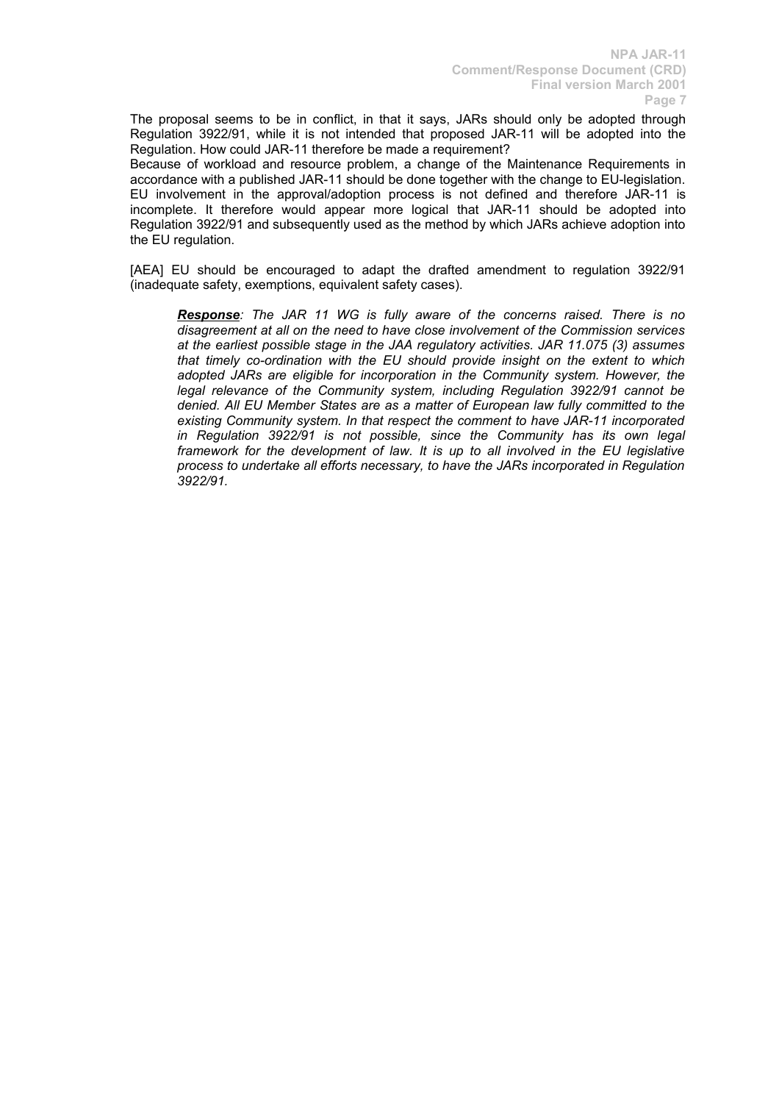The proposal seems to be in conflict, in that it says, JARs should only be adopted through Regulation 3922/91, while it is not intended that proposed JAR-11 will be adopted into the Regulation. How could JAR-11 therefore be made a requirement?

Because of workload and resource problem, a change of the Maintenance Requirements in accordance with a published JAR-11 should be done together with the change to EU-legislation. EU involvement in the approval/adoption process is not defined and therefore JAR-11 is incomplete. It therefore would appear more logical that JAR-11 should be adopted into Regulation 3922/91 and subsequently used as the method by which JARs achieve adoption into the EU regulation.

[AEA] EU should be encouraged to adapt the drafted amendment to regulation 3922/91 (inadequate safety, exemptions, equivalent safety cases).

*Response: The JAR 11 WG is fully aware of the concerns raised. There is no disagreement at all on the need to have close involvement of the Commission services at the earliest possible stage in the JAA regulatory activities. JAR 11.075 (3) assumes that timely co-ordination with the EU should provide insight on the extent to which adopted JARs are eligible for incorporation in the Community system. However, the legal relevance of the Community system, including Regulation 3922/91 cannot be denied. All EU Member States are as a matter of European law fully committed to the existing Community system. In that respect the comment to have JAR-11 incorporated in Regulation 3922/91 is not possible, since the Community has its own legal framework for the development of law. It is up to all involved in the EU legislative process to undertake all efforts necessary, to have the JARs incorporated in Regulation 3922/91.*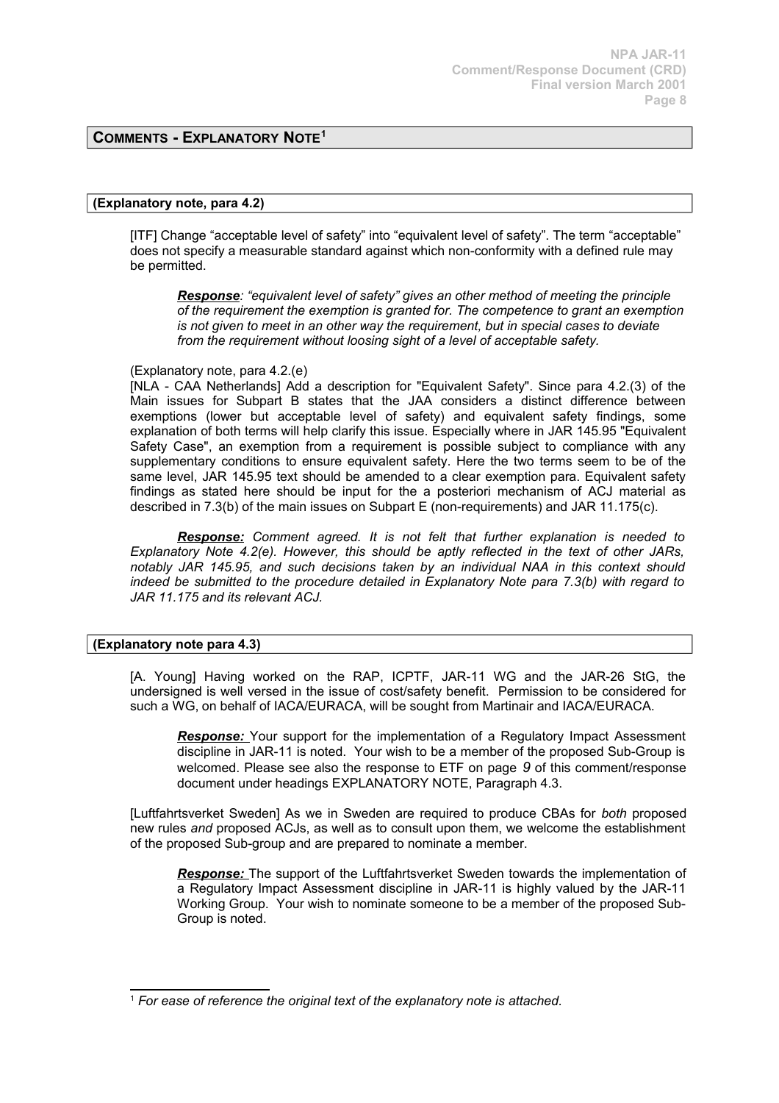# **COMMENTS - EXPLANATORY NOTE[1](#page-7-0)**

### **(Explanatory note, para 4.2)**

[ITF] Change "acceptable level of safety" into "equivalent level of safety". The term "acceptable" does not specify a measurable standard against which non-conformity with a defined rule may be permitted.

*Response: "equivalent level of safety" gives an other method of meeting the principle of the requirement the exemption is granted for. The competence to grant an exemption is not given to meet in an other way the requirement, but in special cases to deviate from the requirement without loosing sight of a level of acceptable safety.*

#### (Explanatory note, para 4.2.(e)

[NLA - CAA Netherlands] Add a description for "Equivalent Safety". Since para 4.2.(3) of the Main issues for Subpart B states that the JAA considers a distinct difference between exemptions (lower but acceptable level of safety) and equivalent safety findings, some explanation of both terms will help clarify this issue. Especially where in JAR 145.95 "Equivalent Safety Case", an exemption from a requirement is possible subject to compliance with any supplementary conditions to ensure equivalent safety. Here the two terms seem to be of the same level, JAR 145.95 text should be amended to a clear exemption para. Equivalent safety findings as stated here should be input for the a posteriori mechanism of ACJ material as described in 7.3(b) of the main issues on Subpart E (non-requirements) and JAR 11.175(c).

*Response: Comment agreed. It is not felt that further explanation is needed to Explanatory Note 4.2(e). However, this should be aptly reflected in the text of other JARs, notably JAR 145.95, and such decisions taken by an individual NAA in this context should indeed be submitted to the procedure detailed in Explanatory Note para 7.3(b) with regard to JAR 11.175 and its relevant ACJ.*

### **(Explanatory note para 4.3)**

[A. Young] Having worked on the RAP, ICPTF, JAR-11 WG and the JAR-26 StG, the undersigned is well versed in the issue of cost/safety benefit. Permission to be considered for such a WG, on behalf of IACA/EURACA, will be sought from Martinair and IACA/EURACA.

**Response:** Your support for the implementation of a Regulatory Impact Assessment discipline in JAR-11 is noted. Your wish to be a member of the proposed Sub-Group is welcomed. Please see also the response to ETF on page *9* of this comment/response document under headings EXPLANATORY NOTE, Paragraph 4.3.

[Luftfahrtsverket Sweden] As we in Sweden are required to produce CBAs for *both* proposed new rules *and* proposed ACJs, as well as to consult upon them, we welcome the establishment of the proposed Sub-group and are prepared to nominate a member.

*Response:* The support of the Luftfahrtsverket Sweden towards the implementation of a Regulatory Impact Assessment discipline in JAR-11 is highly valued by the JAR-11 Working Group. Your wish to nominate someone to be a member of the proposed Sub-Group is noted.

<span id="page-7-0"></span><sup>1</sup> *For ease of reference the original text of the explanatory note is attached.*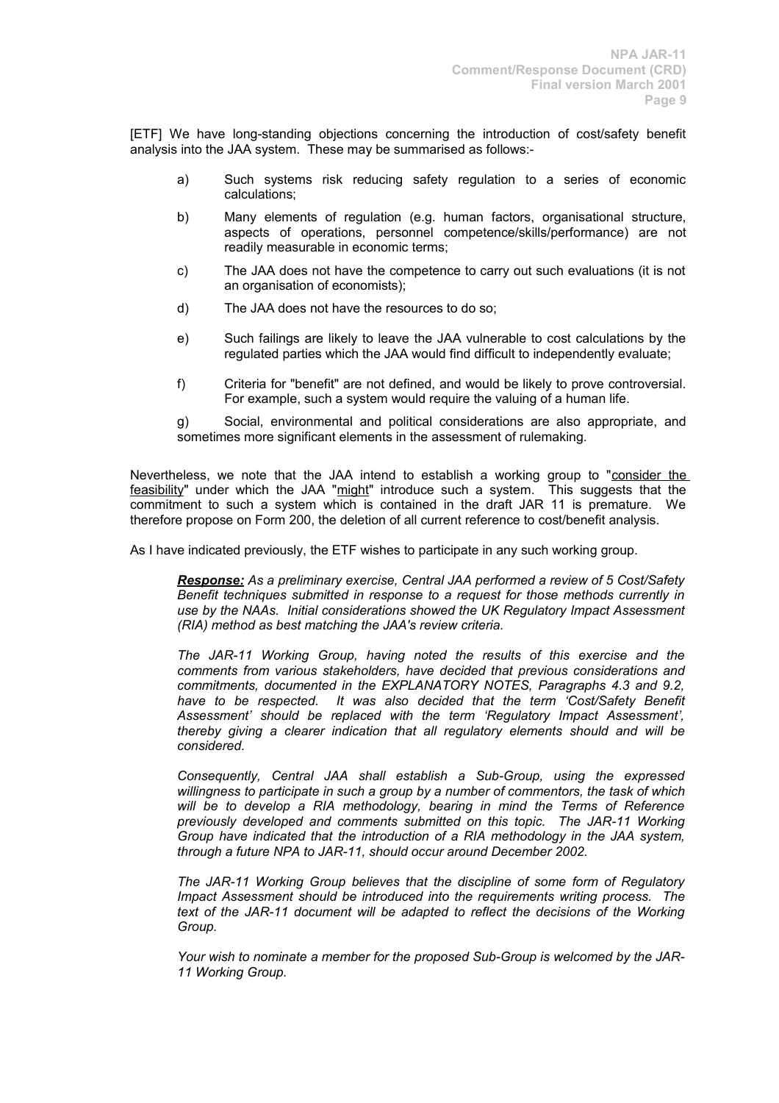[ETF] We have long-standing objections concerning the introduction of cost/safety benefit analysis into the JAA system. These may be summarised as follows:-

- a) Such systems risk reducing safety regulation to a series of economic calculations;
- b) Many elements of regulation (e.g. human factors, organisational structure, aspects of operations, personnel competence/skills/performance) are not readily measurable in economic terms;
- c) The JAA does not have the competence to carry out such evaluations (it is not an organisation of economists);
- d) The JAA does not have the resources to do so;
- e) Such failings are likely to leave the JAA vulnerable to cost calculations by the regulated parties which the JAA would find difficult to independently evaluate;
- f) Criteria for "benefit" are not defined, and would be likely to prove controversial. For example, such a system would require the valuing of a human life.

g) Social, environmental and political considerations are also appropriate, and sometimes more significant elements in the assessment of rulemaking.

Nevertheless, we note that the JAA intend to establish a working group to "consider the feasibility" under which the JAA "might" introduce such a system. This suggests that the commitment to such a system which is contained in the draft JAR 11 is premature. We therefore propose on Form 200, the deletion of all current reference to cost/benefit analysis.

As I have indicated previously, the ETF wishes to participate in any such working group.

*Response: As a preliminary exercise, Central JAA performed a review of 5 Cost/Safety Benefit techniques submitted in response to a request for those methods currently in use by the NAAs. Initial considerations showed the UK Regulatory Impact Assessment (RIA) method as best matching the JAA's review criteria.*

*The JAR-11 Working Group, having noted the results of this exercise and the comments from various stakeholders, have decided that previous considerations and commitments, documented in the EXPLANATORY NOTES, Paragraphs 4.3 and 9.2, have to be respected. It was also decided that the term 'Cost/Safety Benefit Assessment' should be replaced with the term 'Regulatory Impact Assessment', thereby giving a clearer indication that all regulatory elements should and will be considered.*

*Consequently, Central JAA shall establish a Sub-Group, using the expressed willingness to participate in such a group by a number of commentors, the task of which will be to develop a RIA methodology, bearing in mind the Terms of Reference previously developed and comments submitted on this topic. The JAR-11 Working Group have indicated that the introduction of a RIA methodology in the JAA system, through a future NPA to JAR-11, should occur around December 2002.*

*The JAR-11 Working Group believes that the discipline of some form of Regulatory Impact Assessment should be introduced into the requirements writing process. The text of the JAR-11 document will be adapted to reflect the decisions of the Working Group.*

*Your wish to nominate a member for the proposed Sub-Group is welcomed by the JAR-11 Working Group.*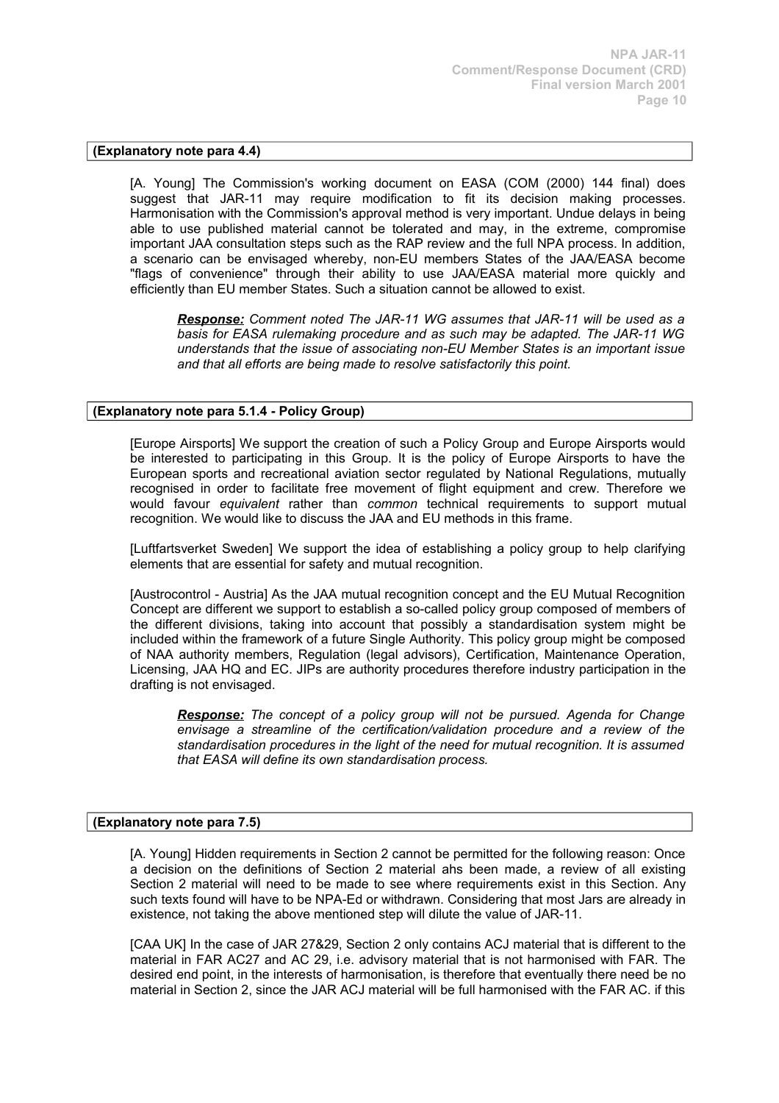### **(Explanatory note para 4.4)**

[A. Young] The Commission's working document on EASA (COM (2000) 144 final) does suggest that JAR-11 may require modification to fit its decision making processes. Harmonisation with the Commission's approval method is very important. Undue delays in being able to use published material cannot be tolerated and may, in the extreme, compromise important JAA consultation steps such as the RAP review and the full NPA process. In addition, a scenario can be envisaged whereby, non-EU members States of the JAA/EASA become "flags of convenience" through their ability to use JAA/EASA material more quickly and efficiently than EU member States. Such a situation cannot be allowed to exist.

*Response: Comment noted The JAR-11 WG assumes that JAR-11 will be used as a basis for EASA rulemaking procedure and as such may be adapted. The JAR-11 WG understands that the issue of associating non-EU Member States is an important issue and that all efforts are being made to resolve satisfactorily this point.*

# **(Explanatory note para 5.1.4 - Policy Group)**

[Europe Airsports] We support the creation of such a Policy Group and Europe Airsports would be interested to participating in this Group. It is the policy of Europe Airsports to have the European sports and recreational aviation sector regulated by National Regulations, mutually recognised in order to facilitate free movement of flight equipment and crew. Therefore we would favour *equivalent* rather than *common* technical requirements to support mutual recognition. We would like to discuss the JAA and EU methods in this frame.

[Luftfartsverket Sweden] We support the idea of establishing a policy group to help clarifying elements that are essential for safety and mutual recognition.

[Austrocontrol - Austria] As the JAA mutual recognition concept and the EU Mutual Recognition Concept are different we support to establish a so-called policy group composed of members of the different divisions, taking into account that possibly a standardisation system might be included within the framework of a future Single Authority. This policy group might be composed of NAA authority members, Regulation (legal advisors), Certification, Maintenance Operation, Licensing, JAA HQ and EC. JIPs are authority procedures therefore industry participation in the drafting is not envisaged.

*Response: The concept of a policy group will not be pursued. Agenda for Change envisage a streamline of the certification/validation procedure and a review of the standardisation procedures in the light of the need for mutual recognition. It is assumed that EASA will define its own standardisation process.*

### **(Explanatory note para 7.5)**

[A. Young] Hidden requirements in Section 2 cannot be permitted for the following reason: Once a decision on the definitions of Section 2 material ahs been made, a review of all existing Section 2 material will need to be made to see where requirements exist in this Section. Any such texts found will have to be NPA-Ed or withdrawn. Considering that most Jars are already in existence, not taking the above mentioned step will dilute the value of JAR-11.

[CAA UK] In the case of JAR 27&29, Section 2 only contains ACJ material that is different to the material in FAR AC27 and AC 29, i.e. advisory material that is not harmonised with FAR. The desired end point, in the interests of harmonisation, is therefore that eventually there need be no material in Section 2, since the JAR ACJ material will be full harmonised with the FAR AC. if this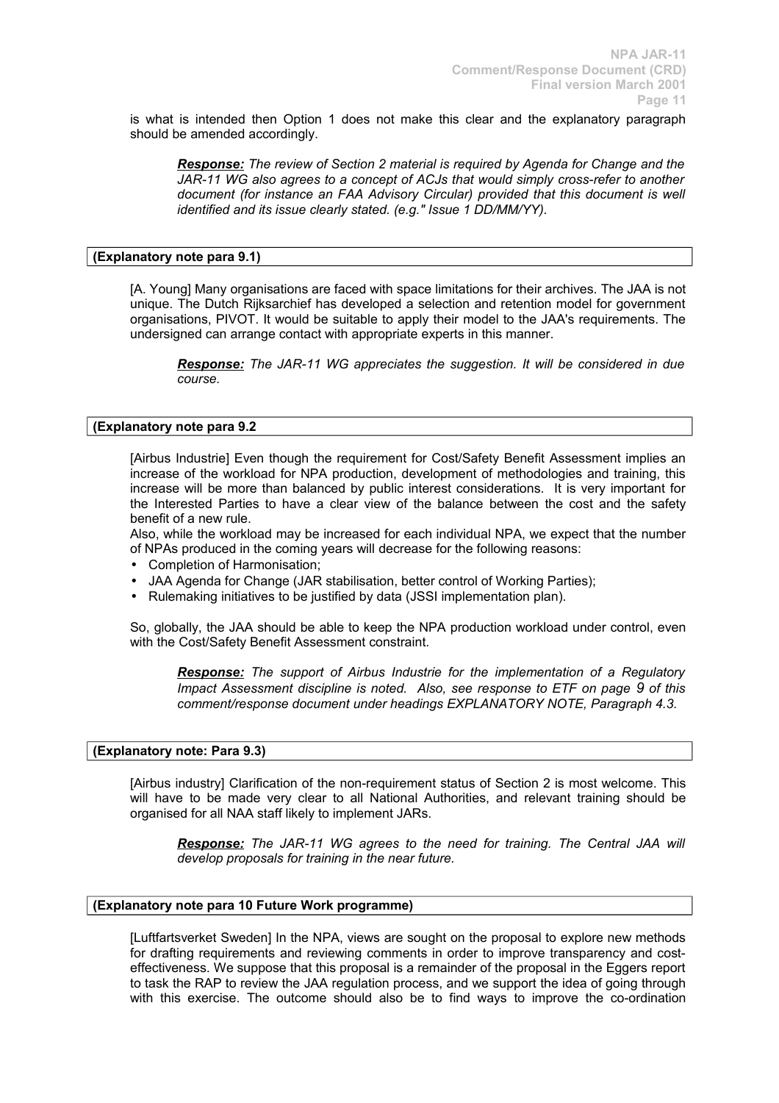is what is intended then Option 1 does not make this clear and the explanatory paragraph should be amended accordingly.

*Response: The review of Section 2 material is required by Agenda for Change and the JAR-11 WG also agrees to a concept of ACJs that would simply cross-refer to another document (for instance an FAA Advisory Circular) provided that this document is well identified and its issue clearly stated. (e.g." Issue 1 DD/MM/YY).*

# **(Explanatory note para 9.1)**

[A. Young] Many organisations are faced with space limitations for their archives. The JAA is not unique. The Dutch Rijksarchief has developed a selection and retention model for government organisations, PIVOT. It would be suitable to apply their model to the JAA's requirements. The undersigned can arrange contact with appropriate experts in this manner.

*Response: The JAR-11 WG appreciates the suggestion. It will be considered in due course.*

### **(Explanatory note para 9.2**

[Airbus Industrie] Even though the requirement for Cost/Safety Benefit Assessment implies an increase of the workload for NPA production, development of methodologies and training, this increase will be more than balanced by public interest considerations. It is very important for the Interested Parties to have a clear view of the balance between the cost and the safety benefit of a new rule.

Also, while the workload may be increased for each individual NPA, we expect that the number of NPAs produced in the coming years will decrease for the following reasons:

- Completion of Harmonisation;
- JAA Agenda for Change (JAR stabilisation, better control of Working Parties);
- Rulemaking initiatives to be justified by data (JSSI implementation plan).

So, globally, the JAA should be able to keep the NPA production workload under control, even with the Cost/Safety Benefit Assessment constraint.

*Response: The support of Airbus Industrie for the implementation of a Regulatory Impact Assessment discipline is noted. Also, see response to ETF on page 9 of this comment/response document under headings EXPLANATORY NOTE, Paragraph 4.3.*

### **(Explanatory note: Para 9.3)**

[Airbus industry] Clarification of the non-requirement status of Section 2 is most welcome. This will have to be made very clear to all National Authorities, and relevant training should be organised for all NAA staff likely to implement JARs.

*Response: The JAR-11 WG agrees to the need for training. The Central JAA will develop proposals for training in the near future.*

#### **(Explanatory note para 10 Future Work programme)**

[Luftfartsverket Sweden] In the NPA, views are sought on the proposal to explore new methods for drafting requirements and reviewing comments in order to improve transparency and costeffectiveness. We suppose that this proposal is a remainder of the proposal in the Eggers report to task the RAP to review the JAA regulation process, and we support the idea of going through with this exercise. The outcome should also be to find ways to improve the co-ordination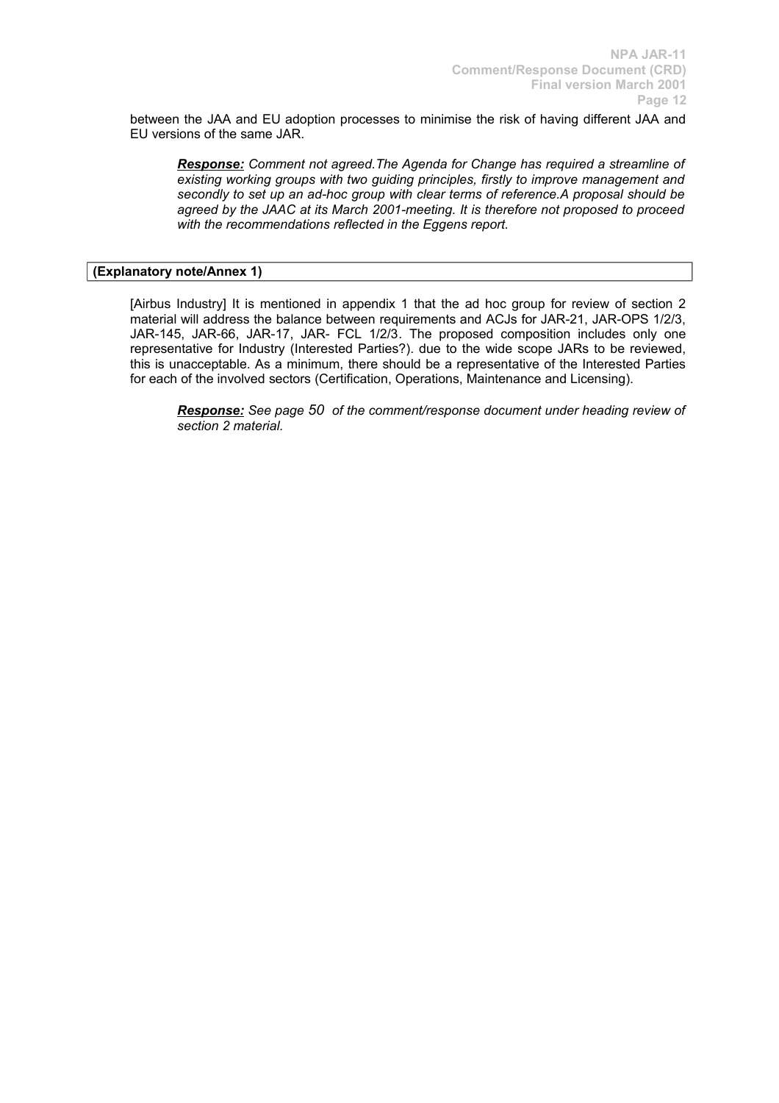between the JAA and EU adoption processes to minimise the risk of having different JAA and EU versions of the same JAR.

*Response: Comment not agreed.The Agenda for Change has required a streamline of existing working groups with two guiding principles, firstly to improve management and secondly to set up an ad-hoc group with clear terms of reference.A proposal should be agreed by the JAAC at its March 2001-meeting. It is therefore not proposed to proceed with the recommendations reflected in the Eggens report.*

### **(Explanatory note/Annex 1)**

[Airbus Industry] It is mentioned in appendix 1 that the ad hoc group for review of section 2 material will address the balance between requirements and ACJs for JAR-21, JAR-OPS 1/2/3, JAR-145, JAR-66, JAR-17, JAR- FCL 1/2/3. The proposed composition includes only one representative for Industry (Interested Parties?). due to the wide scope JARs to be reviewed, this is unacceptable. As a minimum, there should be a representative of the Interested Parties for each of the involved sectors (Certification, Operations, Maintenance and Licensing).

*Response: See page 50 of the comment/response document under heading review of section 2 material.*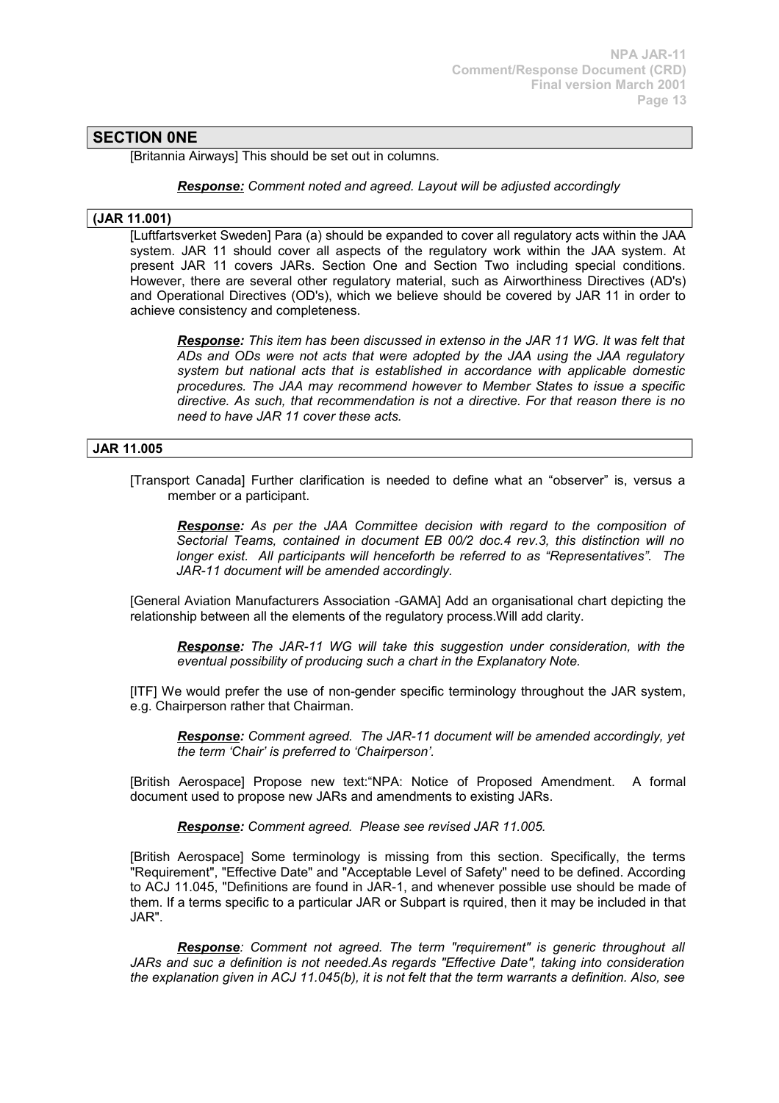# **SECTION 0NE**

[Britannia Airways] This should be set out in columns.

*Response: Comment noted and agreed. Layout will be adjusted accordingly*

### **(JAR 11.001)**

[Luftfartsverket Sweden] Para (a) should be expanded to cover all regulatory acts within the JAA system. JAR 11 should cover all aspects of the regulatory work within the JAA system. At present JAR 11 covers JARs. Section One and Section Two including special conditions. However, there are several other regulatory material, such as Airworthiness Directives (AD's) and Operational Directives (OD's), which we believe should be covered by JAR 11 in order to achieve consistency and completeness.

*Response: This item has been discussed in extenso in the JAR 11 WG. It was felt that ADs and ODs were not acts that were adopted by the JAA using the JAA regulatory system but national acts that is established in accordance with applicable domestic procedures. The JAA may recommend however to Member States to issue a specific directive. As such, that recommendation is not a directive. For that reason there is no need to have JAR 11 cover these acts.*

#### **JAR 11.005**

[Transport Canada] Further clarification is needed to define what an "observer" is, versus a member or a participant.

*Response: As per the JAA Committee decision with regard to the composition of Sectorial Teams, contained in document EB 00/2 doc.4 rev.3, this distinction will no longer exist. All participants will henceforth be referred to as "Representatives". The JAR-11 document will be amended accordingly.*

[General Aviation Manufacturers Association -GAMA] Add an organisational chart depicting the relationship between all the elements of the regulatory process.Will add clarity.

*Response: The JAR-11 WG will take this suggestion under consideration, with the eventual possibility of producing such a chart in the Explanatory Note.*

[ITF] We would prefer the use of non-gender specific terminology throughout the JAR system, e.g. Chairperson rather that Chairman.

*Response: Comment agreed. The JAR-11 document will be amended accordingly, yet the term 'Chair' is preferred to 'Chairperson'.*

[British Aerospace] Propose new text:"NPA: Notice of Proposed Amendment. A formal document used to propose new JARs and amendments to existing JARs.

*Response: Comment agreed. Please see revised JAR 11.005.*

[British Aerospace] Some terminology is missing from this section. Specifically, the terms "Requirement", "Effective Date" and "Acceptable Level of Safety" need to be defined. According to ACJ 11.045, "Definitions are found in JAR-1, and whenever possible use should be made of them. If a terms specific to a particular JAR or Subpart is rquired, then it may be included in that JAR".

*Response: Comment not agreed. The term "requirement" is generic throughout all JARs and suc a definition is not needed.As regards "Effective Date", taking into consideration the explanation given in ACJ 11.045(b), it is not felt that the term warrants a definition. Also, see*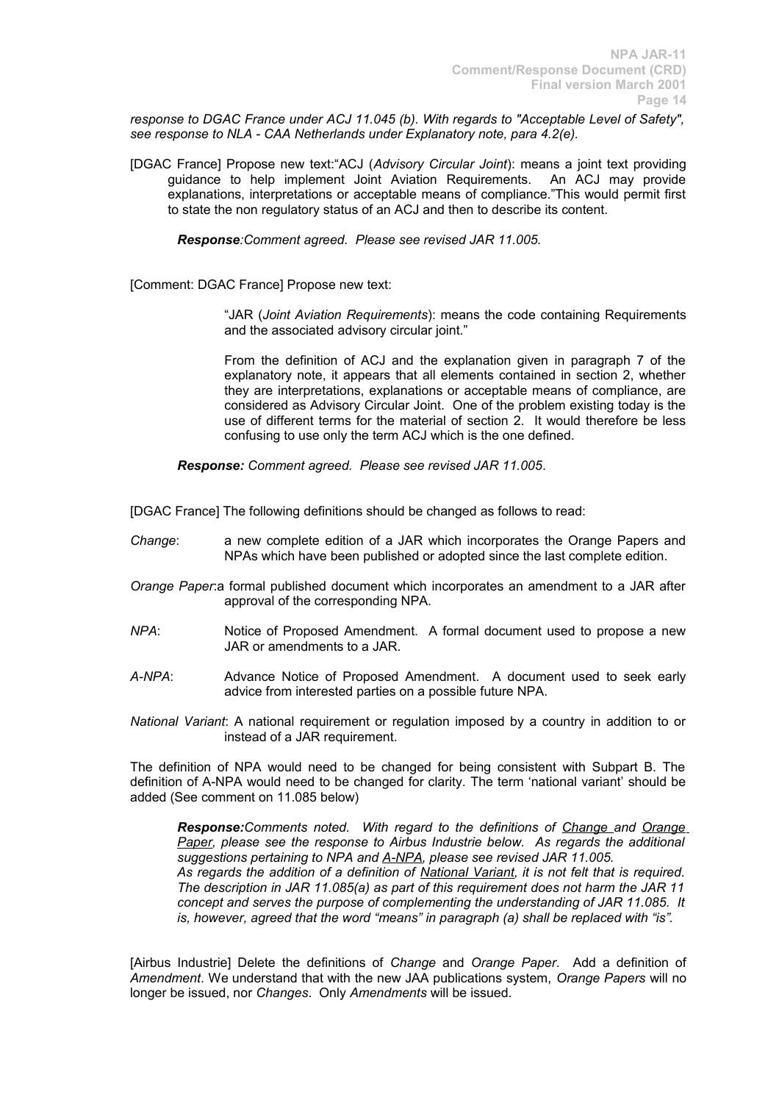*response to DGAC France under ACJ 11.045 (b). With regards to "Acceptable Level of Safety", see response to NLA - CAA Netherlands under Explanatory note, para 4.2(e).*

[DGAC France] Propose new text:"ACJ (*Advisory Circular Joint*): means a joint text providing guidance to help implement Joint Aviation Requirements. An ACJ may provide explanations, interpretations or acceptable means of compliance."This would permit first to state the non regulatory status of an ACJ and then to describe its content.

*Response:Comment agreed. Please see revised JAR 11.005.*

[Comment: DGAC France] Propose new text:

"JAR (*Joint Aviation Requirements*): means the code containing Requirements and the associated advisory circular joint."

From the definition of ACJ and the explanation given in paragraph 7 of the explanatory note, it appears that all elements contained in section 2, whether they are interpretations, explanations or acceptable means of compliance, are considered as Advisory Circular Joint. One of the problem existing today is the use of different terms for the material of section 2. It would therefore be less confusing to use only the term ACJ which is the one defined.

*Response: Comment agreed. Please see revised JAR 11.005*.

[DGAC France] The following definitions should be changed as follows to read:

- *Change*: a new complete edition of a JAR which incorporates the Orange Papers and NPAs which have been published or adopted since the last complete edition.
- *Orange Paper*:a formal published document which incorporates an amendment to a JAR after approval of the corresponding NPA.
- *NPA*: Notice of Proposed Amendment. A formal document used to propose a new JAR or amendments to a JAR.
- *A-NPA*: Advance Notice of Proposed Amendment. A document used to seek early advice from interested parties on a possible future NPA.
- *National Variant*: A national requirement or regulation imposed by a country in addition to or instead of a JAR requirement.

The definition of NPA would need to be changed for being consistent with Subpart B. The definition of A-NPA would need to be changed for clarity. The term 'national variant' should be added (See comment on 11.085 below)

*Response:Comments noted. With regard to the definitions of Change and Orange Paper, please see the response to Airbus Industrie below. As regards the additional suggestions pertaining to NPA and A-NPA, please see revised JAR 11.005. As regards the addition of a definition of National Variant, it is not felt that is required. The description in JAR 11.085(a) as part of this requirement does not harm the JAR 11 concept and serves the purpose of complementing the understanding of JAR 11.085. It is, however, agreed that the word "means" in paragraph (a) shall be replaced with "is".*

[Airbus Industrie] Delete the definitions of *Change* and *Orange Paper*. Add a definition of *Amendment*. We understand that with the new JAA publications system, *Orange Papers* will no longer be issued, nor *Changes*. Only *Amendments* will be issued.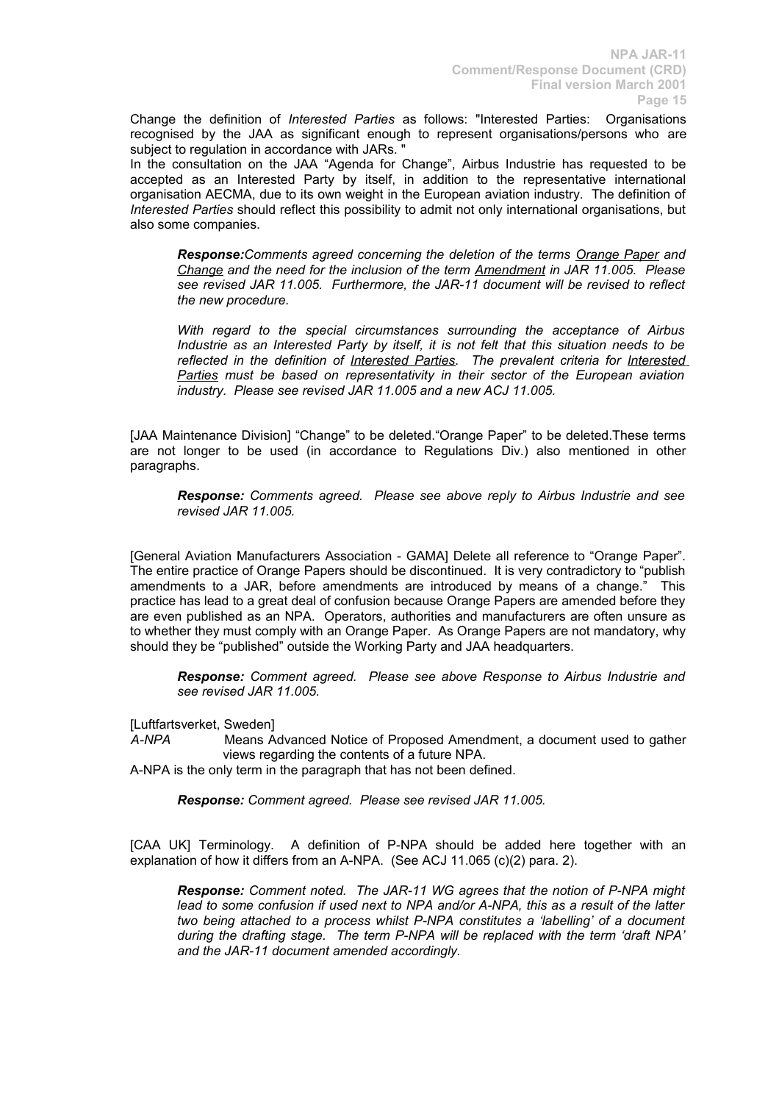Change the definition of *Interested Parties* as follows: "Interested Parties: Organisations recognised by the JAA as significant enough to represent organisations/persons who are subject to regulation in accordance with JARs.

In the consultation on the JAA "Agenda for Change", Airbus Industrie has requested to be accepted as an Interested Party by itself, in addition to the representative international organisation AECMA, due to its own weight in the European aviation industry. The definition of *Interested Parties* should reflect this possibility to admit not only international organisations, but also some companies.

*Response:Comments agreed concerning the deletion of the terms Orange Paper and Change and the need for the inclusion of the term Amendment in JAR 11.005. Please see revised JAR 11.005. Furthermore, the JAR-11 document will be revised to reflect the new procedure.*

*With regard to the special circumstances surrounding the acceptance of Airbus Industrie as an Interested Party by itself, it is not felt that this situation needs to be reflected in the definition of Interested Parties. The prevalent criteria for Interested Parties must be based on representativity in their sector of the European aviation industry. Please see revised JAR 11.005 and a new ACJ 11.005.*

[JAA Maintenance Division] "Change" to be deleted."Orange Paper" to be deleted.These terms are not longer to be used (in accordance to Regulations Div.) also mentioned in other paragraphs.

*Response: Comments agreed. Please see above reply to Airbus Industrie and see revised JAR 11.005.*

[General Aviation Manufacturers Association - GAMA] Delete all reference to "Orange Paper". The entire practice of Orange Papers should be discontinued. It is very contradictory to "publish amendments to a JAR, before amendments are introduced by means of a change." This practice has lead to a great deal of confusion because Orange Papers are amended before they are even published as an NPA. Operators, authorities and manufacturers are often unsure as to whether they must comply with an Orange Paper. As Orange Papers are not mandatory, why should they be "published" outside the Working Party and JAA headquarters.

*Response: Comment agreed. Please see above Response to Airbus Industrie and see revised JAR 11.005.*

[Luftfartsverket, Sweden]<br>A-NPA Means A

*A-NPA* Means Advanced Notice of Proposed Amendment, a document used to gather views regarding the contents of a future NPA.

A-NPA is the only term in the paragraph that has not been defined.

*Response: Comment agreed. Please see revised JAR 11.005.*

[CAA UK] Terminology. A definition of P-NPA should be added here together with an explanation of how it differs from an A-NPA. (See ACJ 11.065 (c)(2) para. 2).

*Response: Comment noted. The JAR-11 WG agrees that the notion of P-NPA might lead to some confusion if used next to NPA and/or A-NPA, this as a result of the latter two being attached to a process whilst P-NPA constitutes a 'labelling' of a document during the drafting stage. The term P-NPA will be replaced with the term 'draft NPA' and the JAR-11 document amended accordingly.*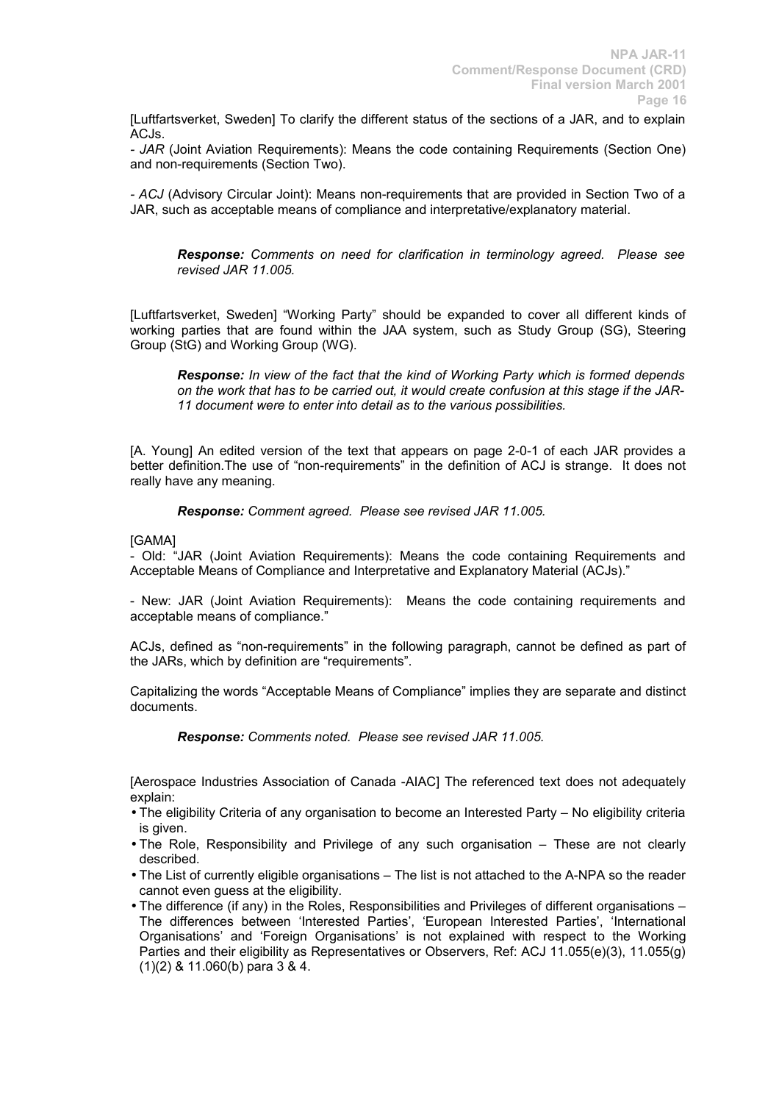[Luftfartsverket, Sweden] To clarify the different status of the sections of a JAR, and to explain ACJ<sub>s</sub>

*- JAR* (Joint Aviation Requirements): Means the code containing Requirements (Section One) and non-requirements (Section Two).

*- ACJ* (Advisory Circular Joint): Means non-requirements that are provided in Section Two of a JAR, such as acceptable means of compliance and interpretative/explanatory material.

*Response: Comments on need for clarification in terminology agreed. Please see revised JAR 11.005.*

[Luftfartsverket, Sweden] "Working Party" should be expanded to cover all different kinds of working parties that are found within the JAA system, such as Study Group (SG), Steering Group (StG) and Working Group (WG).

*Response: In view of the fact that the kind of Working Party which is formed depends on the work that has to be carried out, it would create confusion at this stage if the JAR-11 document were to enter into detail as to the various possibilities.* 

[A. Young] An edited version of the text that appears on page 2-0-1 of each JAR provides a better definition.The use of "non-requirements" in the definition of ACJ is strange. It does not really have any meaning.

*Response: Comment agreed. Please see revised JAR 11.005.* 

[GAMA]

- Old: "JAR (Joint Aviation Requirements): Means the code containing Requirements and Acceptable Means of Compliance and Interpretative and Explanatory Material (ACJs)."

- New: JAR (Joint Aviation Requirements): Means the code containing requirements and acceptable means of compliance."

ACJs, defined as "non-requirements" in the following paragraph, cannot be defined as part of the JARs, which by definition are "requirements".

Capitalizing the words "Acceptable Means of Compliance" implies they are separate and distinct documents.

*Response: Comments noted. Please see revised JAR 11.005.*

[Aerospace Industries Association of Canada -AIAC] The referenced text does not adequately explain:

- The eligibility Criteria of any organisation to become an Interested Party No eligibility criteria is given.
- The Role, Responsibility and Privilege of any such organisation These are not clearly described.
- The List of currently eligible organisations The list is not attached to the A-NPA so the reader cannot even guess at the eligibility.
- The difference (if any) in the Roles, Responsibilities and Privileges of different organisations The differences between 'Interested Parties', 'European Interested Parties', 'International Organisations' and 'Foreign Organisations' is not explained with respect to the Working Parties and their eligibility as Representatives or Observers, Ref: ACJ 11.055(e)(3), 11.055(g) (1)(2) & 11.060(b) para 3 & 4.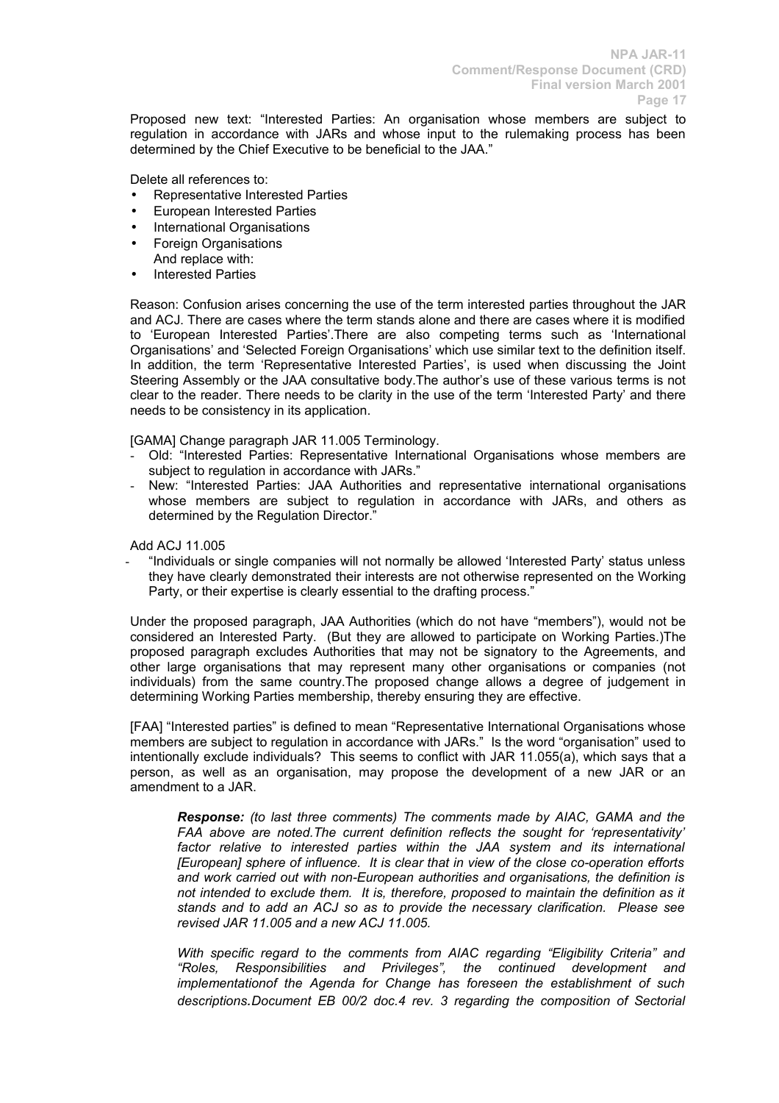Proposed new text: "Interested Parties: An organisation whose members are subject to regulation in accordance with JARs and whose input to the rulemaking process has been determined by the Chief Executive to be beneficial to the JAA."

Delete all references to:

- Representative Interested Parties
- European Interested Parties
- International Organisations
- Foreign Organisations And replace with:
- **Interested Parties**

Reason: Confusion arises concerning the use of the term interested parties throughout the JAR and ACJ. There are cases where the term stands alone and there are cases where it is modified to 'European Interested Parties'.There are also competing terms such as 'International Organisations' and 'Selected Foreign Organisations' which use similar text to the definition itself. In addition, the term 'Representative Interested Parties', is used when discussing the Joint Steering Assembly or the JAA consultative body.The author's use of these various terms is not clear to the reader. There needs to be clarity in the use of the term 'Interested Party' and there needs to be consistency in its application.

[GAMA] Change paragraph JAR 11.005 Terminology.

- Old: "Interested Parties: Representative International Organisations whose members are subject to regulation in accordance with JARs."
- New: "Interested Parties: JAA Authorities and representative international organisations whose members are subject to regulation in accordance with JARs, and others as determined by the Regulation Director."

Add ACJ 11.005

- "Individuals or single companies will not normally be allowed 'Interested Party' status unless they have clearly demonstrated their interests are not otherwise represented on the Working Party, or their expertise is clearly essential to the drafting process."

Under the proposed paragraph, JAA Authorities (which do not have "members"), would not be considered an Interested Party. (But they are allowed to participate on Working Parties.)The proposed paragraph excludes Authorities that may not be signatory to the Agreements, and other large organisations that may represent many other organisations or companies (not individuals) from the same country.The proposed change allows a degree of judgement in determining Working Parties membership, thereby ensuring they are effective.

[FAA] "Interested parties" is defined to mean "Representative International Organisations whose members are subject to regulation in accordance with JARs." Is the word "organisation" used to intentionally exclude individuals? This seems to conflict with JAR 11.055(a), which says that a person, as well as an organisation, may propose the development of a new JAR or an amendment to a JAR.

*Response: (to last three comments) The comments made by AIAC, GAMA and the FAA above are noted.The current definition reflects the sought for 'representativity' factor relative to interested parties within the JAA system and its international [European] sphere of influence. It is clear that in view of the close co-operation efforts and work carried out with non-European authorities and organisations, the definition is not intended to exclude them. It is, therefore, proposed to maintain the definition as it stands and to add an ACJ so as to provide the necessary clarification. Please see revised JAR 11.005 and a new ACJ 11.005.*

*With specific regard to the comments from AIAC regarding "Eligibility Criteria" and "Roles, Responsibilities and Privileges", the continued development and implementationof the Agenda for Change has foreseen the establishment of such descriptions.Document EB 00/2 doc.4 rev. 3 regarding the composition of Sectorial*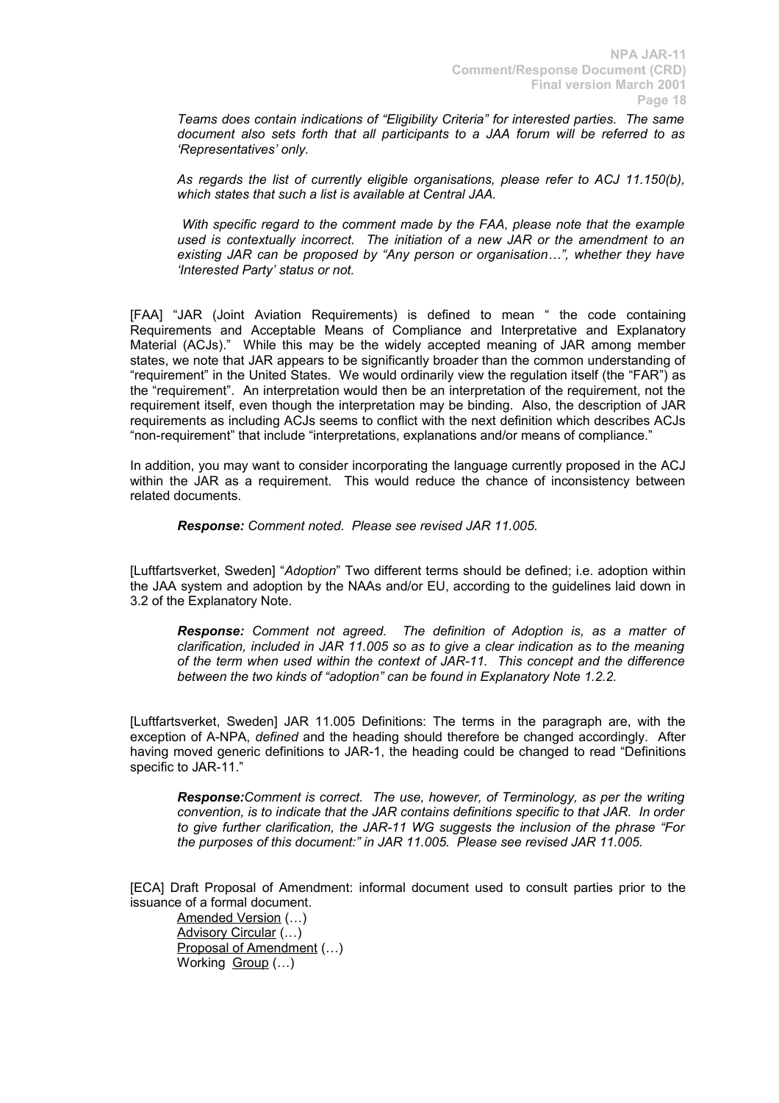*Teams does contain indications of "Eligibility Criteria" for interested parties. The same document also sets forth that all participants to a JAA forum will be referred to as 'Representatives' only.*

*As regards the list of currently eligible organisations, please refer to ACJ 11.150(b), which states that such a list is available at Central JAA.*

*With specific regard to the comment made by the FAA, please note that the example used is contextually incorrect. The initiation of a new JAR or the amendment to an existing JAR can be proposed by "Any person or organisation…", whether they have 'Interested Party' status or not.*

[FAA] "JAR (Joint Aviation Requirements) is defined to mean " the code containing Requirements and Acceptable Means of Compliance and Interpretative and Explanatory Material (ACJs)." While this may be the widely accepted meaning of JAR among member states, we note that JAR appears to be significantly broader than the common understanding of "requirement" in the United States. We would ordinarily view the regulation itself (the "FAR") as the "requirement". An interpretation would then be an interpretation of the requirement, not the requirement itself, even though the interpretation may be binding. Also, the description of JAR requirements as including ACJs seems to conflict with the next definition which describes ACJs "non-requirement" that include "interpretations, explanations and/or means of compliance."

In addition, you may want to consider incorporating the language currently proposed in the ACJ within the JAR as a requirement. This would reduce the chance of inconsistency between related documents.

*Response: Comment noted. Please see revised JAR 11.005.*

[Luftfartsverket, Sweden] "*Adoption*" Two different terms should be defined; i.e. adoption within the JAA system and adoption by the NAAs and/or EU, according to the guidelines laid down in 3.2 of the Explanatory Note.

*Response: Comment not agreed. The definition of Adoption is, as a matter of clarification, included in JAR 11.005 so as to give a clear indication as to the meaning of the term when used within the context of JAR-11. This concept and the difference between the two kinds of "adoption" can be found in Explanatory Note 1.2.2.*

[Luftfartsverket, Sweden] JAR 11.005 Definitions: The terms in the paragraph are, with the exception of A-NPA, *defined* and the heading should therefore be changed accordingly. After having moved generic definitions to JAR-1, the heading could be changed to read "Definitions specific to JAR-11."

*Response:Comment is correct. The use, however, of Terminology, as per the writing convention, is to indicate that the JAR contains definitions specific to that JAR. In order to give further clarification, the JAR-11 WG suggests the inclusion of the phrase "For the purposes of this document:" in JAR 11.005. Please see revised JAR 11.005.*

[ECA] Draft Proposal of Amendment: informal document used to consult parties prior to the issuance of a formal document.

Amended Version (…) Advisory Circular (…) Proposal of Amendment (…) Working Group (...)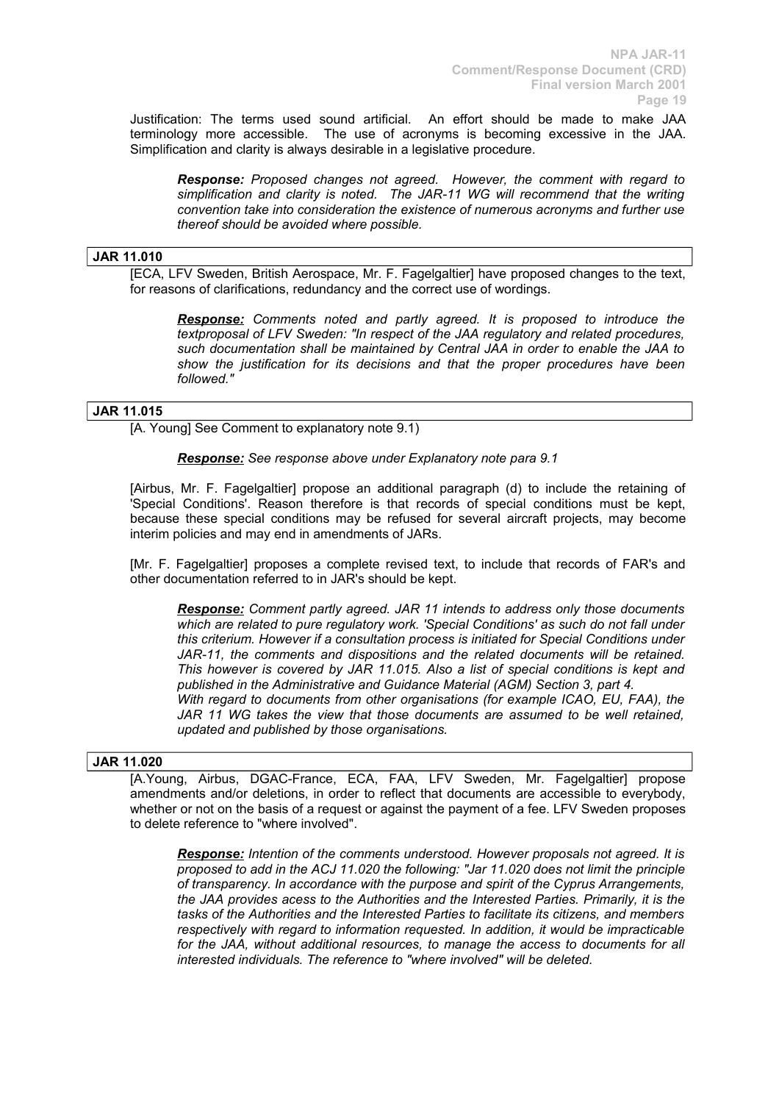Justification: The terms used sound artificial. An effort should be made to make JAA terminology more accessible. The use of acronyms is becoming excessive in the JAA. Simplification and clarity is always desirable in a legislative procedure.

*Response: Proposed changes not agreed. However, the comment with regard to simplification and clarity is noted. The JAR-11 WG will recommend that the writing convention take into consideration the existence of numerous acronyms and further use thereof should be avoided where possible.*

# **JAR 11.010**

[ECA, LFV Sweden, British Aerospace, Mr. F. Fagelgaltier] have proposed changes to the text, for reasons of clarifications, redundancy and the correct use of wordings.

*Response: Comments noted and partly agreed. It is proposed to introduce the textproposal of LFV Sweden: "In respect of the JAA regulatory and related procedures, such documentation shall be maintained by Central JAA in order to enable the JAA to show the justification for its decisions and that the proper procedures have been followed."*

# **JAR 11.015**

[A. Young] See Comment to explanatory note 9.1)

# *Response: See response above under Explanatory note para 9.1*

[Airbus, Mr. F. Fagelgaltier] propose an additional paragraph (d) to include the retaining of 'Special Conditions'. Reason therefore is that records of special conditions must be kept, because these special conditions may be refused for several aircraft projects, may become interim policies and may end in amendments of JARs.

[Mr. F. Fagelgaltier] proposes a complete revised text, to include that records of FAR's and other documentation referred to in JAR's should be kept.

*Response: Comment partly agreed. JAR 11 intends to address only those documents which are related to pure regulatory work. 'Special Conditions' as such do not fall under this criterium. However if a consultation process is initiated for Special Conditions under JAR-11, the comments and dispositions and the related documents will be retained. This however is covered by JAR 11.015. Also a list of special conditions is kept and published in the Administrative and Guidance Material (AGM) Section 3, part 4. With regard to documents from other organisations (for example ICAO, EU, FAA), the JAR 11 WG takes the view that those documents are assumed to be well retained, updated and published by those organisations.*

### **JAR 11.020**

[A.Young, Airbus, DGAC-France, ECA, FAA, LFV Sweden, Mr. Fagelgaltier] propose amendments and/or deletions, in order to reflect that documents are accessible to everybody, whether or not on the basis of a request or against the payment of a fee. LFV Sweden proposes to delete reference to "where involved".

*Response: Intention of the comments understood. However proposals not agreed. It is proposed to add in the ACJ 11.020 the following: "Jar 11.020 does not limit the principle of transparency. In accordance with the purpose and spirit of the Cyprus Arrangements, the JAA provides acess to the Authorities and the Interested Parties. Primarily, it is the tasks of the Authorities and the Interested Parties to facilitate its citizens, and members respectively with regard to information requested. In addition, it would be impracticable for the JAA, without additional resources, to manage the access to documents for all interested individuals. The reference to "where involved" will be deleted.*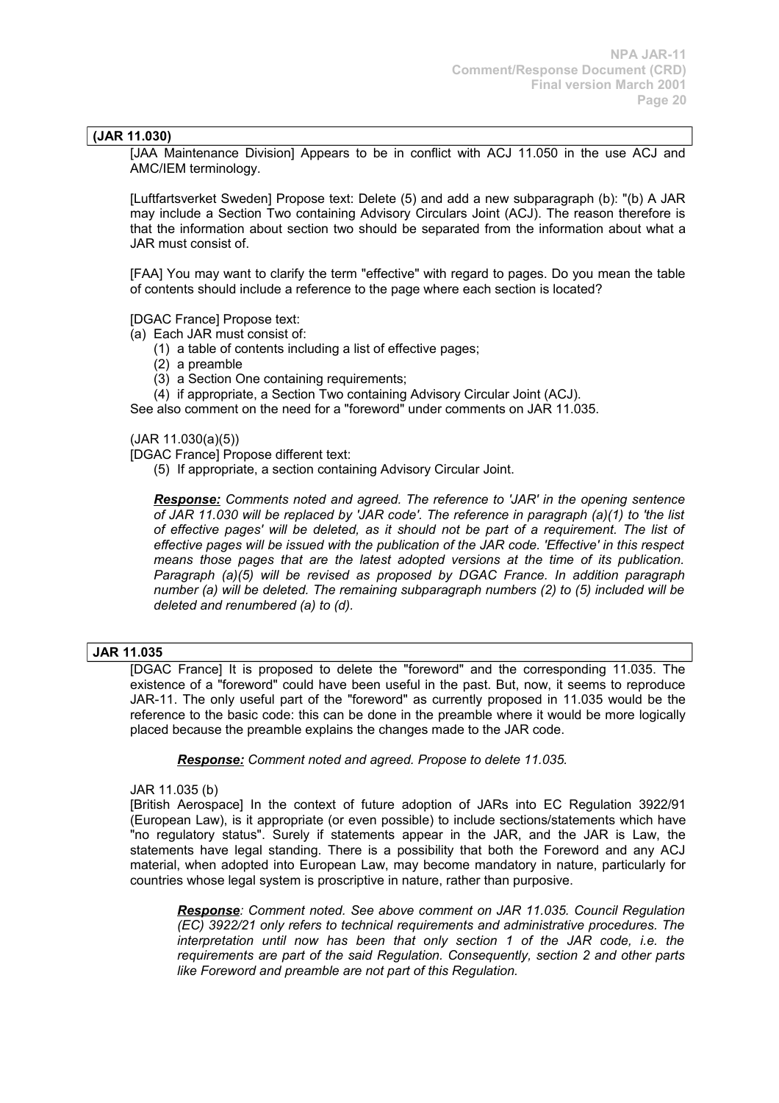# **(JAR 11.030)**

[JAA Maintenance Division] Appears to be in conflict with ACJ 11.050 in the use ACJ and AMC/IEM terminology.

[Luftfartsverket Sweden] Propose text: Delete (5) and add a new subparagraph (b): "(b) A JAR may include a Section Two containing Advisory Circulars Joint (ACJ). The reason therefore is that the information about section two should be separated from the information about what a JAR must consist of.

[FAA] You may want to clarify the term "effective" with regard to pages. Do you mean the table of contents should include a reference to the page where each section is located?

[DGAC France] Propose text:

(a) Each JAR must consist of:

- (1) a table of contents including a list of effective pages;
- (2) a preamble
- (3) a Section One containing requirements;

(4) if appropriate, a Section Two containing Advisory Circular Joint (ACJ).

See also comment on the need for a "foreword" under comments on JAR 11.035.

(JAR 11.030(a)(5))

[DGAC France] Propose different text:

(5) If appropriate, a section containing Advisory Circular Joint.

*Response: Comments noted and agreed. The reference to 'JAR' in the opening sentence of JAR 11.030 will be replaced by 'JAR code'. The reference in paragraph (a)(1) to 'the list of effective pages' will be deleted, as it should not be part of a requirement. The list of effective pages will be issued with the publication of the JAR code. 'Effective' in this respect means those pages that are the latest adopted versions at the time of its publication. Paragraph (a)(5) will be revised as proposed by DGAC France. In addition paragraph number (a) will be deleted. The remaining subparagraph numbers (2) to (5) included will be deleted and renumbered (a) to (d).* 

### **JAR 11.035**

[DGAC France] It is proposed to delete the "foreword" and the corresponding 11.035. The existence of a "foreword" could have been useful in the past. But, now, it seems to reproduce JAR-11. The only useful part of the "foreword" as currently proposed in 11.035 would be the reference to the basic code: this can be done in the preamble where it would be more logically placed because the preamble explains the changes made to the JAR code.

*Response: Comment noted and agreed. Propose to delete 11.035.*

JAR 11.035 (b)

[British Aerospace] In the context of future adoption of JARs into EC Regulation 3922/91 (European Law), is it appropriate (or even possible) to include sections/statements which have "no regulatory status". Surely if statements appear in the JAR, and the JAR is Law, the statements have legal standing. There is a possibility that both the Foreword and any ACJ material, when adopted into European Law, may become mandatory in nature, particularly for countries whose legal system is proscriptive in nature, rather than purposive.

*Response: Comment noted. See above comment on JAR 11.035. Council Regulation (EC) 3922/21 only refers to technical requirements and administrative procedures. The interpretation until now has been that only section 1 of the JAR code, i.e. the requirements are part of the said Regulation. Consequently, section 2 and other parts like Foreword and preamble are not part of this Regulation.*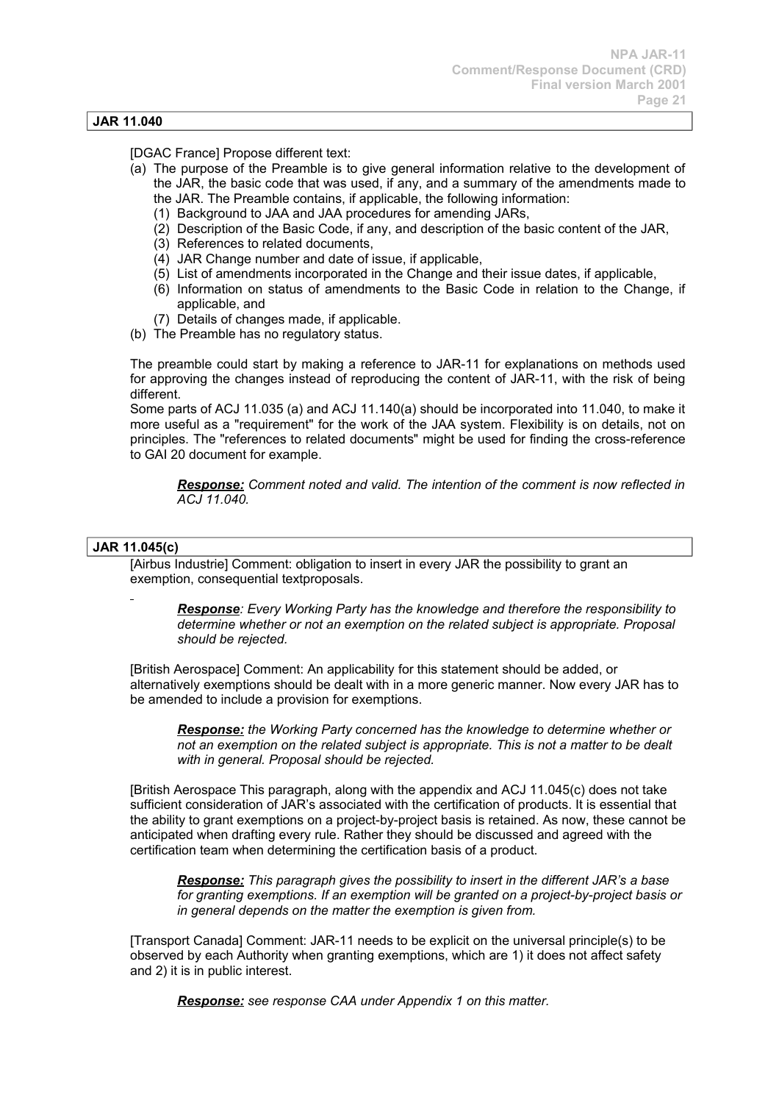# **JAR 11.040**

[DGAC France] Propose different text:

- (a) The purpose of the Preamble is to give general information relative to the development of the JAR, the basic code that was used, if any, and a summary of the amendments made to the JAR. The Preamble contains, if applicable, the following information:
	- (1) Background to JAA and JAA procedures for amending JARs,
	- (2) Description of the Basic Code, if any, and description of the basic content of the JAR,
	- (3) References to related documents,
	- (4) JAR Change number and date of issue, if applicable,
	- (5) List of amendments incorporated in the Change and their issue dates, if applicable,
	- (6) Information on status of amendments to the Basic Code in relation to the Change, if applicable, and
	- (7) Details of changes made, if applicable.
- (b) The Preamble has no regulatory status.

The preamble could start by making a reference to JAR-11 for explanations on methods used for approving the changes instead of reproducing the content of JAR-11, with the risk of being different.

Some parts of ACJ 11.035 (a) and ACJ 11.140(a) should be incorporated into 11.040, to make it more useful as a "requirement" for the work of the JAA system. Flexibility is on details, not on principles. The "references to related documents" might be used for finding the cross-reference to GAI 20 document for example.

*Response: Comment noted and valid. The intention of the comment is now reflected in ACJ 11.040.*

### **JAR 11.045(c)**

[Airbus Industrie] Comment: obligation to insert in every JAR the possibility to grant an exemption, consequential textproposals.

*Response: Every Working Party has the knowledge and therefore the responsibility to determine whether or not an exemption on the related subject is appropriate. Proposal should be rejected.*

[British Aerospace] Comment: An applicability for this statement should be added, or alternatively exemptions should be dealt with in a more generic manner. Now every JAR has to be amended to include a provision for exemptions.

*Response: the Working Party concerned has the knowledge to determine whether or not an exemption on the related subject is appropriate. This is not a matter to be dealt with in general. Proposal should be rejected.*

[British Aerospace This paragraph, along with the appendix and ACJ 11.045(c) does not take sufficient consideration of JAR's associated with the certification of products. It is essential that the ability to grant exemptions on a project-by-project basis is retained. As now, these cannot be anticipated when drafting every rule. Rather they should be discussed and agreed with the certification team when determining the certification basis of a product.

*Response: This paragraph gives the possibility to insert in the different JAR's a base for granting exemptions. If an exemption will be granted on a project-by-project basis or in general depends on the matter the exemption is given from.*

[Transport Canada] Comment: JAR-11 needs to be explicit on the universal principle(s) to be observed by each Authority when granting exemptions, which are 1) it does not affect safety and 2) it is in public interest.

*Response: see response CAA under Appendix 1 on this matter.*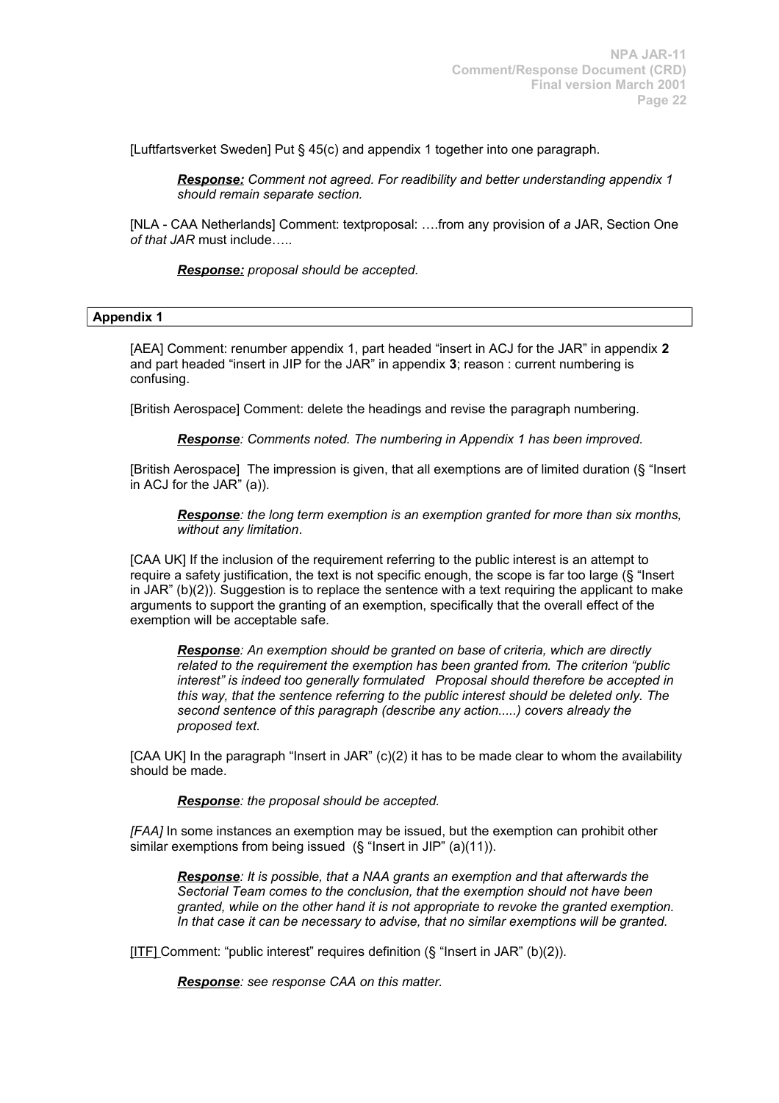[Luftfartsverket Sweden] Put § 45(c) and appendix 1 together into one paragraph.

*Response: Comment not agreed. For readibility and better understanding appendix 1 should remain separate section.*

[NLA - CAA Netherlands] Comment: textproposal: ….from any provision of *a* JAR, Section One *of that JAR* must include…..

*Response: proposal should be accepted.*

### **Appendix 1**

[AEA] Comment: renumber appendix 1, part headed "insert in ACJ for the JAR" in appendix **2** and part headed "insert in JIP for the JAR" in appendix **3**; reason : current numbering is confusing.

[British Aerospace] Comment: delete the headings and revise the paragraph numbering.

*Response: Comments noted. The numbering in Appendix 1 has been improved.*

[British Aerospace] The impression is given, that all exemptions are of limited duration (§ "Insert in ACJ for the JAR" (a)).

*Response: the long term exemption is an exemption granted for more than six months, without any limitation*.

[CAA UK] If the inclusion of the requirement referring to the public interest is an attempt to require a safety justification, the text is not specific enough, the scope is far too large (§ "Insert in  $JAR''(b)(2)$ . Suggestion is to replace the sentence with a text requiring the applicant to make arguments to support the granting of an exemption, specifically that the overall effect of the exemption will be acceptable safe.

*Response: An exemption should be granted on base of criteria, which are directly related to the requirement the exemption has been granted from. The criterion "public interest" is indeed too generally formulated Proposal should therefore be accepted in this way, that the sentence referring to the public interest should be deleted only. The second sentence of this paragraph (describe any action.....) covers already the proposed text.* 

[CAA UK] In the paragraph "Insert in JAR" (c)(2) it has to be made clear to whom the availability should be made.

*Response: the proposal should be accepted.*

*[FAA]* In some instances an exemption may be issued, but the exemption can prohibit other similar exemptions from being issued (§ "Insert in JIP" (a)(11)).

*Response: It is possible, that a NAA grants an exemption and that afterwards the Sectorial Team comes to the conclusion, that the exemption should not have been granted, while on the other hand it is not appropriate to revoke the granted exemption. In that case it can be necessary to advise, that no similar exemptions will be granted.*

[ITF] Comment: "public interest" requires definition (§ "Insert in JAR" (b)(2)).

*Response: see response CAA on this matter.*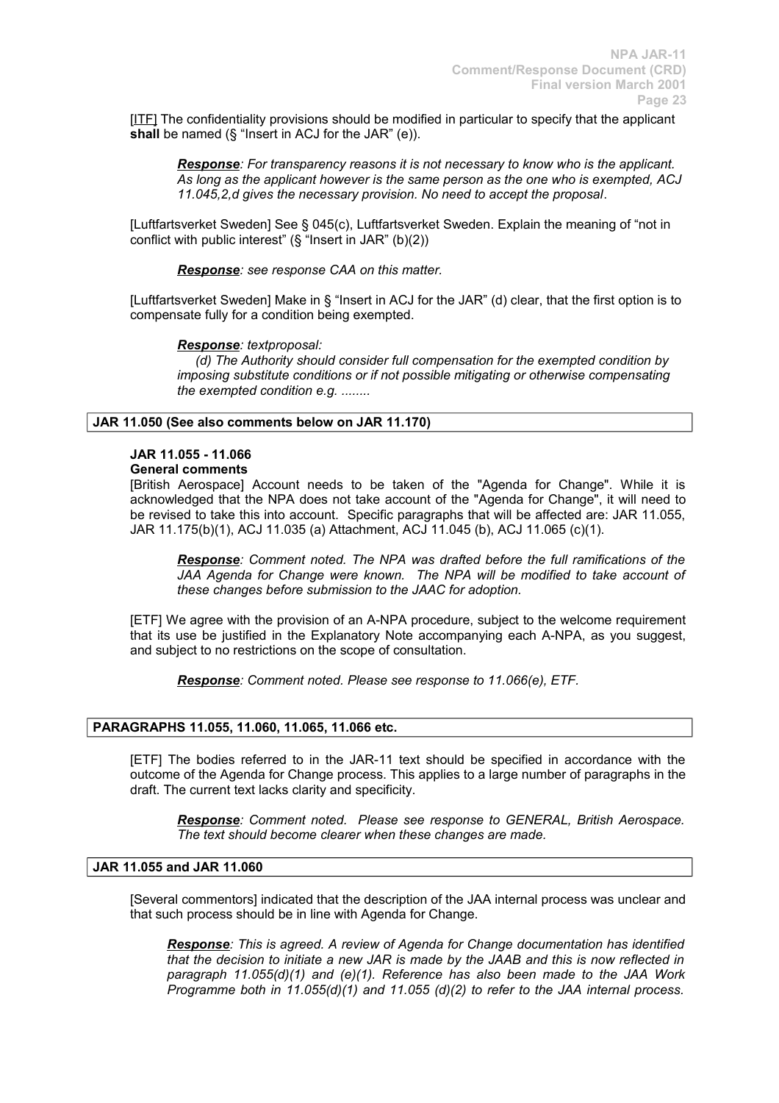[ITE] The confidentiality provisions should be modified in particular to specify that the applicant **shall** be named (§ "Insert in ACJ for the JAR" (e)).

*Response: For transparency reasons it is not necessary to know who is the applicant. As long as the applicant however is the same person as the one who is exempted, ACJ 11.045,2,d gives the necessary provision. No need to accept the proposal*.

[Luftfartsverket Sweden] See § 045(c), Luftfartsverket Sweden. Explain the meaning of "not in conflict with public interest" (§ "Insert in JAR" (b)(2))

*Response: see response CAA on this matter.*

[Luftfartsverket Sweden] Make in § "Insert in ACJ for the JAR" (d) clear, that the first option is to compensate fully for a condition being exempted.

### *Response: textproposal:*

 *(d) The Authority should consider full compensation for the exempted condition by imposing substitute conditions or if not possible mitigating or otherwise compensating the exempted condition e.g. ........*

# **JAR 11.050 (See also comments below on JAR 11.170)**

# **JAR 11.055 - 11.066**

# **General comments**

[British Aerospace] Account needs to be taken of the "Agenda for Change". While it is acknowledged that the NPA does not take account of the "Agenda for Change", it will need to be revised to take this into account. Specific paragraphs that will be affected are: JAR 11.055, JAR 11.175(b)(1), ACJ 11.035 (a) Attachment, ACJ 11.045 (b), ACJ 11.065 (c)(1).

*Response: Comment noted. The NPA was drafted before the full ramifications of the JAA Agenda for Change were known. The NPA will be modified to take account of these changes before submission to the JAAC for adoption.*

[ETF] We agree with the provision of an A-NPA procedure, subject to the welcome requirement that its use be justified in the Explanatory Note accompanying each A-NPA, as you suggest, and subject to no restrictions on the scope of consultation.

*Response: Comment noted. Please see response to 11.066(e), ETF.*

### **PARAGRAPHS 11.055, 11.060, 11.065, 11.066 etc.**

[ETF] The bodies referred to in the JAR-11 text should be specified in accordance with the outcome of the Agenda for Change process. This applies to a large number of paragraphs in the draft. The current text lacks clarity and specificity.

*Response: Comment noted. Please see response to GENERAL, British Aerospace. The text should become clearer when these changes are made.*

# **JAR 11.055 and JAR 11.060**

[Several commentors] indicated that the description of the JAA internal process was unclear and that such process should be in line with Agenda for Change.

*Response: This is agreed. A review of Agenda for Change documentation has identified that the decision to initiate a new JAR is made by the JAAB and this is now reflected in paragraph 11.055(d)(1) and (e)(1). Reference has also been made to the JAA Work Programme both in 11.055(d)(1) and 11.055 (d)(2) to refer to the JAA internal process.*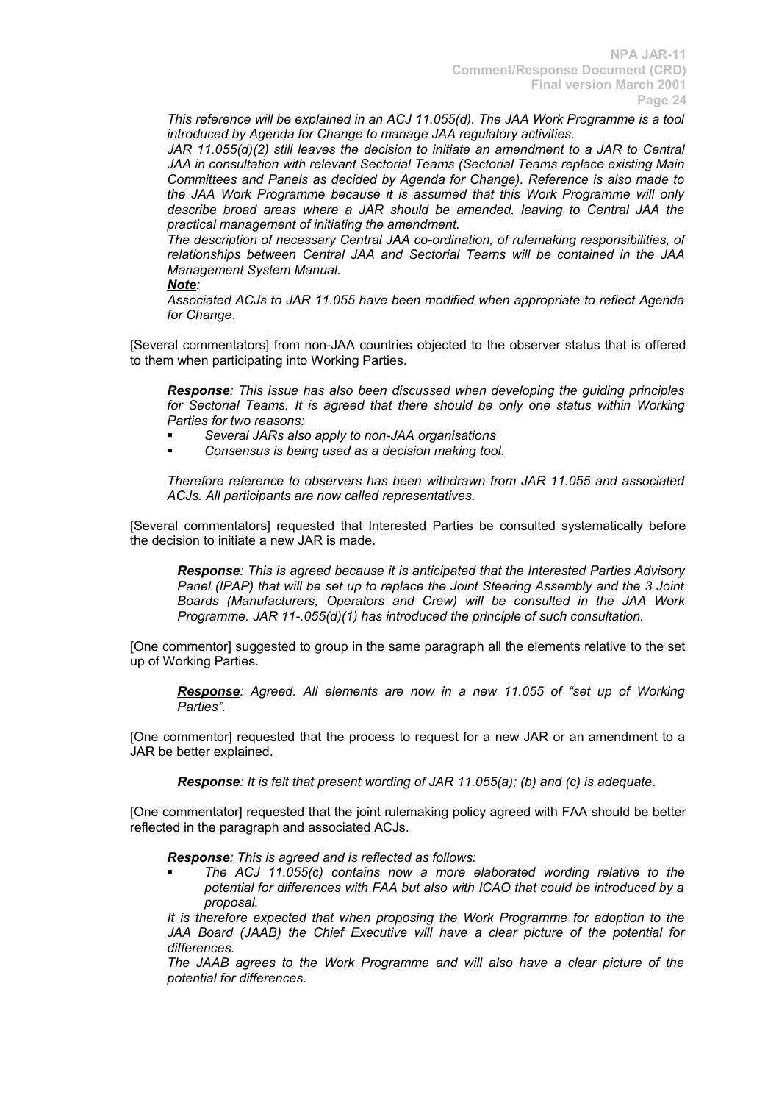*This reference will be explained in an ACJ 11.055(d). The JAA Work Programme is a tool introduced by Agenda for Change to manage JAA regulatory activities.*

*JAR 11.055(d)(2) still leaves the decision to initiate an amendment to a JAR to Central JAA in consultation with relevant Sectorial Teams (Sectorial Teams replace existing Main Committees and Panels as decided by Agenda for Change). Reference is also made to the JAA Work Programme because it is assumed that this Work Programme will only describe broad areas where a JAR should be amended, leaving to Central JAA the practical management of initiating the amendment.*

*The description of necessary Central JAA co-ordination, of rulemaking responsibilities, of relationships between Central JAA and Sectorial Teams will be contained in the JAA Management System Manual.*

### *Note:*

*Associated ACJs to JAR 11.055 have been modified when appropriate to reflect Agenda for Change*.

[Several commentators] from non-JAA countries objected to the observer status that is offered to them when participating into Working Parties.

*Response: This issue has also been discussed when developing the guiding principles for Sectorial Teams. It is agreed that there should be only one status within Working Parties for two reasons:*

- *Several JARs also apply to non-JAA organisations*
- *Consensus is being used as a decision making tool.*

*Therefore reference to observers has been withdrawn from JAR 11.055 and associated ACJs. All participants are now called representatives.*

[Several commentators] requested that Interested Parties be consulted systematically before the decision to initiate a new JAR is made.

*Response: This is agreed because it is anticipated that the Interested Parties Advisory Panel (IPAP) that will be set up to replace the Joint Steering Assembly and the 3 Joint Boards (Manufacturers, Operators and Crew) will be consulted in the JAA Work Programme. JAR 11-.055(d)(1) has introduced the principle of such consultation.*

[One commentor] suggested to group in the same paragraph all the elements relative to the set up of Working Parties.

*Response: Agreed. All elements are now in a new 11.055 of "set up of Working Parties".*

[One commentor] requested that the process to request for a new JAR or an amendment to a JAR be better explained.

*Response: It is felt that present wording of JAR 11.055(a); (b) and (c) is adequate*.

[One commentator] requested that the joint rulemaking policy agreed with FAA should be better reflected in the paragraph and associated ACJs.

### *Response: This is agreed and is reflected as follows:*

 *The ACJ 11.055(c) contains now a more elaborated wording relative to the potential for differences with FAA but also with ICAO that could be introduced by a proposal.*

*It is therefore expected that when proposing the Work Programme for adoption to the JAA Board (JAAB) the Chief Executive will have a clear picture of the potential for differences.*

*The JAAB agrees to the Work Programme and will also have a clear picture of the potential for differences.*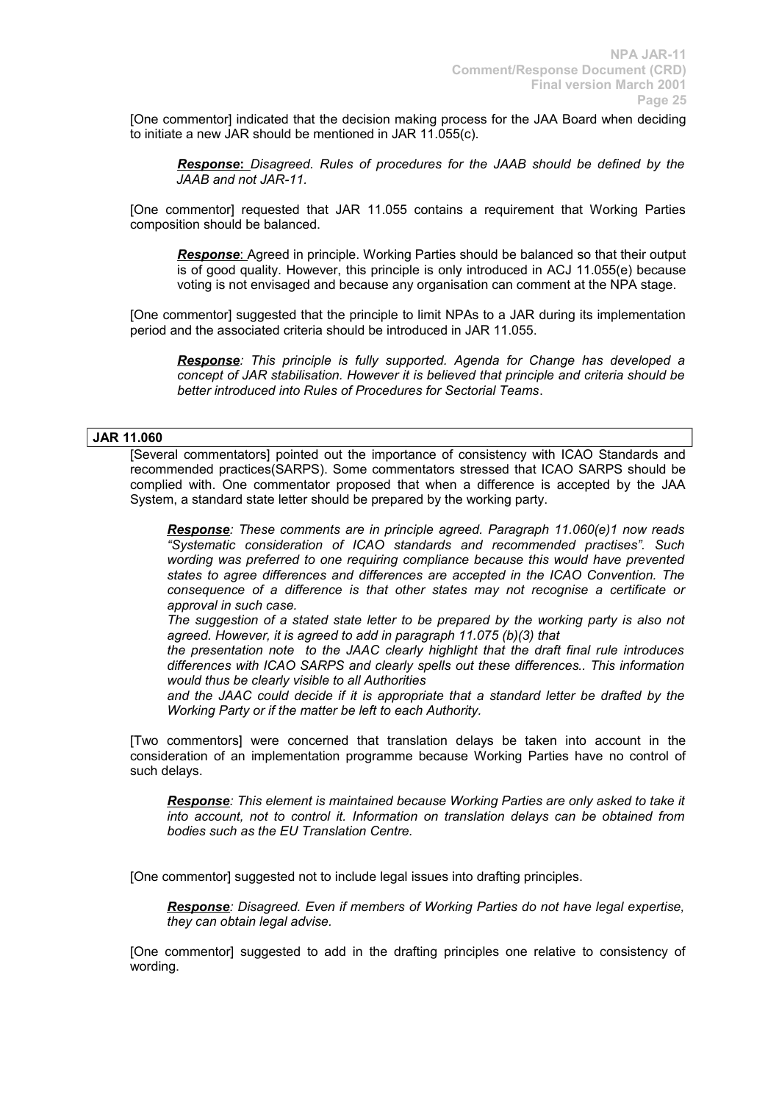[One commentor] indicated that the decision making process for the JAA Board when deciding to initiate a new JAR should be mentioned in JAR 11.055(c).

**Response:** Disagreed. Rules of procedures for the JAAB should be defined by the *JAAB and not JAR-11.*

[One commentor] requested that JAR 11.055 contains a requirement that Working Parties composition should be balanced.

**Response:** Agreed in principle. Working Parties should be balanced so that their output is of good quality. However, this principle is only introduced in ACJ 11.055(e) because voting is not envisaged and because any organisation can comment at the NPA stage.

[One commentor] suggested that the principle to limit NPAs to a JAR during its implementation period and the associated criteria should be introduced in JAR 11.055.

*Response: This principle is fully supported. Agenda for Change has developed a concept of JAR stabilisation. However it is believed that principle and criteria should be better introduced into Rules of Procedures for Sectorial Teams*.

# **JAR 11.060**

[Several commentators] pointed out the importance of consistency with ICAO Standards and recommended practices(SARPS). Some commentators stressed that ICAO SARPS should be complied with. One commentator proposed that when a difference is accepted by the JAA System, a standard state letter should be prepared by the working party.

*Response: These comments are in principle agreed. Paragraph 11.060(e)1 now reads "Systematic consideration of ICAO standards and recommended practises". Such wording was preferred to one requiring compliance because this would have prevented states to agree differences and differences are accepted in the ICAO Convention. The consequence of a difference is that other states may not recognise a certificate or approval in such case.*

*The suggestion of a stated state letter to be prepared by the working party is also not agreed. However, it is agreed to add in paragraph 11.075 (b)(3) that* 

*the presentation note to the JAAC clearly highlight that the draft final rule introduces differences with ICAO SARPS and clearly spells out these differences.. This information would thus be clearly visible to all Authorities*

*and the JAAC could decide if it is appropriate that a standard letter be drafted by the Working Party or if the matter be left to each Authority.*

[Two commentors] were concerned that translation delays be taken into account in the consideration of an implementation programme because Working Parties have no control of such delays.

*Response: This element is maintained because Working Parties are only asked to take it into account, not to control it. Information on translation delays can be obtained from bodies such as the EU Translation Centre.*

[One commentor] suggested not to include legal issues into drafting principles.

*Response: Disagreed. Even if members of Working Parties do not have legal expertise, they can obtain legal advise.*

[One commentor] suggested to add in the drafting principles one relative to consistency of wording.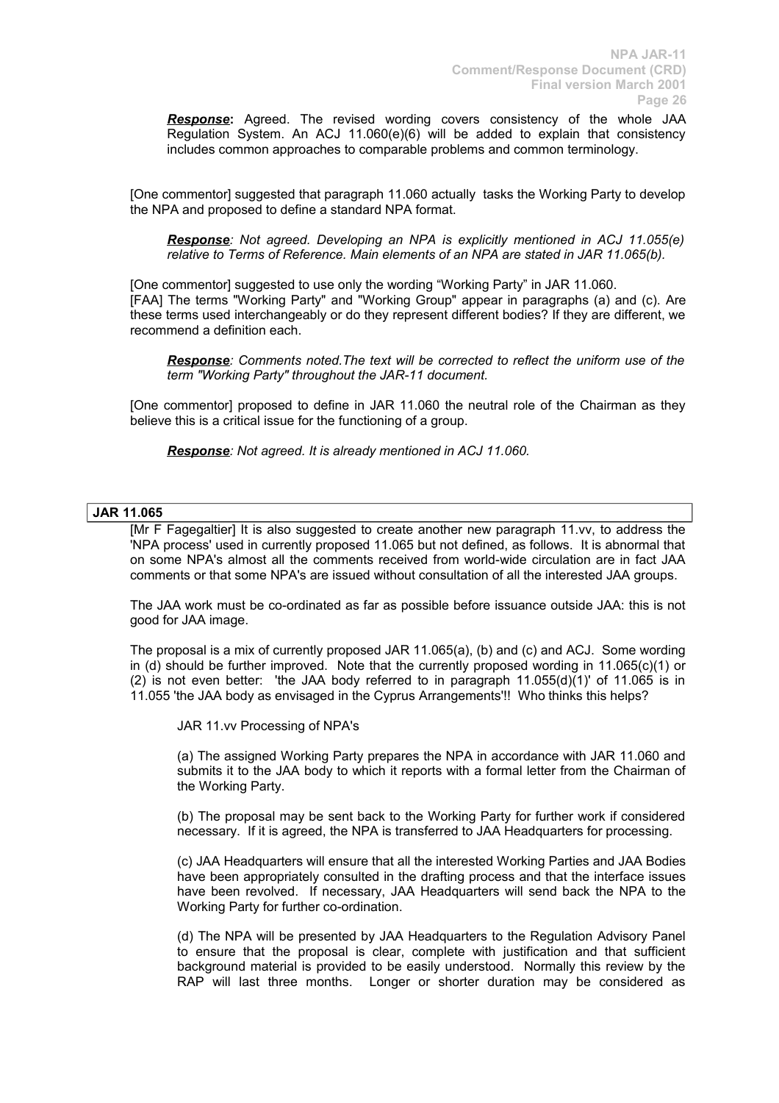*Response***:** Agreed. The revised wording covers consistency of the whole JAA Regulation System. An ACJ 11.060(e)(6) will be added to explain that consistency includes common approaches to comparable problems and common terminology.

[One commentor] suggested that paragraph 11.060 actually tasks the Working Party to develop the NPA and proposed to define a standard NPA format.

*Response: Not agreed. Developing an NPA is explicitly mentioned in ACJ 11.055(e) relative to Terms of Reference. Main elements of an NPA are stated in JAR 11.065(b).*

[One commentor] suggested to use only the wording "Working Party" in JAR 11.060. [FAA] The terms "Working Party" and "Working Group" appear in paragraphs (a) and (c). Are these terms used interchangeably or do they represent different bodies? If they are different, we recommend a definition each.

*Response: Comments noted.The text will be corrected to reflect the uniform use of the term "Working Party" throughout the JAR-11 document.* 

[One commentor] proposed to define in JAR 11.060 the neutral role of the Chairman as they believe this is a critical issue for the functioning of a group.

*Response: Not agreed. It is already mentioned in ACJ 11.060.*

### **JAR 11.065**

[Mr F Fagegaltier] It is also suggested to create another new paragraph 11.vv, to address the 'NPA process' used in currently proposed 11.065 but not defined, as follows. It is abnormal that on some NPA's almost all the comments received from world-wide circulation are in fact JAA comments or that some NPA's are issued without consultation of all the interested JAA groups.

The JAA work must be co-ordinated as far as possible before issuance outside JAA: this is not good for JAA image.

The proposal is a mix of currently proposed JAR 11.065(a), (b) and (c) and ACJ. Some wording in (d) should be further improved. Note that the currently proposed wording in 11.065(c)(1) or (2) is not even better: 'the JAA body referred to in paragraph  $11.055(d)(1)'$  of  $11.065$  is in 11.055 'the JAA body as envisaged in the Cyprus Arrangements'!! Who thinks this helps?

JAR 11.vv Processing of NPA's

(a) The assigned Working Party prepares the NPA in accordance with JAR 11.060 and submits it to the JAA body to which it reports with a formal letter from the Chairman of the Working Party.

(b) The proposal may be sent back to the Working Party for further work if considered necessary. If it is agreed, the NPA is transferred to JAA Headquarters for processing.

(c) JAA Headquarters will ensure that all the interested Working Parties and JAA Bodies have been appropriately consulted in the drafting process and that the interface issues have been revolved. If necessary, JAA Headquarters will send back the NPA to the Working Party for further co-ordination.

(d) The NPA will be presented by JAA Headquarters to the Regulation Advisory Panel to ensure that the proposal is clear, complete with justification and that sufficient background material is provided to be easily understood. Normally this review by the RAP will last three months. Longer or shorter duration may be considered as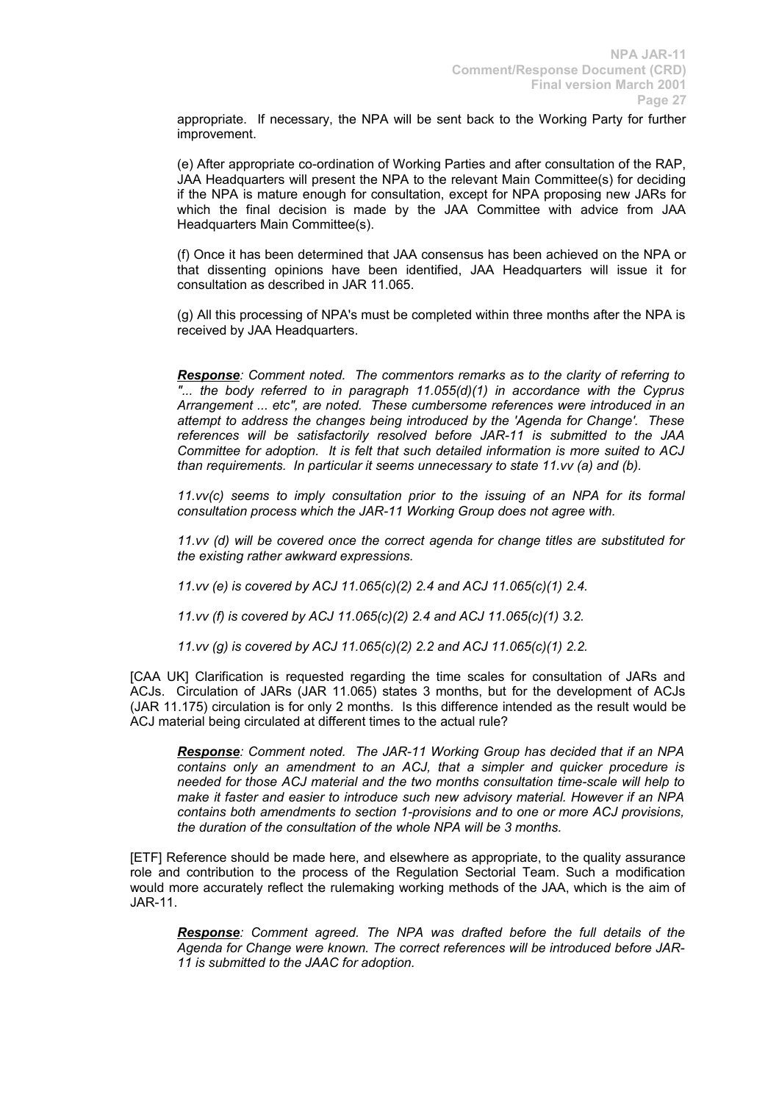appropriate. If necessary, the NPA will be sent back to the Working Party for further improvement.

(e) After appropriate co-ordination of Working Parties and after consultation of the RAP, JAA Headquarters will present the NPA to the relevant Main Committee(s) for deciding if the NPA is mature enough for consultation, except for NPA proposing new JARs for which the final decision is made by the JAA Committee with advice from JAA Headquarters Main Committee(s).

(f) Once it has been determined that JAA consensus has been achieved on the NPA or that dissenting opinions have been identified, JAA Headquarters will issue it for consultation as described in JAR 11.065.

(g) All this processing of NPA's must be completed within three months after the NPA is received by JAA Headquarters.

*Response: Comment noted. The commentors remarks as to the clarity of referring to "... the body referred to in paragraph 11.055(d)(1) in accordance with the Cyprus Arrangement ... etc", are noted. These cumbersome references were introduced in an attempt to address the changes being introduced by the 'Agenda for Change'. These references will be satisfactorily resolved before JAR-11 is submitted to the JAA Committee for adoption. It is felt that such detailed information is more suited to ACJ than requirements. In particular it seems unnecessary to state 11.vv (a) and (b).*

*11.vv(c) seems to imply consultation prior to the issuing of an NPA for its formal consultation process which the JAR-11 Working Group does not agree with.*

*11.vv (d) will be covered once the correct agenda for change titles are substituted for the existing rather awkward expressions.*

*11.vv (e) is covered by ACJ 11.065(c)(2) 2.4 and ACJ 11.065(c)(1) 2.4.*

*11.vv (f) is covered by ACJ 11.065(c)(2) 2.4 and ACJ 11.065(c)(1) 3.2.*

*11.vv (g) is covered by ACJ 11.065(c)(2) 2.2 and ACJ 11.065(c)(1) 2.2.*

[CAA UK] Clarification is requested regarding the time scales for consultation of JARs and ACJs. Circulation of JARs (JAR 11.065) states 3 months, but for the development of ACJs (JAR 11.175) circulation is for only 2 months. Is this difference intended as the result would be ACJ material being circulated at different times to the actual rule?

*Response: Comment noted. The JAR-11 Working Group has decided that if an NPA contains only an amendment to an ACJ, that a simpler and quicker procedure is needed for those ACJ material and the two months consultation time-scale will help to make it faster and easier to introduce such new advisory material. However if an NPA contains both amendments to section 1-provisions and to one or more ACJ provisions, the duration of the consultation of the whole NPA will be 3 months.*

[ETF] Reference should be made here, and elsewhere as appropriate, to the quality assurance role and contribution to the process of the Regulation Sectorial Team. Such a modification would more accurately reflect the rulemaking working methods of the JAA, which is the aim of JAR-11.

*Response: Comment agreed. The NPA was drafted before the full details of the Agenda for Change were known. The correct references will be introduced before JAR-11 is submitted to the JAAC for adoption.*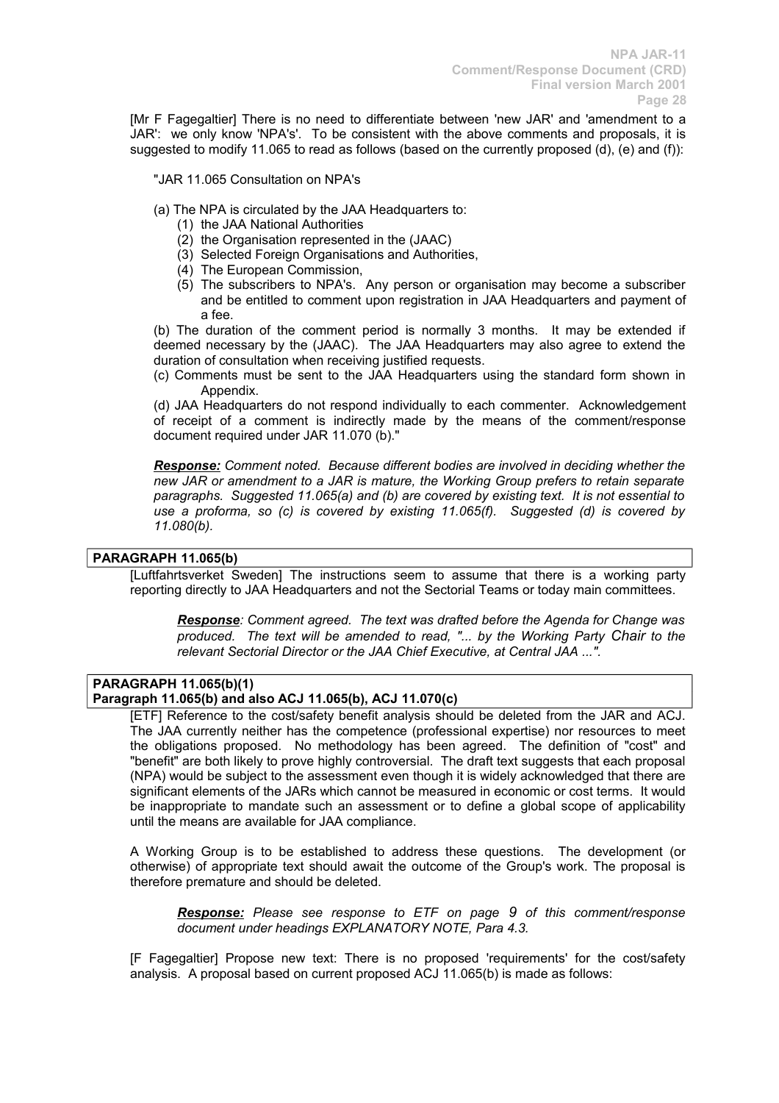[Mr F Fagegaltier] There is no need to differentiate between 'new JAR' and 'amendment to a JAR': we only know 'NPA's'. To be consistent with the above comments and proposals, it is suggested to modify 11.065 to read as follows (based on the currently proposed (d), (e) and (f)):

### "JAR 11.065 Consultation on NPA's

- (a) The NPA is circulated by the JAA Headquarters to:
	- (1) the JAA National Authorities
	- $(2)$  the Organisation represented in the  $(JAAC)$
	- (3) Selected Foreign Organisations and Authorities,
	- (4) The European Commission,
	- (5) The subscribers to NPA's. Any person or organisation may become a subscriber and be entitled to comment upon registration in JAA Headquarters and payment of a fee.

(b) The duration of the comment period is normally 3 months. It may be extended if deemed necessary by the (JAAC). The JAA Headquarters may also agree to extend the duration of consultation when receiving justified requests.

(c) Comments must be sent to the JAA Headquarters using the standard form shown in Appendix.

(d) JAA Headquarters do not respond individually to each commenter. Acknowledgement of receipt of a comment is indirectly made by the means of the comment/response document required under JAR 11.070 (b)."

*Response: Comment noted. Because different bodies are involved in deciding whether the new JAR or amendment to a JAR is mature, the Working Group prefers to retain separate paragraphs. Suggested 11.065(a) and (b) are covered by existing text. It is not essential to use a proforma, so (c) is covered by existing 11.065(f). Suggested (d) is covered by 11.080(b).*

# **PARAGRAPH 11.065(b)**

[Luftfahrtsverket Sweden] The instructions seem to assume that there is a working party reporting directly to JAA Headquarters and not the Sectorial Teams or today main committees.

*Response: Comment agreed. The text was drafted before the Agenda for Change was produced. The text will be amended to read, "... by the Working Party Chair to the relevant Sectorial Director or the JAA Chief Executive, at Central JAA ...".*

#### **PARAGRAPH 11.065(b)(1) Paragraph 11.065(b) and also ACJ 11.065(b), ACJ 11.070(c)**

[ETF] Reference to the cost/safety benefit analysis should be deleted from the JAR and ACJ. The JAA currently neither has the competence (professional expertise) nor resources to meet the obligations proposed. No methodology has been agreed. The definition of "cost" and "benefit" are both likely to prove highly controversial. The draft text suggests that each proposal (NPA) would be subject to the assessment even though it is widely acknowledged that there are significant elements of the JARs which cannot be measured in economic or cost terms. It would be inappropriate to mandate such an assessment or to define a global scope of applicability until the means are available for JAA compliance.

A Working Group is to be established to address these questions. The development (or otherwise) of appropriate text should await the outcome of the Group's work. The proposal is therefore premature and should be deleted.

*Response: Please see response to ETF on page 9 of this comment/response document under headings EXPLANATORY NOTE, Para 4.3.*

[F Fagegaltier] Propose new text: There is no proposed 'requirements' for the cost/safety analysis. A proposal based on current proposed ACJ 11.065(b) is made as follows: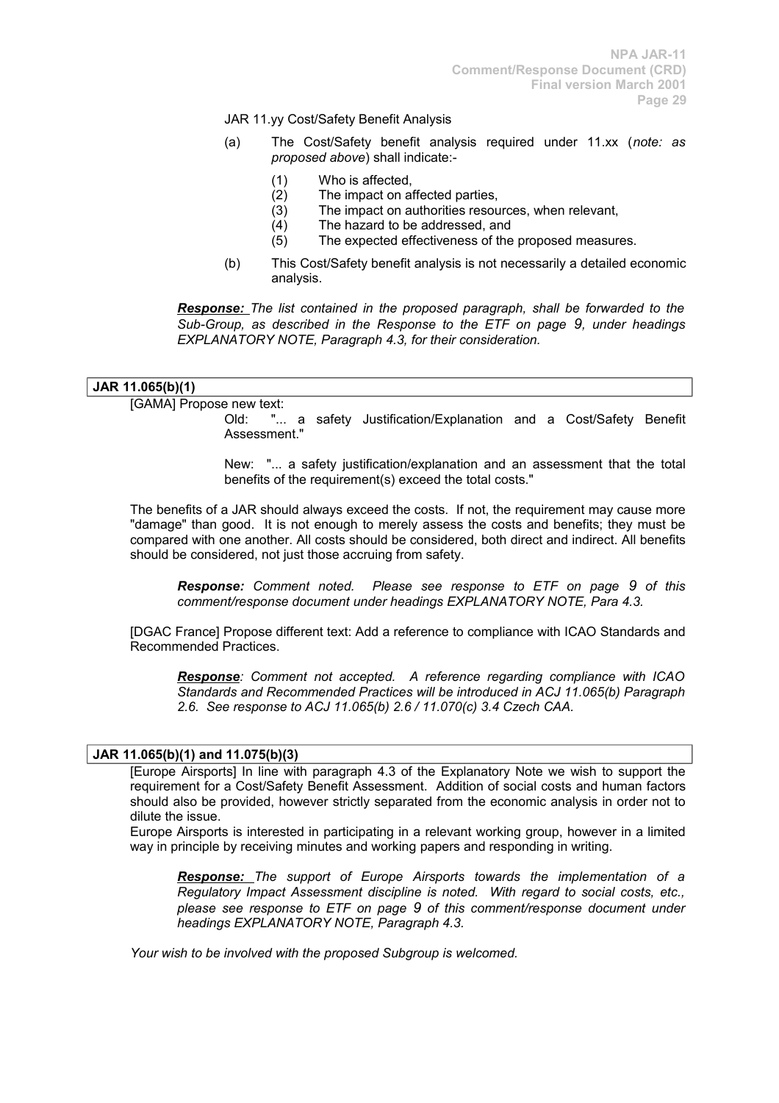JAR 11.yy Cost/Safety Benefit Analysis

- (a) The Cost/Safety benefit analysis required under 11.xx (*note: as proposed above*) shall indicate:-
	- (1) Who is affected,
	- (2) The impact on affected parties,
	- (3) The impact on authorities resources, when relevant,
	- (4) The hazard to be addressed, and
	- (5) The expected effectiveness of the proposed measures.
- (b) This Cost/Safety benefit analysis is not necessarily a detailed economic analysis.

*Response: The list contained in the proposed paragraph, shall be forwarded to the Sub-Group, as described in the Response to the ETF on page 9, under headings EXPLANATORY NOTE, Paragraph 4.3, for their consideration.*

### **JAR 11.065(b)(1)**

[GAMA] Propose new text:

Old: "... a safety Justification/Explanation and a Cost/Safety Benefit Assessment."

New: "... a safety justification/explanation and an assessment that the total benefits of the requirement(s) exceed the total costs."

The benefits of a JAR should always exceed the costs. If not, the requirement may cause more "damage" than good. It is not enough to merely assess the costs and benefits; they must be compared with one another. All costs should be considered, both direct and indirect. All benefits should be considered, not just those accruing from safety.

*Response: Comment noted. Please see response to ETF on page 9 of this comment/response document under headings EXPLANATORY NOTE, Para 4.3.*

[DGAC France] Propose different text: Add a reference to compliance with ICAO Standards and Recommended Practices.

*Response: Comment not accepted. A reference regarding compliance with ICAO Standards and Recommended Practices will be introduced in ACJ 11.065(b) Paragraph 2.6. See response to ACJ 11.065(b) 2.6 / 11.070(c) 3.4 Czech CAA.*

### **JAR 11.065(b)(1) and 11.075(b)(3)**

[Europe Airsports] In line with paragraph 4.3 of the Explanatory Note we wish to support the requirement for a Cost/Safety Benefit Assessment. Addition of social costs and human factors should also be provided, however strictly separated from the economic analysis in order not to dilute the issue.

Europe Airsports is interested in participating in a relevant working group, however in a limited way in principle by receiving minutes and working papers and responding in writing.

*Response: The support of Europe Airsports towards the implementation of a Regulatory Impact Assessment discipline is noted. With regard to social costs, etc., please see response to ETF on page 9 of this comment/response document under headings EXPLANATORY NOTE, Paragraph 4.3.*

*Your wish to be involved with the proposed Subgroup is welcomed.*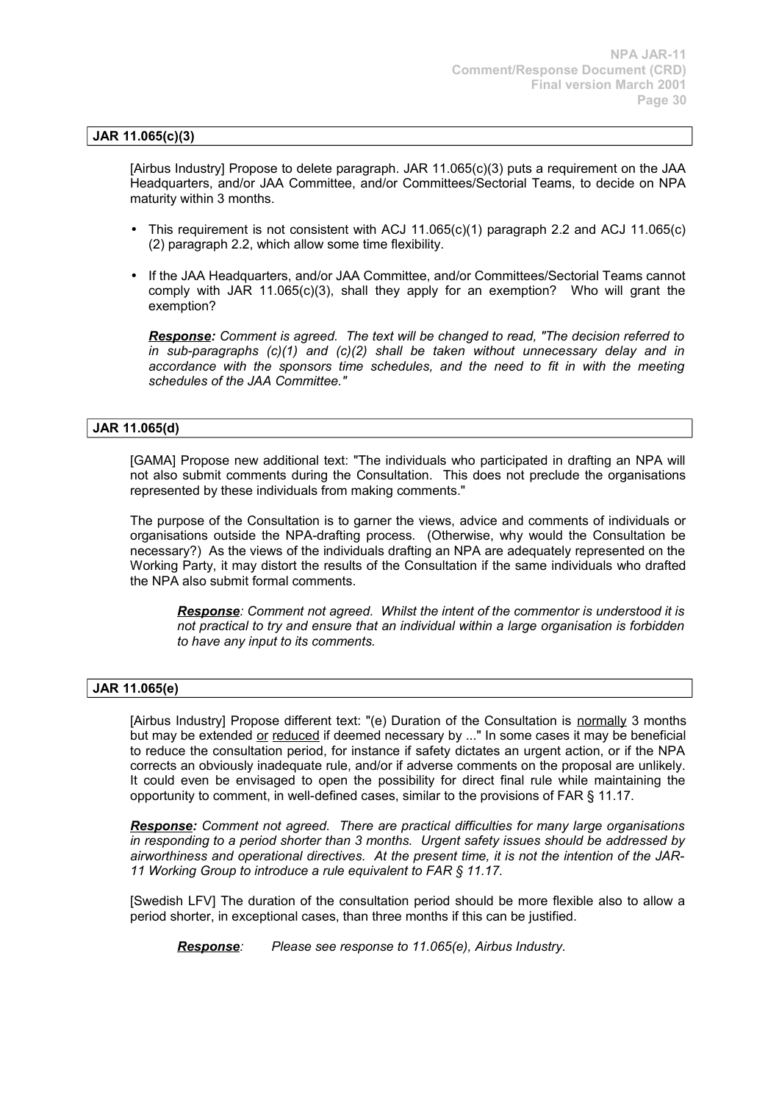# **JAR 11.065(c)(3)**

[Airbus Industry] Propose to delete paragraph. JAR 11.065(c)(3) puts a requirement on the JAA Headquarters, and/or JAA Committee, and/or Committees/Sectorial Teams, to decide on NPA maturity within 3 months.

- This requirement is not consistent with ACJ 11.065(c)(1) paragraph 2.2 and ACJ 11.065(c) (2) paragraph 2.2, which allow some time flexibility.
- If the JAA Headquarters, and/or JAA Committee, and/or Committees/Sectorial Teams cannot comply with JAR 11.065(c)(3), shall they apply for an exemption? Who will grant the exemption?

*Response: Comment is agreed. The text will be changed to read, "The decision referred to in sub-paragraphs (c)(1) and (c)(2) shall be taken without unnecessary delay and in accordance with the sponsors time schedules, and the need to fit in with the meeting schedules of the JAA Committee."* 

### **JAR 11.065(d)**

[GAMA] Propose new additional text: "The individuals who participated in drafting an NPA will not also submit comments during the Consultation. This does not preclude the organisations represented by these individuals from making comments."

The purpose of the Consultation is to garner the views, advice and comments of individuals or organisations outside the NPA-drafting process. (Otherwise, why would the Consultation be necessary?) As the views of the individuals drafting an NPA are adequately represented on the Working Party, it may distort the results of the Consultation if the same individuals who drafted the NPA also submit formal comments.

*Response: Comment not agreed. Whilst the intent of the commentor is understood it is not practical to try and ensure that an individual within a large organisation is forbidden to have any input to its comments.*

### **JAR 11.065(e)**

[Airbus Industry] Propose different text: "(e) Duration of the Consultation is normally 3 months but may be extended or reduced if deemed necessary by ..." In some cases it may be beneficial to reduce the consultation period, for instance if safety dictates an urgent action, or if the NPA corrects an obviously inadequate rule, and/or if adverse comments on the proposal are unlikely. It could even be envisaged to open the possibility for direct final rule while maintaining the opportunity to comment, in well-defined cases, similar to the provisions of FAR § 11.17.

*Response: Comment not agreed. There are practical difficulties for many large organisations in responding to a period shorter than 3 months. Urgent safety issues should be addressed by airworthiness and operational directives. At the present time, it is not the intention of the JAR-11 Working Group to introduce a rule equivalent to FAR § 11.17.*

[Swedish LFV] The duration of the consultation period should be more flexible also to allow a period shorter, in exceptional cases, than three months if this can be justified.

*Response: Please see response to 11.065(e), Airbus Industry.*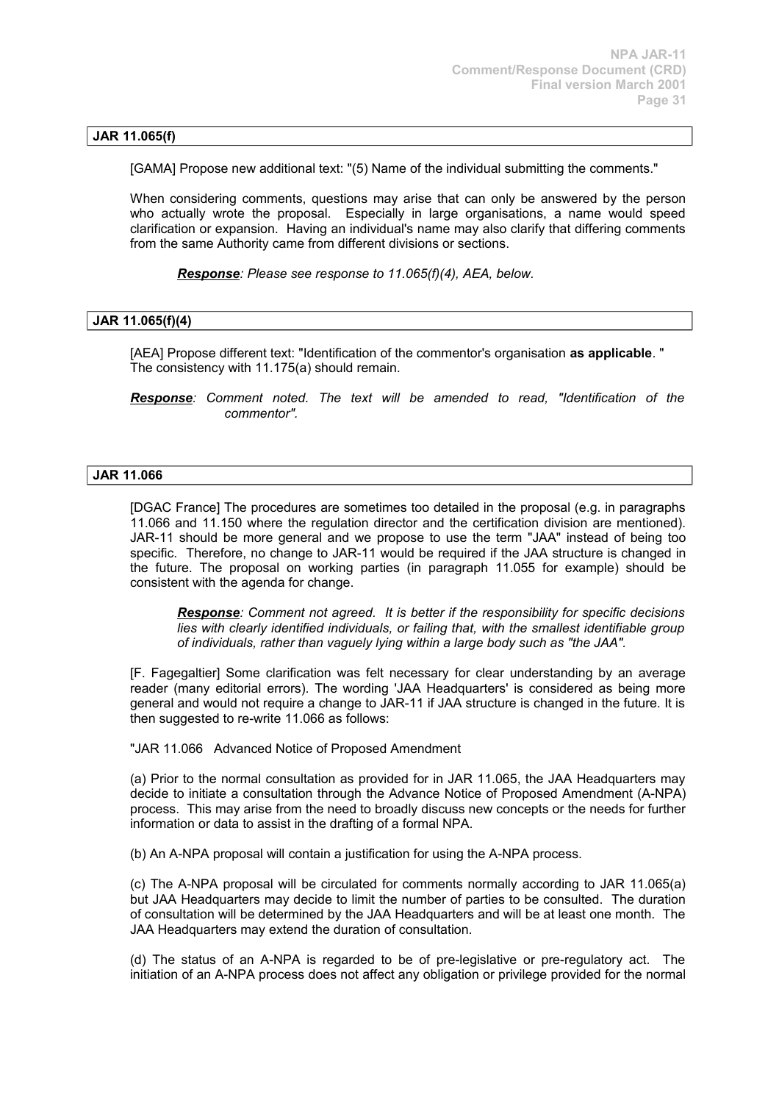### **JAR 11.065(f)**

[GAMA] Propose new additional text: "(5) Name of the individual submitting the comments."

When considering comments, questions may arise that can only be answered by the person who actually wrote the proposal. Especially in large organisations, a name would speed clarification or expansion. Having an individual's name may also clarify that differing comments from the same Authority came from different divisions or sections.

*Response: Please see response to 11.065(f)(4), AEA, below.*

### **JAR 11.065(f)(4)**

[AEA] Propose different text: "Identification of the commentor's organisation **as applicable**. " The consistency with 11.175(a) should remain.

*Response: Comment noted. The text will be amended to read, "Identification of the commentor".*

#### **JAR 11.066**

[DGAC France] The procedures are sometimes too detailed in the proposal (e.g. in paragraphs 11.066 and 11.150 where the regulation director and the certification division are mentioned). JAR-11 should be more general and we propose to use the term "JAA" instead of being too specific. Therefore, no change to JAR-11 would be required if the JAA structure is changed in the future. The proposal on working parties (in paragraph 11.055 for example) should be consistent with the agenda for change.

*Response: Comment not agreed. It is better if the responsibility for specific decisions lies with clearly identified individuals, or failing that, with the smallest identifiable group of individuals, rather than vaguely lying within a large body such as "the JAA".*

[F. Fagegaltier] Some clarification was felt necessary for clear understanding by an average reader (many editorial errors). The wording 'JAA Headquarters' is considered as being more general and would not require a change to JAR-11 if JAA structure is changed in the future. It is then suggested to re-write 11.066 as follows:

"JAR 11.066 Advanced Notice of Proposed Amendment

(a) Prior to the normal consultation as provided for in JAR 11.065, the JAA Headquarters may decide to initiate a consultation through the Advance Notice of Proposed Amendment (A-NPA) process. This may arise from the need to broadly discuss new concepts or the needs for further information or data to assist in the drafting of a formal NPA.

(b) An A-NPA proposal will contain a justification for using the A-NPA process.

(c) The A-NPA proposal will be circulated for comments normally according to JAR 11.065(a) but JAA Headquarters may decide to limit the number of parties to be consulted. The duration of consultation will be determined by the JAA Headquarters and will be at least one month. The JAA Headquarters may extend the duration of consultation.

(d) The status of an A-NPA is regarded to be of pre-legislative or pre-regulatory act. The initiation of an A-NPA process does not affect any obligation or privilege provided for the normal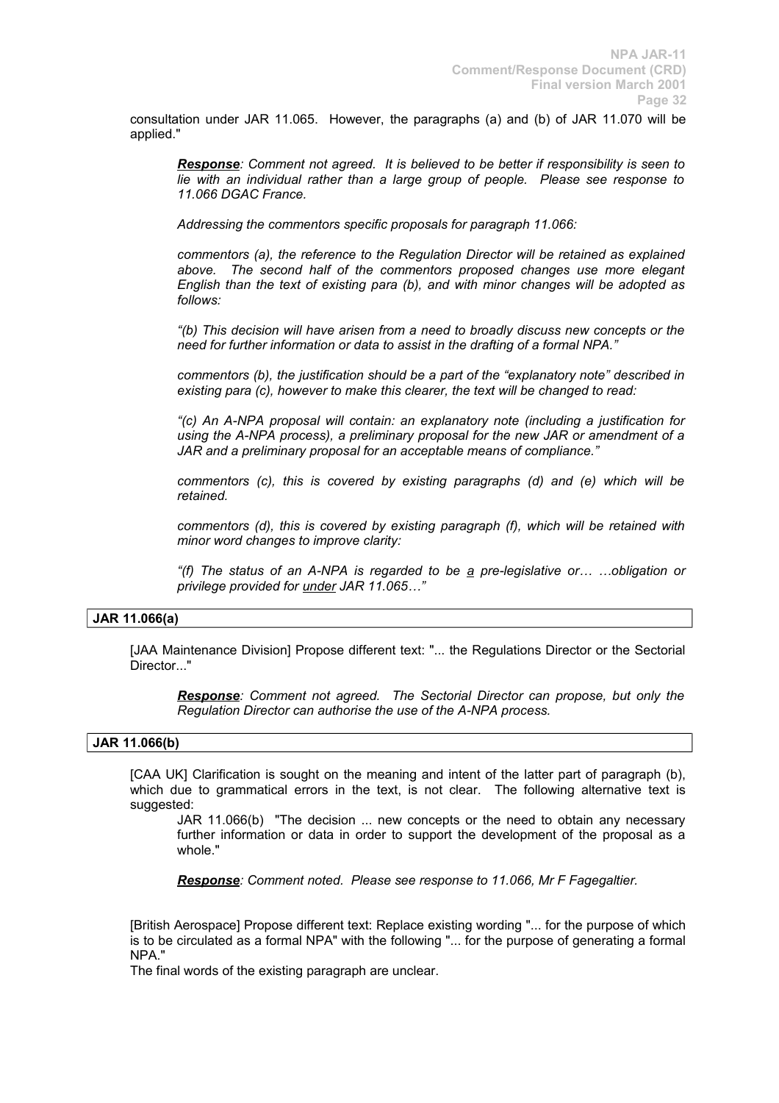consultation under JAR 11.065. However, the paragraphs (a) and (b) of JAR 11.070 will be applied."

*Response: Comment not agreed. It is believed to be better if responsibility is seen to lie with an individual rather than a large group of people. Please see response to 11.066 DGAC France.*

*Addressing the commentors specific proposals for paragraph 11.066:*

*commentors (a), the reference to the Regulation Director will be retained as explained above. The second half of the commentors proposed changes use more elegant English than the text of existing para (b), and with minor changes will be adopted as follows:*

*"(b) This decision will have arisen from a need to broadly discuss new concepts or the need for further information or data to assist in the drafting of a formal NPA."*

*commentors (b), the justification should be a part of the "explanatory note" described in existing para (c), however to make this clearer, the text will be changed to read:*

*"(c) An A-NPA proposal will contain: an explanatory note (including a justification for using the A-NPA process), a preliminary proposal for the new JAR or amendment of a JAR and a preliminary proposal for an acceptable means of compliance."*

*commentors (c), this is covered by existing paragraphs (d) and (e) which will be retained.*

*commentors (d), this is covered by existing paragraph (f), which will be retained with minor word changes to improve clarity:*

*"(f) The status of an A-NPA is regarded to be a pre-legislative or… …obligation or privilege provided for under JAR 11.065…"*

# **JAR 11.066(a)**

[JAA Maintenance Division] Propose different text: "... the Regulations Director or the Sectorial Director..."

*Response: Comment not agreed. The Sectorial Director can propose, but only the Regulation Director can authorise the use of the A-NPA process.*

### **JAR 11.066(b)**

[CAA UK] Clarification is sought on the meaning and intent of the latter part of paragraph (b), which due to grammatical errors in the text, is not clear. The following alternative text is suggested:

JAR 11.066(b) "The decision ... new concepts or the need to obtain any necessary further information or data in order to support the development of the proposal as a whole."

*Response: Comment noted. Please see response to 11.066, Mr F Fagegaltier.*

[British Aerospace] Propose different text: Replace existing wording "... for the purpose of which is to be circulated as a formal NPA" with the following "... for the purpose of generating a formal NPA."

The final words of the existing paragraph are unclear.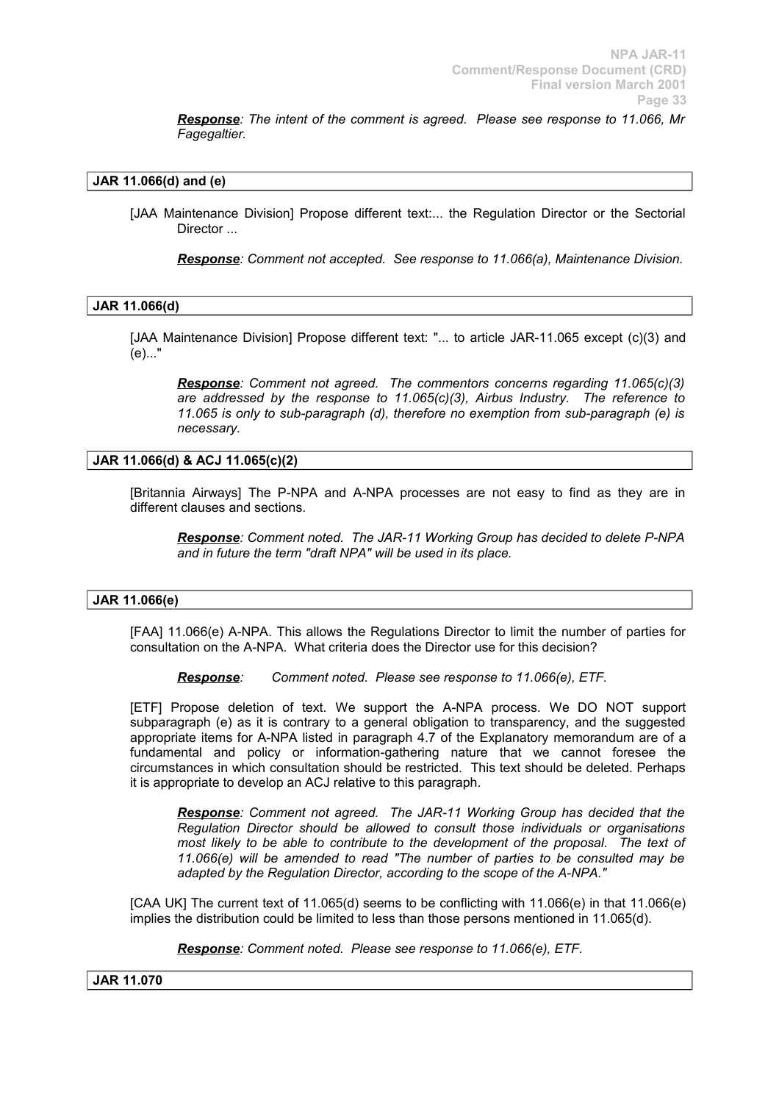*Response: The intent of the comment is agreed. Please see response to 11.066, Mr Fagegaltier.*

# **JAR 11.066(d) and (e)**

[JAA Maintenance Division] Propose different text:... the Regulation Director or the Sectorial Director ...

*Response: Comment not accepted. See response to 11.066(a), Maintenance Division.*

### **JAR 11.066(d)**

[JAA Maintenance Division] Propose different text: "... to article JAR-11.065 except (c)(3) and (e)..."

*Response: Comment not agreed. The commentors concerns regarding 11.065(c)(3) are addressed by the response to 11.065(c)(3), Airbus Industry. The reference to 11.065 is only to sub-paragraph (d), therefore no exemption from sub-paragraph (e) is necessary.*

### **JAR 11.066(d) & ACJ 11.065(c)(2)**

[Britannia Airways] The P-NPA and A-NPA processes are not easy to find as they are in different clauses and sections.

*Response: Comment noted. The JAR-11 Working Group has decided to delete P-NPA and in future the term "draft NPA" will be used in its place.*

### **JAR 11.066(e)**

[FAA] 11.066(e) A-NPA. This allows the Regulations Director to limit the number of parties for consultation on the A-NPA. What criteria does the Director use for this decision?

*Response: Comment noted. Please see response to 11.066(e), ETF.*

[ETF] Propose deletion of text. We support the A-NPA process. We DO NOT support subparagraph (e) as it is contrary to a general obligation to transparency, and the suggested appropriate items for A-NPA listed in paragraph 4.7 of the Explanatory memorandum are of a fundamental and policy or information-gathering nature that we cannot foresee the circumstances in which consultation should be restricted. This text should be deleted. Perhaps it is appropriate to develop an ACJ relative to this paragraph.

*Response: Comment not agreed. The JAR-11 Working Group has decided that the Regulation Director should be allowed to consult those individuals or organisations most likely to be able to contribute to the development of the proposal. The text of 11.066(e) will be amended to read "The number of parties to be consulted may be adapted by the Regulation Director, according to the scope of the A-NPA."*

[CAA UK] The current text of 11.065(d) seems to be conflicting with 11.066(e) in that 11.066(e) implies the distribution could be limited to less than those persons mentioned in 11.065(d).

*Response: Comment noted. Please see response to 11.066(e), ETF.*

#### **JAR 11.070**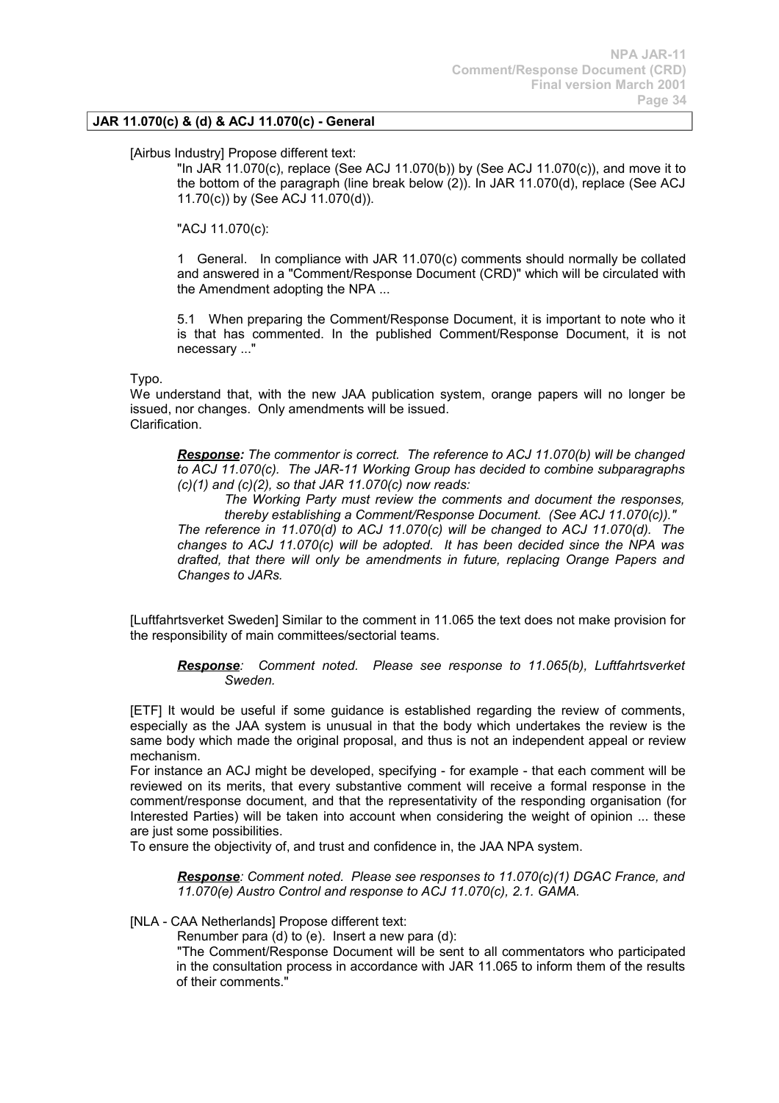# **JAR 11.070(c) & (d) & ACJ 11.070(c) - General**

### [Airbus Industry] Propose different text:

"In JAR 11.070(c), replace (See ACJ 11.070(b)) by (See ACJ 11.070(c)), and move it to the bottom of the paragraph (line break below (2)). In JAR 11.070(d), replace (See ACJ 11.70(c)) by (See ACJ 11.070(d)).

"ACJ 11.070(c):

*Changes to JARs.*

1 General. In compliance with JAR 11.070(c) comments should normally be collated and answered in a "Comment/Response Document (CRD)" which will be circulated with the Amendment adopting the NPA ...

5.1 When preparing the Comment/Response Document, it is important to note who it is that has commented. In the published Comment/Response Document, it is not necessary ..."

#### Typo.

We understand that, with the new JAA publication system, orange papers will no longer be issued, nor changes. Only amendments will be issued. Clarification.

*Response: The commentor is correct. The reference to ACJ 11.070(b) will be changed to ACJ 11.070(c). The JAR-11 Working Group has decided to combine subparagraphs (c)(1) and (c)(2), so that JAR 11.070(c) now reads:*

*The Working Party must review the comments and document the responses, thereby establishing a Comment/Response Document. (See ACJ 11.070(c))." The reference in 11.070(d) to ACJ 11.070(c) will be changed to ACJ 11.070(d). The changes to ACJ 11.070(c) will be adopted. It has been decided since the NPA was drafted, that there will only be amendments in future, replacing Orange Papers and*

[Luftfahrtsverket Sweden] Similar to the comment in 11.065 the text does not make provision for the responsibility of main committees/sectorial teams.

*Response: Comment noted. Please see response to 11.065(b), Luftfahrtsverket Sweden.*

[ETF] It would be useful if some guidance is established regarding the review of comments, especially as the JAA system is unusual in that the body which undertakes the review is the same body which made the original proposal, and thus is not an independent appeal or review mechanism.

For instance an ACJ might be developed, specifying - for example - that each comment will be reviewed on its merits, that every substantive comment will receive a formal response in the comment/response document, and that the representativity of the responding organisation (for Interested Parties) will be taken into account when considering the weight of opinion ... these are just some possibilities.

To ensure the objectivity of, and trust and confidence in, the JAA NPA system.

*Response: Comment noted. Please see responses to 11.070(c)(1) DGAC France, and 11.070(e) Austro Control and response to ACJ 11.070(c), 2.1. GAMA.*

[NLA - CAA Netherlands] Propose different text:

Renumber para (d) to (e). Insert a new para (d):

"The Comment/Response Document will be sent to all commentators who participated in the consultation process in accordance with JAR 11.065 to inform them of the results of their comments."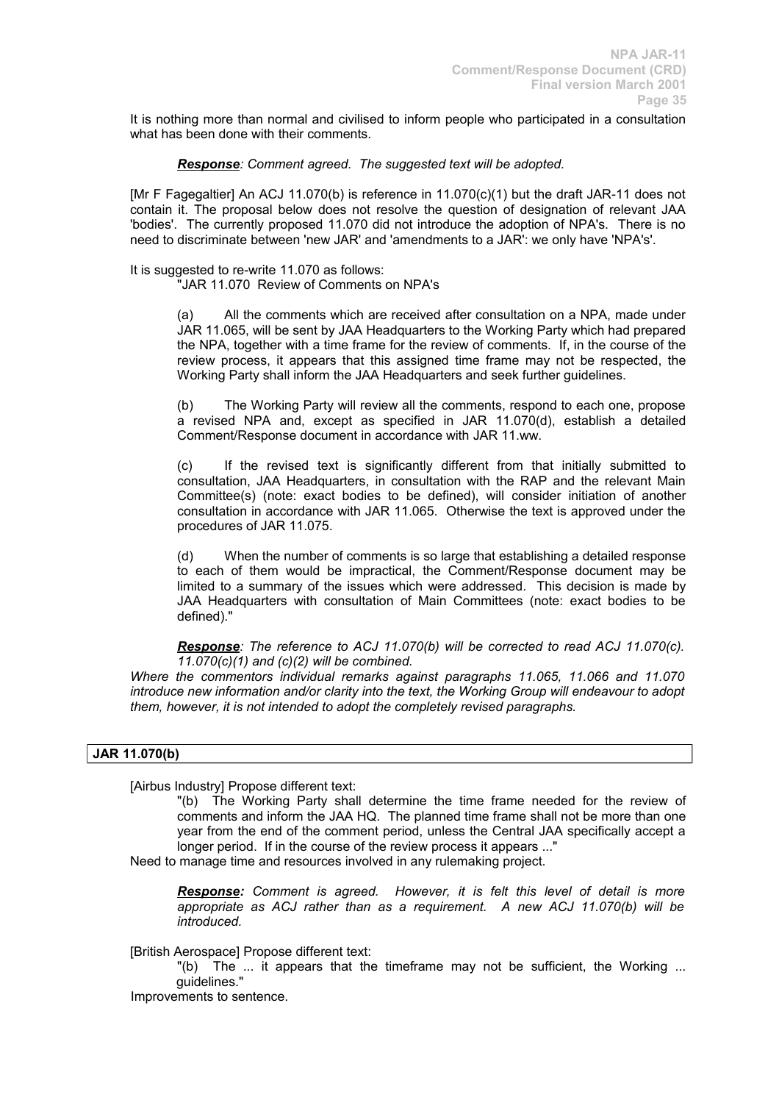It is nothing more than normal and civilised to inform people who participated in a consultation what has been done with their comments.

*Response: Comment agreed. The suggested text will be adopted.*

[Mr F Fagegaltier] An ACJ 11.070(b) is reference in 11.070(c)(1) but the draft JAR-11 does not contain it. The proposal below does not resolve the question of designation of relevant JAA 'bodies'. The currently proposed 11.070 did not introduce the adoption of NPA's. There is no need to discriminate between 'new JAR' and 'amendments to a JAR': we only have 'NPA's'.

It is suggested to re-write 11.070 as follows:

"JAR 11.070 Review of Comments on NPA's

(a) All the comments which are received after consultation on a NPA, made under JAR 11.065, will be sent by JAA Headquarters to the Working Party which had prepared the NPA, together with a time frame for the review of comments. If, in the course of the review process, it appears that this assigned time frame may not be respected, the Working Party shall inform the JAA Headquarters and seek further guidelines.

(b) The Working Party will review all the comments, respond to each one, propose a revised NPA and, except as specified in JAR 11.070(d), establish a detailed Comment/Response document in accordance with JAR 11.ww.

(c) If the revised text is significantly different from that initially submitted to consultation, JAA Headquarters, in consultation with the RAP and the relevant Main Committee(s) (note: exact bodies to be defined), will consider initiation of another consultation in accordance with JAR 11.065. Otherwise the text is approved under the procedures of JAR 11.075.

(d) When the number of comments is so large that establishing a detailed response to each of them would be impractical, the Comment/Response document may be limited to a summary of the issues which were addressed. This decision is made by JAA Headquarters with consultation of Main Committees (note: exact bodies to be defined)."

*Response: The reference to ACJ 11.070(b) will be corrected to read ACJ 11.070(c). 11.070(c)(1) and (c)(2) will be combined.* 

*Where the commentors individual remarks against paragraphs 11.065, 11.066 and 11.070 introduce new information and/or clarity into the text, the Working Group will endeavour to adopt them, however, it is not intended to adopt the completely revised paragraphs.*

# **JAR 11.070(b)**

[Airbus Industry] Propose different text:

"(b) The Working Party shall determine the time frame needed for the review of comments and inform the JAA HQ. The planned time frame shall not be more than one year from the end of the comment period, unless the Central JAA specifically accept a longer period. If in the course of the review process it appears ..."

Need to manage time and resources involved in any rulemaking project.

*Response: Comment is agreed. However, it is felt this level of detail is more appropriate as ACJ rather than as a requirement. A new ACJ 11.070(b) will be introduced.*

[British Aerospace] Propose different text:

"(b) The ... it appears that the timeframe may not be sufficient, the Working ... guidelines."

Improvements to sentence.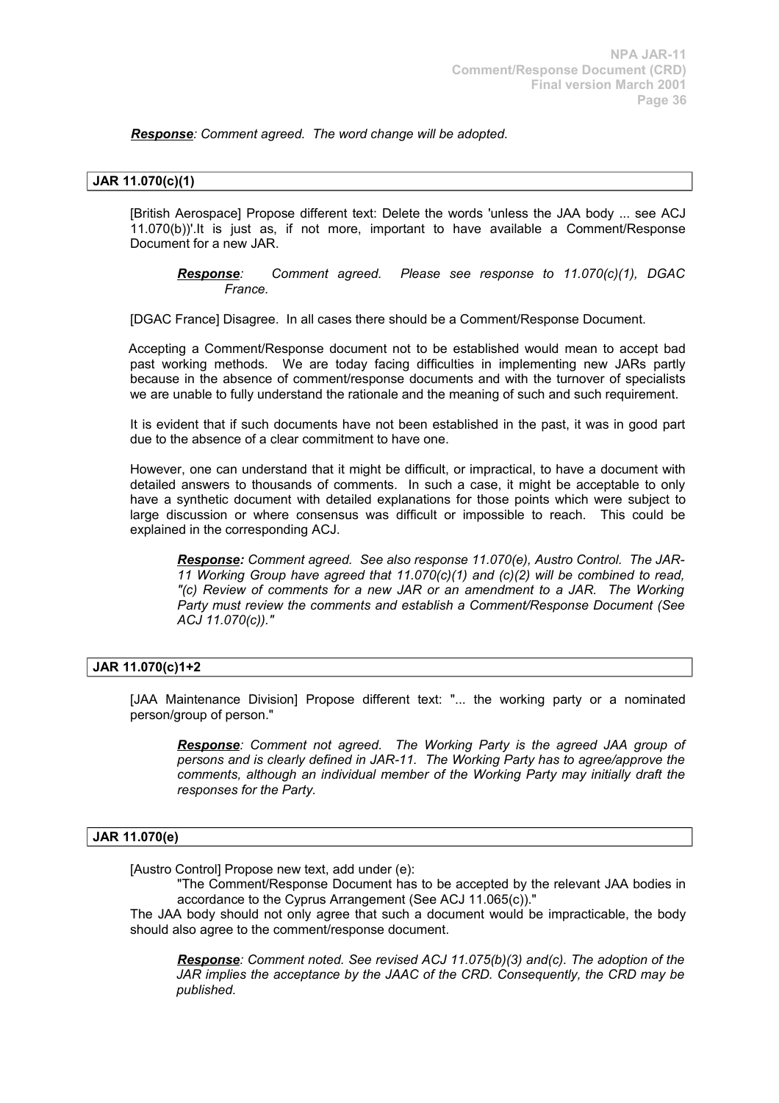*Response: Comment agreed. The word change will be adopted.*

# **JAR 11.070(c)(1)**

[British Aerospace] Propose different text: Delete the words 'unless the JAA body ... see ACJ 11.070(b))'.It is just as, if not more, important to have available a Comment/Response Document for a new JAR.

*Response: Comment agreed. Please see response to 11.070(c)(1), DGAC France.*

[DGAC France] Disagree. In all cases there should be a Comment/Response Document.

Accepting a Comment/Response document not to be established would mean to accept bad past working methods. We are today facing difficulties in implementing new JARs partly because in the absence of comment/response documents and with the turnover of specialists we are unable to fully understand the rationale and the meaning of such and such requirement.

It is evident that if such documents have not been established in the past, it was in good part due to the absence of a clear commitment to have one.

However, one can understand that it might be difficult, or impractical, to have a document with detailed answers to thousands of comments. In such a case, it might be acceptable to only have a synthetic document with detailed explanations for those points which were subject to large discussion or where consensus was difficult or impossible to reach. This could be explained in the corresponding ACJ.

*Response: Comment agreed. See also response 11.070(e), Austro Control. The JAR-11 Working Group have agreed that 11.070(c)(1) and (c)(2) will be combined to read, "(c) Review of comments for a new JAR or an amendment to a JAR. The Working Party must review the comments and establish a Comment/Response Document (See ACJ 11.070(c))."*

# **JAR 11.070(c)1+2**

[JAA Maintenance Division] Propose different text: "... the working party or a nominated person/group of person."

*Response: Comment not agreed. The Working Party is the agreed JAA group of persons and is clearly defined in JAR-11. The Working Party has to agree/approve the comments, although an individual member of the Working Party may initially draft the responses for the Party.*

#### **JAR 11.070(e)**

[Austro Control] Propose new text, add under (e):

"The Comment/Response Document has to be accepted by the relevant JAA bodies in accordance to the Cyprus Arrangement (See ACJ 11.065(c))."

The JAA body should not only agree that such a document would be impracticable, the body should also agree to the comment/response document.

*Response: Comment noted. See revised ACJ 11.075(b)(3) and(c). The adoption of the JAR implies the acceptance by the JAAC of the CRD. Consequently, the CRD may be published.*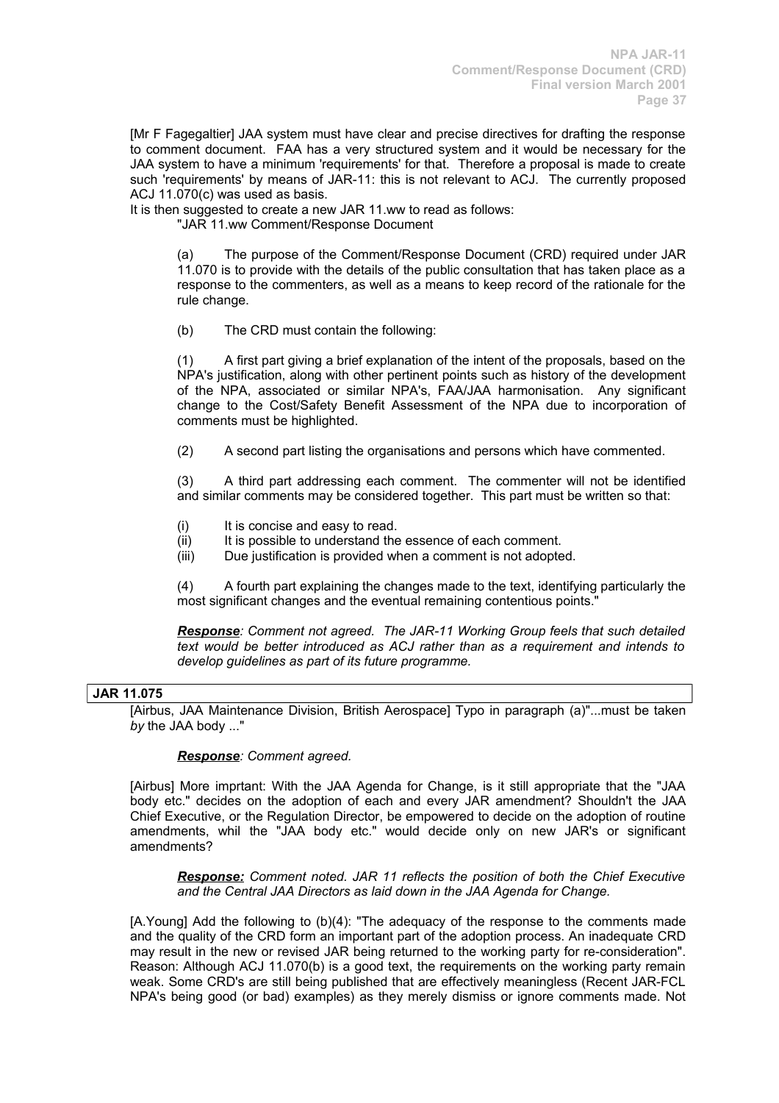[Mr F Fagegaltier] JAA system must have clear and precise directives for drafting the response to comment document. FAA has a very structured system and it would be necessary for the JAA system to have a minimum 'requirements' for that. Therefore a proposal is made to create such 'requirements' by means of JAR-11: this is not relevant to ACJ. The currently proposed ACJ 11.070(c) was used as basis.

It is then suggested to create a new JAR 11, ww to read as follows:

"JAR 11.ww Comment/Response Document

(a) The purpose of the Comment/Response Document (CRD) required under JAR 11.070 is to provide with the details of the public consultation that has taken place as a response to the commenters, as well as a means to keep record of the rationale for the rule change.

(b) The CRD must contain the following:

(1) A first part giving a brief explanation of the intent of the proposals, based on the NPA's justification, along with other pertinent points such as history of the development of the NPA, associated or similar NPA's, FAA/JAA harmonisation. Any significant change to the Cost/Safety Benefit Assessment of the NPA due to incorporation of comments must be highlighted.

(2) A second part listing the organisations and persons which have commented.

(3) A third part addressing each comment. The commenter will not be identified and similar comments may be considered together. This part must be written so that:

- (i) It is concise and easy to read.
- (ii) It is possible to understand the essence of each comment.
- (iii) Due justification is provided when a comment is not adopted.

(4) A fourth part explaining the changes made to the text, identifying particularly the most significant changes and the eventual remaining contentious points."

*Response: Comment not agreed. The JAR-11 Working Group feels that such detailed text would be better introduced as ACJ rather than as a requirement and intends to develop guidelines as part of its future programme.*

# **JAR 11.075**

[Airbus, JAA Maintenance Division, British Aerospace] Typo in paragraph (a)"...must be taken *by* the JAA body ..."

# *Response: Comment agreed.*

[Airbus] More imprtant: With the JAA Agenda for Change, is it still appropriate that the "JAA body etc." decides on the adoption of each and every JAR amendment? Shouldn't the JAA Chief Executive, or the Regulation Director, be empowered to decide on the adoption of routine amendments, whil the "JAA body etc." would decide only on new JAR's or significant amendments?

*Response: Comment noted. JAR 11 reflects the position of both the Chief Executive and the Central JAA Directors as laid down in the JAA Agenda for Change.*

[A.Young] Add the following to (b)(4): "The adequacy of the response to the comments made and the quality of the CRD form an important part of the adoption process. An inadequate CRD may result in the new or revised JAR being returned to the working party for re-consideration". Reason: Although ACJ 11.070(b) is a good text, the requirements on the working party remain weak. Some CRD's are still being published that are effectively meaningless (Recent JAR-FCL NPA's being good (or bad) examples) as they merely dismiss or ignore comments made. Not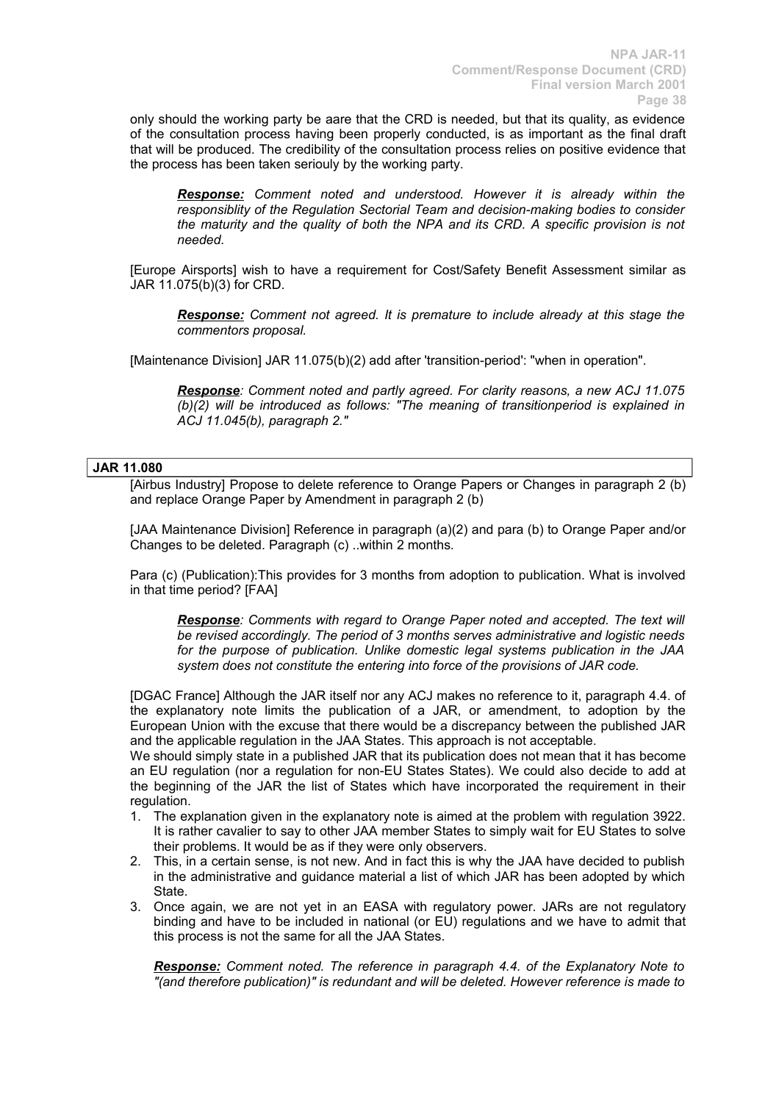only should the working party be aare that the CRD is needed, but that its quality, as evidence of the consultation process having been properly conducted, is as important as the final draft that will be produced. The credibility of the consultation process relies on positive evidence that the process has been taken seriouly by the working party.

*Response: Comment noted and understood. However it is already within the responsiblity of the Regulation Sectorial Team and decision-making bodies to consider the maturity and the quality of both the NPA and its CRD. A specific provision is not needed.*

[Europe Airsports] wish to have a requirement for Cost/Safety Benefit Assessment similar as JAR 11.075(b)(3) for CRD.

*Response: Comment not agreed. It is premature to include already at this stage the commentors proposal.*

[Maintenance Division] JAR 11.075(b)(2) add after 'transition-period': "when in operation".

*Response: Comment noted and partly agreed. For clarity reasons, a new ACJ 11.075 (b)(2) will be introduced as follows: "The meaning of transitionperiod is explained in ACJ 11.045(b), paragraph 2."*

# **JAR 11.080**

[Airbus Industry] Propose to delete reference to Orange Papers or Changes in paragraph 2 (b) and replace Orange Paper by Amendment in paragraph 2 (b)

[JAA Maintenance Division] Reference in paragraph (a)(2) and para (b) to Orange Paper and/or Changes to be deleted. Paragraph (c) ..within 2 months.

Para (c) (Publication):This provides for 3 months from adoption to publication. What is involved in that time period? [FAA]

*Response: Comments with regard to Orange Paper noted and accepted. The text will be revised accordingly. The period of 3 months serves administrative and logistic needs for the purpose of publication. Unlike domestic legal systems publication in the JAA system does not constitute the entering into force of the provisions of JAR code.*

[DGAC France] Although the JAR itself nor any ACJ makes no reference to it, paragraph 4.4. of the explanatory note limits the publication of a JAR, or amendment, to adoption by the European Union with the excuse that there would be a discrepancy between the published JAR and the applicable regulation in the JAA States. This approach is not acceptable.

We should simply state in a published JAR that its publication does not mean that it has become an EU regulation (nor a regulation for non-EU States States). We could also decide to add at the beginning of the JAR the list of States which have incorporated the requirement in their regulation.

- 1. The explanation given in the explanatory note is aimed at the problem with regulation 3922. It is rather cavalier to say to other JAA member States to simply wait for EU States to solve their problems. It would be as if they were only observers.
- 2. This, in a certain sense, is not new. And in fact this is why the JAA have decided to publish in the administrative and guidance material a list of which JAR has been adopted by which State.
- 3. Once again, we are not yet in an EASA with regulatory power. JARs are not regulatory binding and have to be included in national (or EU) regulations and we have to admit that this process is not the same for all the JAA States.

*Response: Comment noted. The reference in paragraph 4.4. of the Explanatory Note to "(and therefore publication)" is redundant and will be deleted. However reference is made to*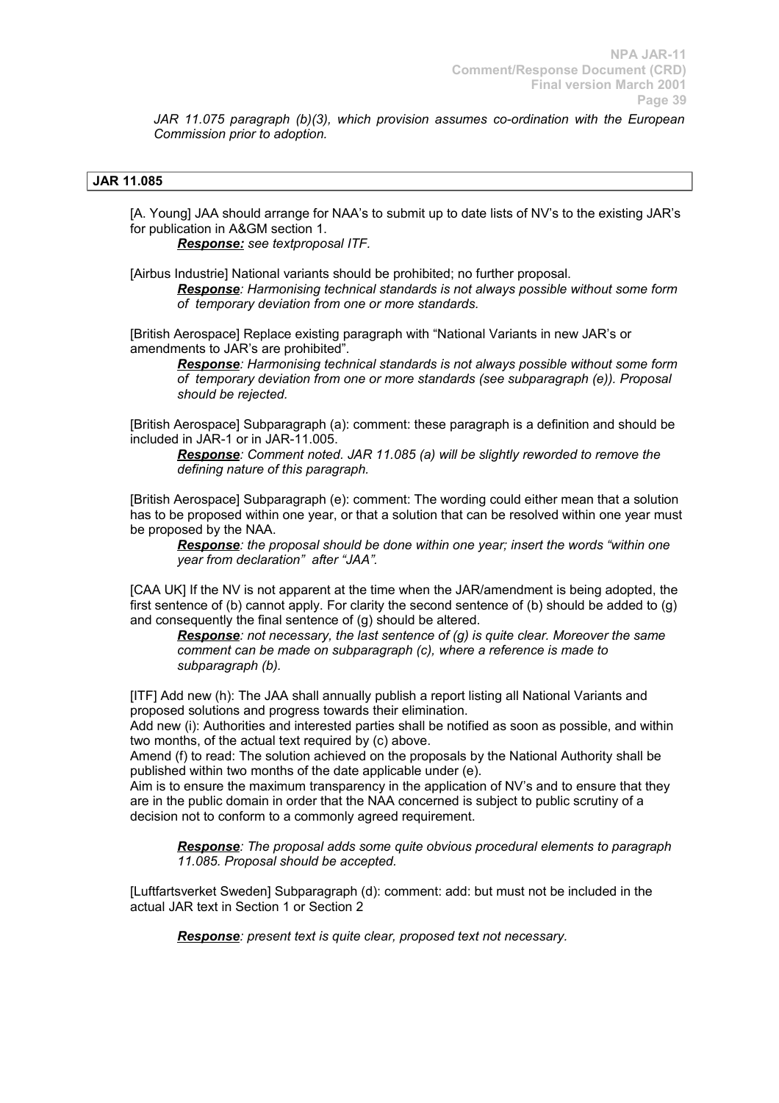*JAR 11.075 paragraph (b)(3), which provision assumes co-ordination with the European Commission prior to adoption.*

# **JAR 11.085**

[A. Young] JAA should arrange for NAA's to submit up to date lists of NV's to the existing JAR's for publication in A&GM section 1.

*Response: see textproposal ITF.*

[Airbus Industrie] National variants should be prohibited; no further proposal.

*Response: Harmonising technical standards is not always possible without some form of temporary deviation from one or more standards.* 

[British Aerospace] Replace existing paragraph with "National Variants in new JAR's or amendments to JAR's are prohibited".

*Response: Harmonising technical standards is not always possible without some form of temporary deviation from one or more standards (see subparagraph (e)). Proposal should be rejected.*

[British Aerospace] Subparagraph (a): comment: these paragraph is a definition and should be included in JAR-1 or in JAR-11.005.

*Response: Comment noted. JAR 11.085 (a) will be slightly reworded to remove the defining nature of this paragraph.*

[British Aerospace] Subparagraph (e): comment: The wording could either mean that a solution has to be proposed within one year, or that a solution that can be resolved within one year must be proposed by the NAA.

*Response: the proposal should be done within one year; insert the words "within one year from declaration" after "JAA".*

[CAA UK] If the NV is not apparent at the time when the JAR/amendment is being adopted, the first sentence of (b) cannot apply. For clarity the second sentence of (b) should be added to (g) and consequently the final sentence of (g) should be altered.

*Response: not necessary, the last sentence of (g) is quite clear. Moreover the same comment can be made on subparagraph (c), where a reference is made to subparagraph (b).*

[ITF] Add new (h): The JAA shall annually publish a report listing all National Variants and proposed solutions and progress towards their elimination.

Add new (i): Authorities and interested parties shall be notified as soon as possible, and within two months, of the actual text required by (c) above.

Amend (f) to read: The solution achieved on the proposals by the National Authority shall be published within two months of the date applicable under (e).

Aim is to ensure the maximum transparency in the application of NV's and to ensure that they are in the public domain in order that the NAA concerned is subject to public scrutiny of a decision not to conform to a commonly agreed requirement.

*Response: The proposal adds some quite obvious procedural elements to paragraph 11.085. Proposal should be accepted.*

[Luftfartsverket Sweden] Subparagraph (d): comment: add: but must not be included in the actual JAR text in Section 1 or Section 2

*Response: present text is quite clear, proposed text not necessary.*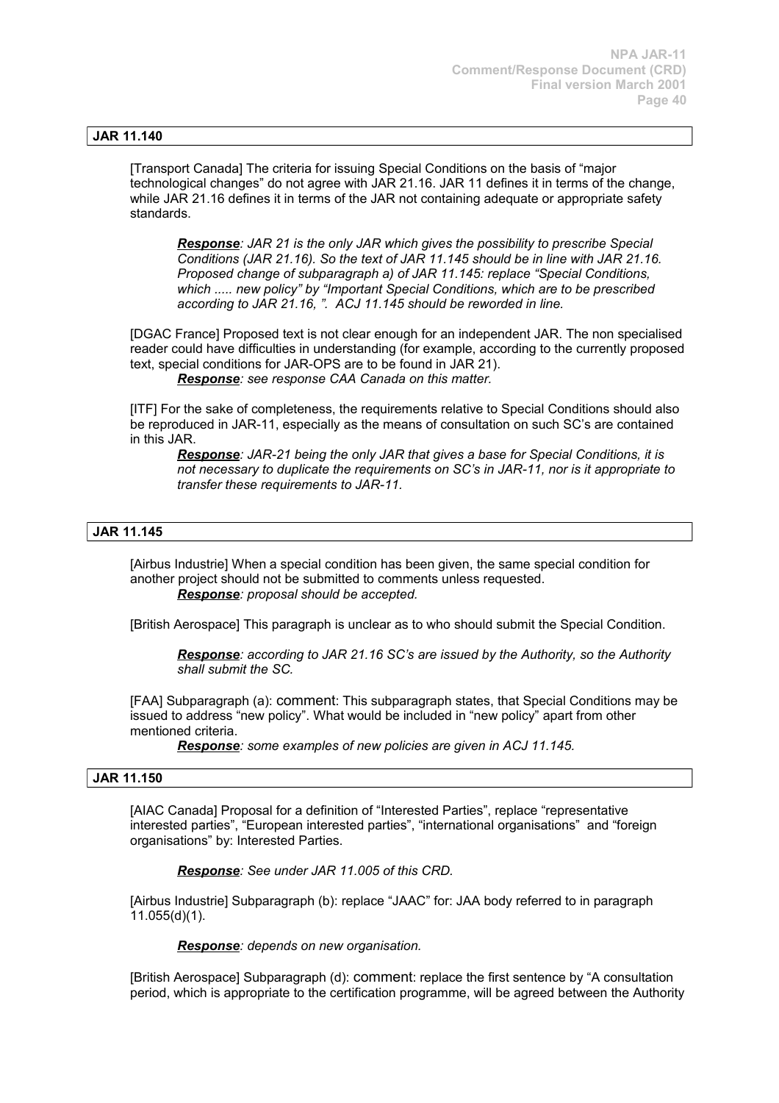# **JAR 11.140**

[Transport Canada] The criteria for issuing Special Conditions on the basis of "major technological changes" do not agree with JAR 21.16. JAR 11 defines it in terms of the change, while JAR 21.16 defines it in terms of the JAR not containing adequate or appropriate safety standards.

*Response: JAR 21 is the only JAR which gives the possibility to prescribe Special Conditions (JAR 21.16). So the text of JAR 11.145 should be in line with JAR 21.16. Proposed change of subparagraph a) of JAR 11.145: replace "Special Conditions, which ..... new policy" by "Important Special Conditions, which are to be prescribed according to JAR 21.16, ". ACJ 11.145 should be reworded in line.*

[DGAC France] Proposed text is not clear enough for an independent JAR. The non specialised reader could have difficulties in understanding (for example, according to the currently proposed text, special conditions for JAR-OPS are to be found in JAR 21).

*Response: see response CAA Canada on this matter.*

[ITF] For the sake of completeness, the requirements relative to Special Conditions should also be reproduced in JAR-11, especially as the means of consultation on such SC's are contained in this JAR.

*Response: JAR-21 being the only JAR that gives a base for Special Conditions, it is not necessary to duplicate the requirements on SC's in JAR-11, nor is it appropriate to transfer these requirements to JAR-11.*

# **JAR 11.145**

[Airbus Industrie] When a special condition has been given, the same special condition for another project should not be submitted to comments unless requested. *Response: proposal should be accepted.*

[British Aerospace] This paragraph is unclear as to who should submit the Special Condition.

*Response: according to JAR 21.16 SC's are issued by the Authority, so the Authority shall submit the SC.*

[FAA] Subparagraph (a): comment: This subparagraph states, that Special Conditions may be issued to address "new policy". What would be included in "new policy" apart from other mentioned criteria.

*Response: some examples of new policies are given in ACJ 11.145.* 

#### **JAR 11.150**

[AIAC Canada] Proposal for a definition of "Interested Parties", replace "representative interested parties", "European interested parties", "international organisations" and "foreign organisations" by: Interested Parties.

*Response: See under JAR 11.005 of this CRD.*

[Airbus Industrie] Subparagraph (b): replace "JAAC" for: JAA body referred to in paragraph 11.055(d)(1).

*Response: depends on new organisation.*

[British Aerospace] Subparagraph (d): comment: replace the first sentence by "A consultation period, which is appropriate to the certification programme, will be agreed between the Authority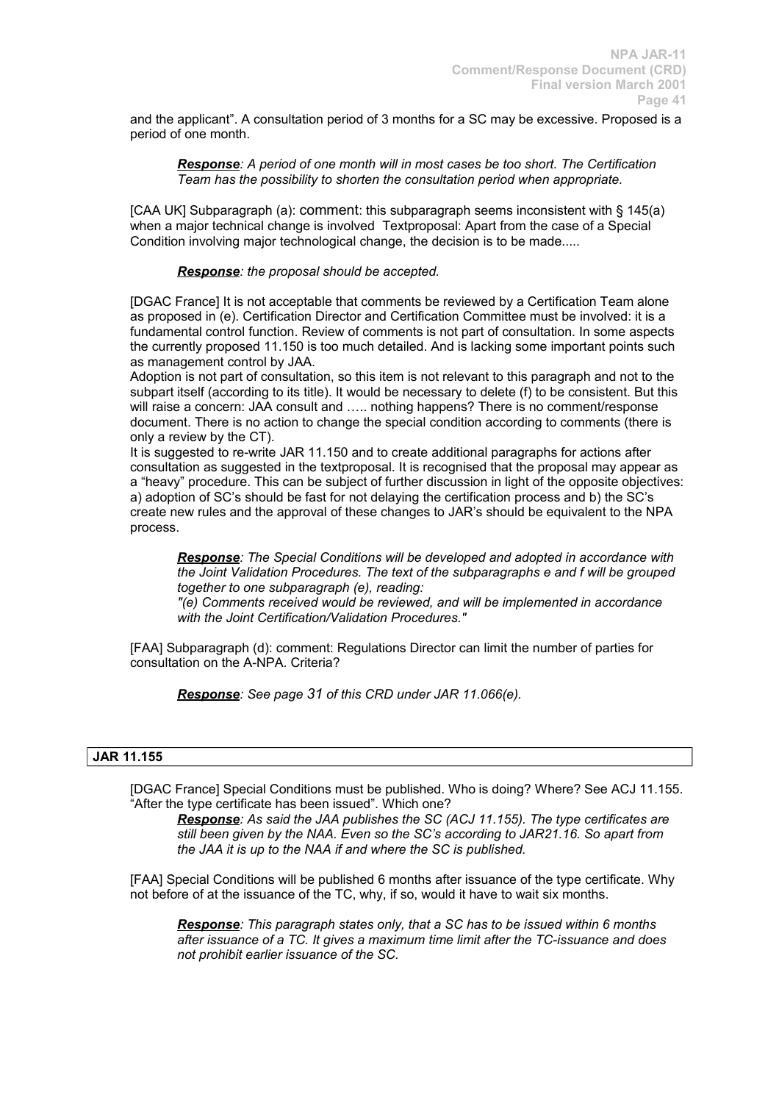and the applicant". A consultation period of 3 months for a SC may be excessive. Proposed is a period of one month.

*Response: A period of one month will in most cases be too short. The Certification Team has the possibility to shorten the consultation period when appropriate.*

[CAA UK] Subparagraph (a): comment: this subparagraph seems inconsistent with § 145(a) when a major technical change is involved Textproposal: Apart from the case of a Special Condition involving major technological change, the decision is to be made.....

*Response: the proposal should be accepted.*

[DGAC France] It is not acceptable that comments be reviewed by a Certification Team alone as proposed in (e). Certification Director and Certification Committee must be involved: it is a fundamental control function. Review of comments is not part of consultation. In some aspects the currently proposed 11.150 is too much detailed. And is lacking some important points such as management control by JAA.

Adoption is not part of consultation, so this item is not relevant to this paragraph and not to the subpart itself (according to its title). It would be necessary to delete (f) to be consistent. But this will raise a concern: JAA consult and ..... nothing happens? There is no comment/response document. There is no action to change the special condition according to comments (there is only a review by the CT).

It is suggested to re-write JAR 11.150 and to create additional paragraphs for actions after consultation as suggested in the textproposal. It is recognised that the proposal may appear as a "heavy" procedure. This can be subject of further discussion in light of the opposite objectives: a) adoption of SC's should be fast for not delaying the certification process and b) the SC's create new rules and the approval of these changes to JAR's should be equivalent to the NPA process.

*Response: The Special Conditions will be developed and adopted in accordance with the Joint Validation Procedures. The text of the subparagraphs e and f will be grouped together to one subparagraph (e), reading:* 

*"(e) Comments received would be reviewed, and will be implemented in accordance with the Joint Certification/Validation Procedures."*

[FAA] Subparagraph (d): comment: Regulations Director can limit the number of parties for consultation on the A-NPA. Criteria?

*Response: See page 31 of this CRD under JAR 11.066(e).*

# **JAR 11.155**

[DGAC France] Special Conditions must be published. Who is doing? Where? See ACJ 11.155. "After the type certificate has been issued". Which one?

*Response: As said the JAA publishes the SC (ACJ 11.155). The type certificates are still been given by the NAA. Even so the SC's according to JAR21.16. So apart from the JAA it is up to the NAA if and where the SC is published.*

[FAA] Special Conditions will be published 6 months after issuance of the type certificate. Why not before of at the issuance of the TC, why, if so, would it have to wait six months.

*Response: This paragraph states only, that a SC has to be issued within 6 months after issuance of a TC. It gives a maximum time limit after the TC-issuance and does not prohibit earlier issuance of the SC.*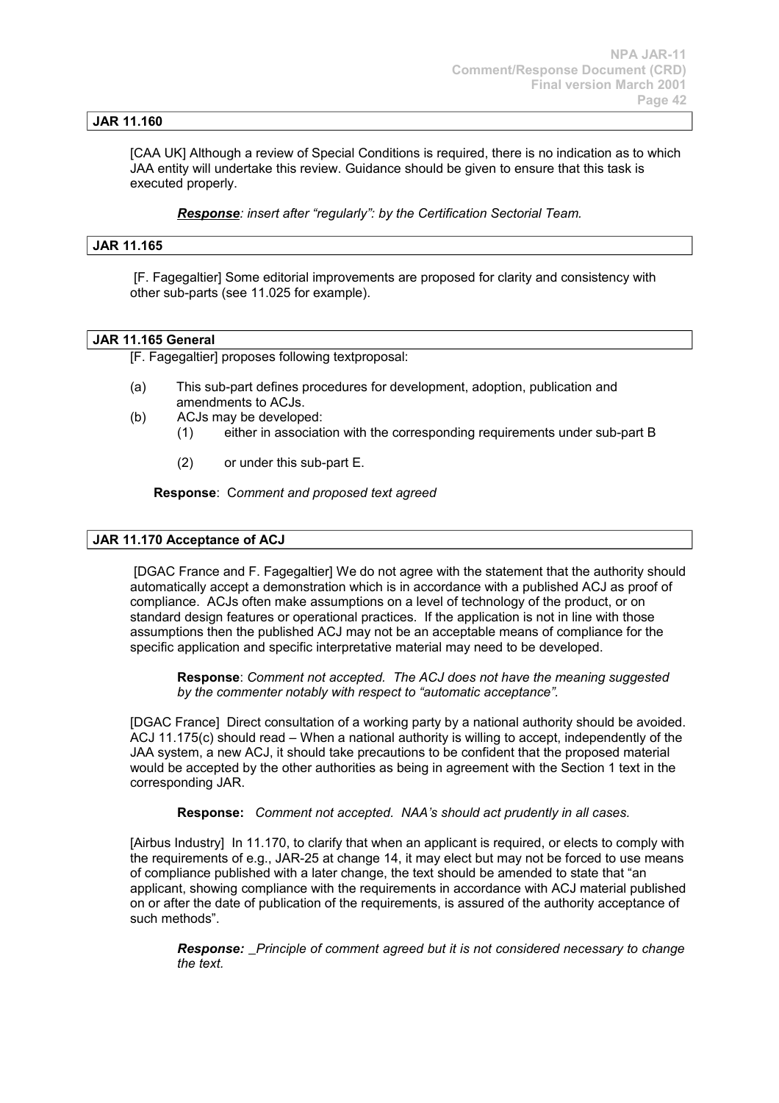# **JAR 11.160**

[CAA UK] Although a review of Special Conditions is required, there is no indication as to which JAA entity will undertake this review. Guidance should be given to ensure that this task is executed properly.

*Response: insert after "regularly": by the Certification Sectorial Team.*

#### **JAR 11.165**

[F. Fagegaltier] Some editorial improvements are proposed for clarity and consistency with other sub-parts (see 11.025 for example).

### **JAR 11.165 General**

[F. Fagegaltier] proposes following textproposal:

- (a) This sub-part defines procedures for development, adoption, publication and amendments to ACJs.
- (b) ACJs may be developed:
	- (1) either in association with the corresponding requirements under sub-part B
	- (2) or under this sub-part E.

**Response**: C*omment and proposed text agreed*

#### **JAR 11.170 Acceptance of ACJ**

[DGAC France and F. Fagegaltier] We do not agree with the statement that the authority should automatically accept a demonstration which is in accordance with a published ACJ as proof of compliance. ACJs often make assumptions on a level of technology of the product, or on standard design features or operational practices. If the application is not in line with those assumptions then the published ACJ may not be an acceptable means of compliance for the specific application and specific interpretative material may need to be developed.

**Response**: *Comment not accepted. The ACJ does not have the meaning suggested by the commenter notably with respect to "automatic acceptance".*

[DGAC France] Direct consultation of a working party by a national authority should be avoided. ACJ 11.175(c) should read – When a national authority is willing to accept, independently of the JAA system, a new ACJ, it should take precautions to be confident that the proposed material would be accepted by the other authorities as being in agreement with the Section 1 text in the corresponding JAR.

**Response:** *Comment not accepted. NAA's should act prudently in all cases.*

[Airbus Industry] In 11.170, to clarify that when an applicant is required, or elects to comply with the requirements of e.g., JAR-25 at change 14, it may elect but may not be forced to use means of compliance published with a later change, the text should be amended to state that "an applicant, showing compliance with the requirements in accordance with ACJ material published on or after the date of publication of the requirements, is assured of the authority acceptance of such methods".

*Response: Principle of comment agreed but it is not considered necessary to change the text.*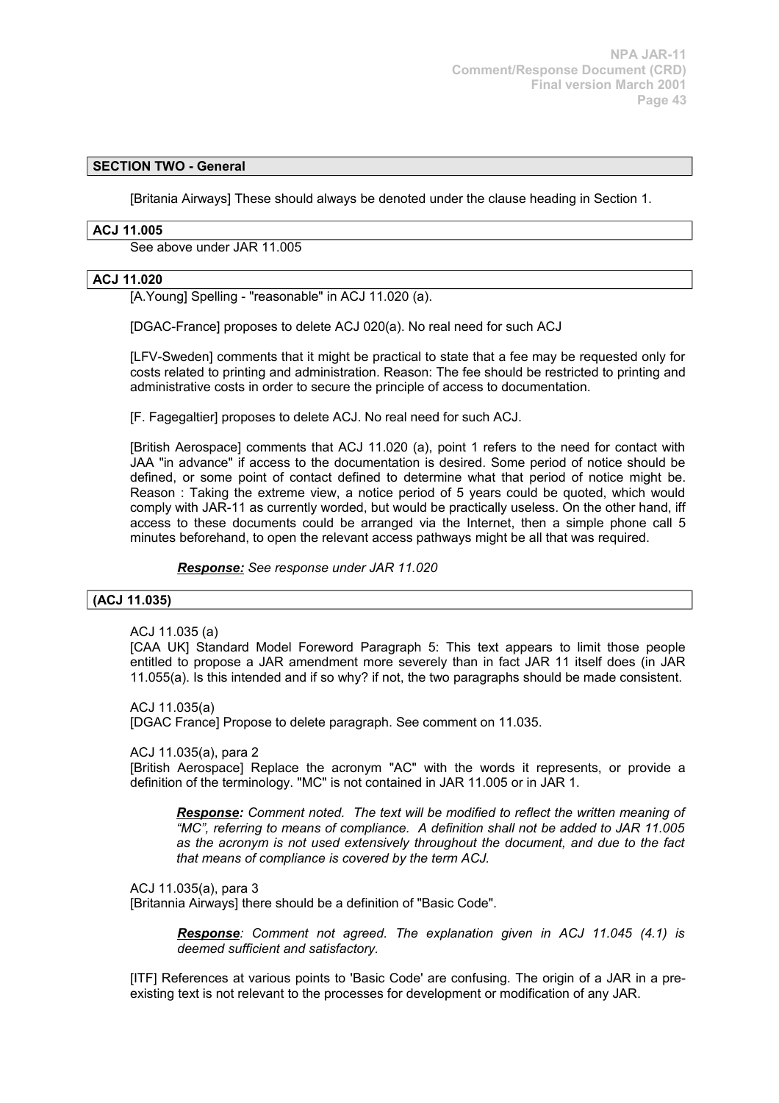# **SECTION TWO - General**

[Britania Airways] These should always be denoted under the clause heading in Section 1.

# **ACJ 11.005**

See above under JAR 11.005

# **ACJ 11.020**

[A.Young] Spelling - "reasonable" in ACJ 11.020 (a).

[DGAC-France] proposes to delete ACJ 020(a). No real need for such ACJ

[LFV-Sweden] comments that it might be practical to state that a fee may be requested only for costs related to printing and administration. Reason: The fee should be restricted to printing and administrative costs in order to secure the principle of access to documentation.

[F. Fagegaltier] proposes to delete ACJ. No real need for such ACJ.

[British Aerospace] comments that ACJ 11.020 (a), point 1 refers to the need for contact with JAA "in advance" if access to the documentation is desired. Some period of notice should be defined, or some point of contact defined to determine what that period of notice might be. Reason : Taking the extreme view, a notice period of 5 years could be quoted, which would comply with JAR-11 as currently worded, but would be practically useless. On the other hand, iff access to these documents could be arranged via the Internet, then a simple phone call 5 minutes beforehand, to open the relevant access pathways might be all that was required.

*Response: See response under JAR 11.020*

### **(ACJ 11.035)**

ACJ 11.035 (a)

[CAA UK] Standard Model Foreword Paragraph 5: This text appears to limit those people entitled to propose a JAR amendment more severely than in fact JAR 11 itself does (in JAR 11.055(a). Is this intended and if so why? if not, the two paragraphs should be made consistent.

ACJ 11.035(a) [DGAC France] Propose to delete paragraph. See comment on 11.035.

ACJ 11.035(a), para 2

[British Aerospace] Replace the acronym "AC" with the words it represents, or provide a definition of the terminology. "MC" is not contained in JAR 11.005 or in JAR 1.

*Response: Comment noted. The text will be modified to reflect the written meaning of "MC", referring to means of compliance. A definition shall not be added to JAR 11.005 as the acronym is not used extensively throughout the document, and due to the fact that means of compliance is covered by the term ACJ.*

ACJ 11.035(a), para 3

[Britannia Airways] there should be a definition of "Basic Code".

*Response: Comment not agreed. The explanation given in ACJ 11.045 (4.1) is deemed sufficient and satisfactory.* 

[ITF] References at various points to 'Basic Code' are confusing. The origin of a JAR in a preexisting text is not relevant to the processes for development or modification of any JAR.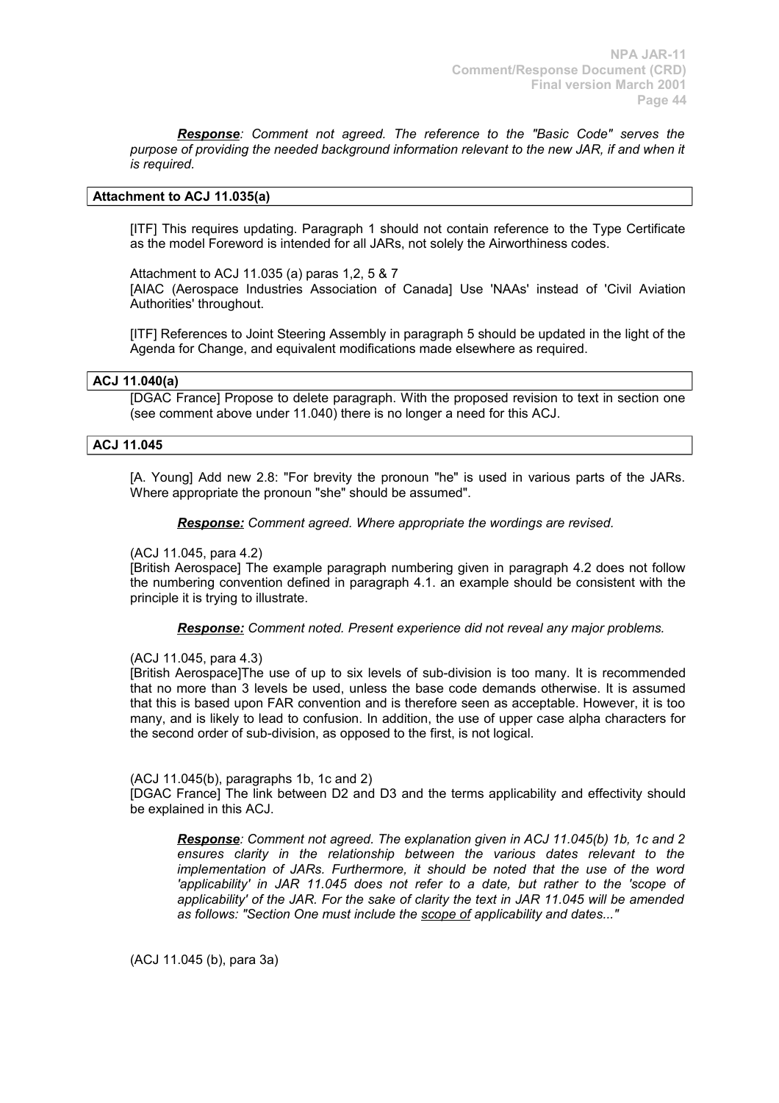*Response: Comment not agreed. The reference to the "Basic Code" serves the purpose of providing the needed background information relevant to the new JAR, if and when it is required.*

# **Attachment to ACJ 11.035(a)**

[ITF] This requires updating. Paragraph 1 should not contain reference to the Type Certificate as the model Foreword is intended for all JARs, not solely the Airworthiness codes.

Attachment to ACJ 11.035 (a) paras 1,2, 5 & 7 [AIAC (Aerospace Industries Association of Canada] Use 'NAAs' instead of 'Civil Aviation

Authorities' throughout. [ITF] References to Joint Steering Assembly in paragraph 5 should be updated in the light of the

Agenda for Change, and equivalent modifications made elsewhere as required.

### **ACJ 11.040(a)**

[DGAC France] Propose to delete paragraph. With the proposed revision to text in section one (see comment above under 11.040) there is no longer a need for this ACJ.

### **ACJ 11.045**

[A. Young] Add new 2.8: "For brevity the pronoun "he" is used in various parts of the JARs. Where appropriate the pronoun "she" should be assumed".

*Response: Comment agreed. Where appropriate the wordings are revised.*

### (ACJ 11.045, para 4.2)

[British Aerospace] The example paragraph numbering given in paragraph 4.2 does not follow the numbering convention defined in paragraph 4.1. an example should be consistent with the principle it is trying to illustrate.

*Response: Comment noted. Present experience did not reveal any major problems.*

### (ACJ 11.045, para 4.3)

[British Aerospace]The use of up to six levels of sub-division is too many. It is recommended that no more than 3 levels be used, unless the base code demands otherwise. It is assumed that this is based upon FAR convention and is therefore seen as acceptable. However, it is too many, and is likely to lead to confusion. In addition, the use of upper case alpha characters for the second order of sub-division, as opposed to the first, is not logical.

#### (ACJ 11.045(b), paragraphs 1b, 1c and 2)

[DGAC France] The link between D2 and D3 and the terms applicability and effectivity should be explained in this ACJ.

*Response: Comment not agreed. The explanation given in ACJ 11.045(b) 1b, 1c and 2 ensures clarity in the relationship between the various dates relevant to the implementation of JARs. Furthermore, it should be noted that the use of the word 'applicability' in JAR 11.045 does not refer to a date, but rather to the 'scope of applicability' of the JAR. For the sake of clarity the text in JAR 11.045 will be amended as follows: "Section One must include the scope of applicability and dates..."*

(ACJ 11.045 (b), para 3a)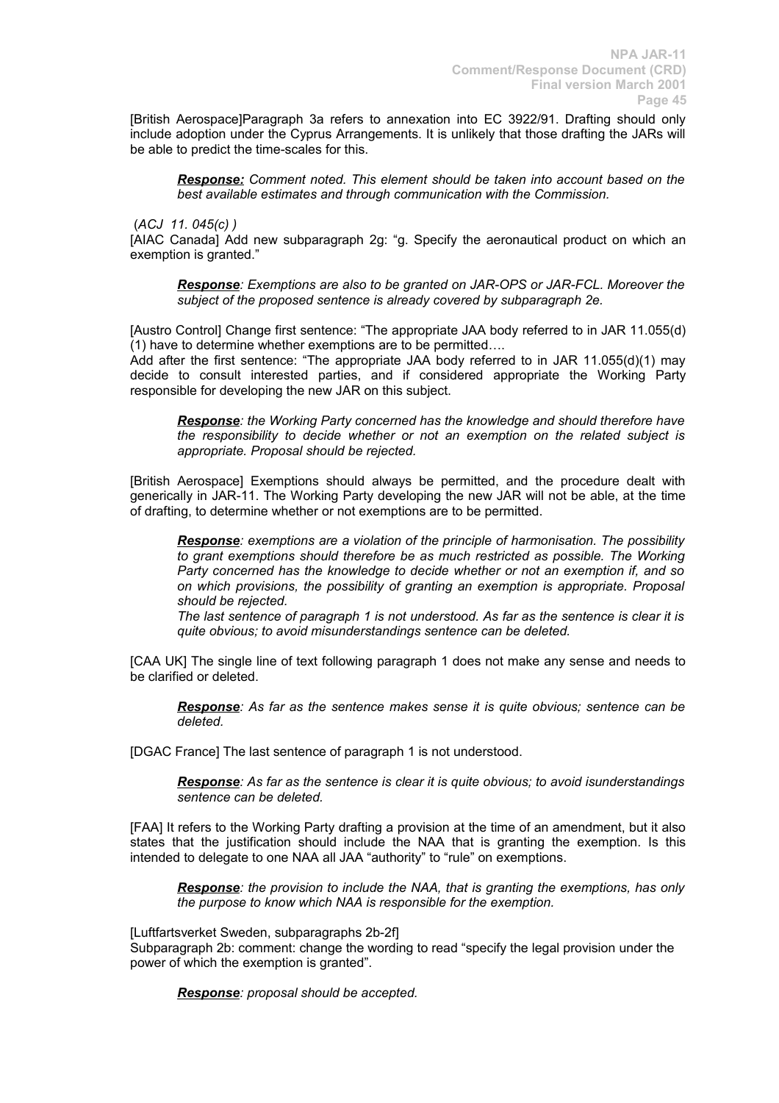[British Aerospace]Paragraph 3a refers to annexation into EC 3922/91. Drafting should only include adoption under the Cyprus Arrangements. It is unlikely that those drafting the JARs will be able to predict the time-scales for this.

*Response: Comment noted. This element should be taken into account based on the best available estimates and through communication with the Commission.*

### (*ACJ 11. 045(c) )*

[AIAC Canada] Add new subparagraph 2g: "g. Specify the aeronautical product on which an exemption is granted."

*Response: Exemptions are also to be granted on JAR-OPS or JAR-FCL. Moreover the subject of the proposed sentence is already covered by subparagraph 2e.*

[Austro Control] Change first sentence: "The appropriate JAA body referred to in JAR 11.055(d) (1) have to determine whether exemptions are to be permitted….

Add after the first sentence: "The appropriate JAA body referred to in JAR 11.055(d)(1) may decide to consult interested parties, and if considered appropriate the Working Party responsible for developing the new JAR on this subject.

*Response: the Working Party concerned has the knowledge and should therefore have the responsibility to decide whether or not an exemption on the related subject is appropriate. Proposal should be rejected.*

[British Aerospace] Exemptions should always be permitted, and the procedure dealt with generically in JAR-11. The Working Party developing the new JAR will not be able, at the time of drafting, to determine whether or not exemptions are to be permitted.

*Response: exemptions are a violation of the principle of harmonisation. The possibility to grant exemptions should therefore be as much restricted as possible. The Working Party concerned has the knowledge to decide whether or not an exemption if, and so on which provisions, the possibility of granting an exemption is appropriate. Proposal should be rejected.*

*The last sentence of paragraph 1 is not understood. As far as the sentence is clear it is quite obvious; to avoid misunderstandings sentence can be deleted.*

[CAA UK] The single line of text following paragraph 1 does not make any sense and needs to be clarified or deleted.

*Response: As far as the sentence makes sense it is quite obvious; sentence can be deleted.*

[DGAC France] The last sentence of paragraph 1 is not understood.

*Response: As far as the sentence is clear it is quite obvious; to avoid isunderstandings sentence can be deleted.*

[FAA] It refers to the Working Party drafting a provision at the time of an amendment, but it also states that the justification should include the NAA that is granting the exemption. Is this intended to delegate to one NAA all JAA "authority" to "rule" on exemptions.

*Response: the provision to include the NAA, that is granting the exemptions, has only the purpose to know which NAA is responsible for the exemption.*

[Luftfartsverket Sweden, subparagraphs 2b-2f]

Subparagraph 2b: comment: change the wording to read "specify the legal provision under the power of which the exemption is granted".

*Response: proposal should be accepted.*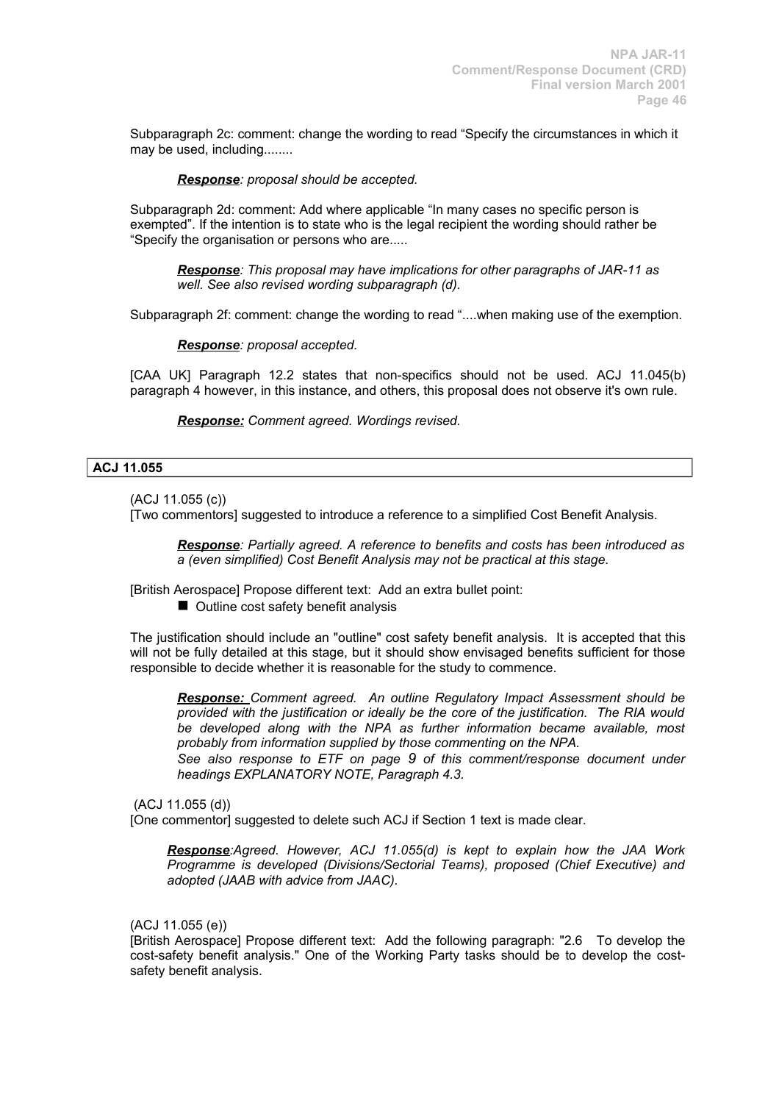Subparagraph 2c: comment: change the wording to read "Specify the circumstances in which it may be used, including........

### *Response: proposal should be accepted.*

Subparagraph 2d: comment: Add where applicable "In many cases no specific person is exempted". If the intention is to state who is the legal recipient the wording should rather be "Specify the organisation or persons who are.....

*Response: This proposal may have implications for other paragraphs of JAR-11 as well. See also revised wording subparagraph (d).*

Subparagraph 2f: comment: change the wording to read "....when making use of the exemption.

*Response: proposal accepted.*

[CAA UK] Paragraph 12.2 states that non-specifics should not be used. ACJ 11.045(b) paragraph 4 however, in this instance, and others, this proposal does not observe it's own rule.

*Response: Comment agreed. Wordings revised.*

# **ACJ 11.055**

(ACJ 11.055 (c))

[Two commentors] suggested to introduce a reference to a simplified Cost Benefit Analysis.

*Response: Partially agreed. A reference to benefits and costs has been introduced as a (even simplified) Cost Benefit Analysis may not be practical at this stage.*

[British Aerospace] Propose different text: Add an extra bullet point:

 $\blacksquare$  Outline cost safety benefit analysis

The justification should include an "outline" cost safety benefit analysis. It is accepted that this will not be fully detailed at this stage, but it should show envisaged benefits sufficient for those responsible to decide whether it is reasonable for the study to commence.

*Response: Comment agreed. An outline Regulatory Impact Assessment should be provided with the justification or ideally be the core of the justification. The RIA would be developed along with the NPA as further information became available, most probably from information supplied by those commenting on the NPA.*

*See also response to ETF on page 9 of this comment/response document under headings EXPLANATORY NOTE, Paragraph 4.3.*

(ACJ 11.055 (d))

[One commentor] suggested to delete such ACJ if Section 1 text is made clear.

*Response:Agreed. However, ACJ 11.055(d) is kept to explain how the JAA Work Programme is developed (Divisions/Sectorial Teams), proposed (Chief Executive) and adopted (JAAB with advice from JAAC).*

(ACJ 11.055 (e))

[British Aerospace] Propose different text: Add the following paragraph: "2.6 To develop the cost-safety benefit analysis." One of the Working Party tasks should be to develop the costsafety benefit analysis.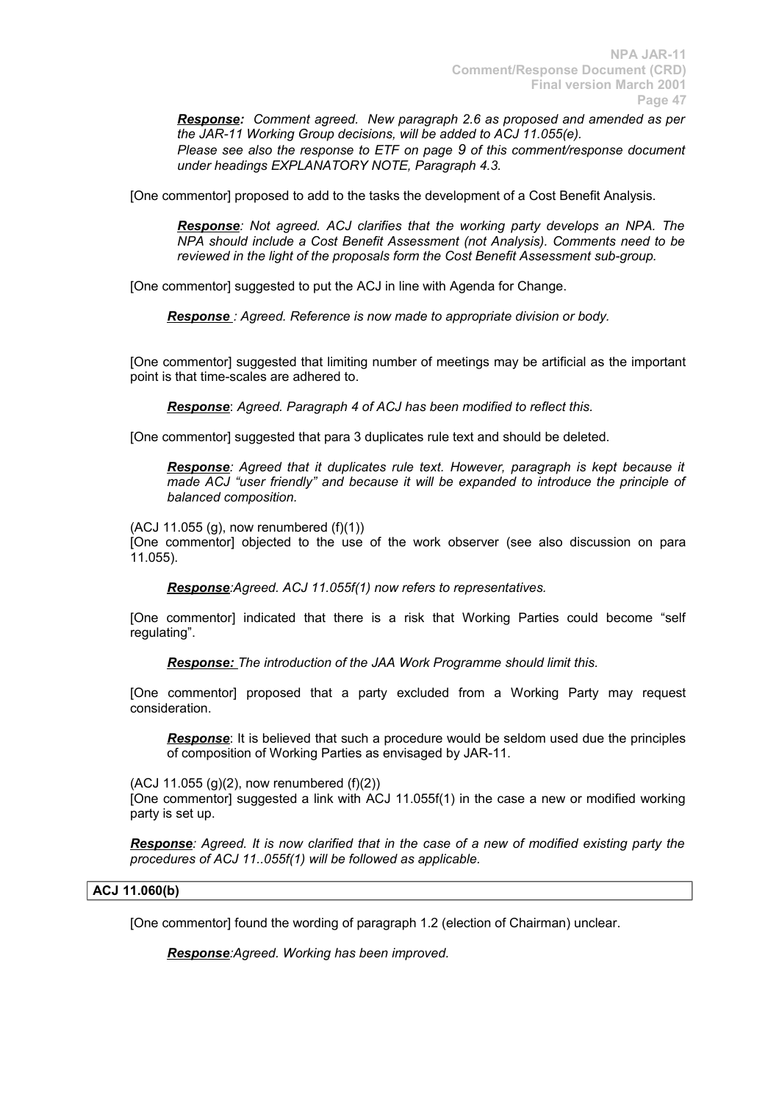*Response: Comment agreed. New paragraph 2.6 as proposed and amended as per the JAR-11 Working Group decisions, will be added to ACJ 11.055(e). Please see also the response to ETF on page 9 of this comment/response document under headings EXPLANATORY NOTE, Paragraph 4.3.*

[One commentor] proposed to add to the tasks the development of a Cost Benefit Analysis.

*Response: Not agreed. ACJ clarifies that the working party develops an NPA. The NPA should include a Cost Benefit Assessment (not Analysis). Comments need to be reviewed in the light of the proposals form the Cost Benefit Assessment sub-group.*

[One commentor] suggested to put the ACJ in line with Agenda for Change.

 *Response : Agreed. Reference is now made to appropriate division or body.*

[One commentor] suggested that limiting number of meetings may be artificial as the important point is that time-scales are adhered to.

*Response*: *Agreed. Paragraph 4 of ACJ has been modified to reflect this.*

[One commentor] suggested that para 3 duplicates rule text and should be deleted.

*Response: Agreed that it duplicates rule text. However, paragraph is kept because it made ACJ "user friendly" and because it will be expanded to introduce the principle of balanced composition.*

 $(ACJ 11.055 (g)$ , now renumbered  $(f)(1)$ )

[One commentor] objected to the use of the work observer (see also discussion on para 11.055).

*Response:Agreed. ACJ 11.055f(1) now refers to representatives.*

[One commentor] indicated that there is a risk that Working Parties could become "self regulating".

*Response: The introduction of the JAA Work Programme should limit this.*

[One commentor] proposed that a party excluded from a Working Party may request consideration.

*Response*: It is believed that such a procedure would be seldom used due the principles of composition of Working Parties as envisaged by JAR-11.

 $(ACJ 11.055 (a)(2)$ , now renumbered  $(f)(2)$ )

[One commentor] suggested a link with ACJ 11.055f(1) in the case a new or modified working party is set up.

*Response: Agreed. It is now clarified that in the case of a new of modified existing party the procedures of ACJ 11..055f(1) will be followed as applicable.*

# **ACJ 11.060(b)**

[One commentor] found the wording of paragraph 1.2 (election of Chairman) unclear.

*Response:Agreed. Working has been improved.*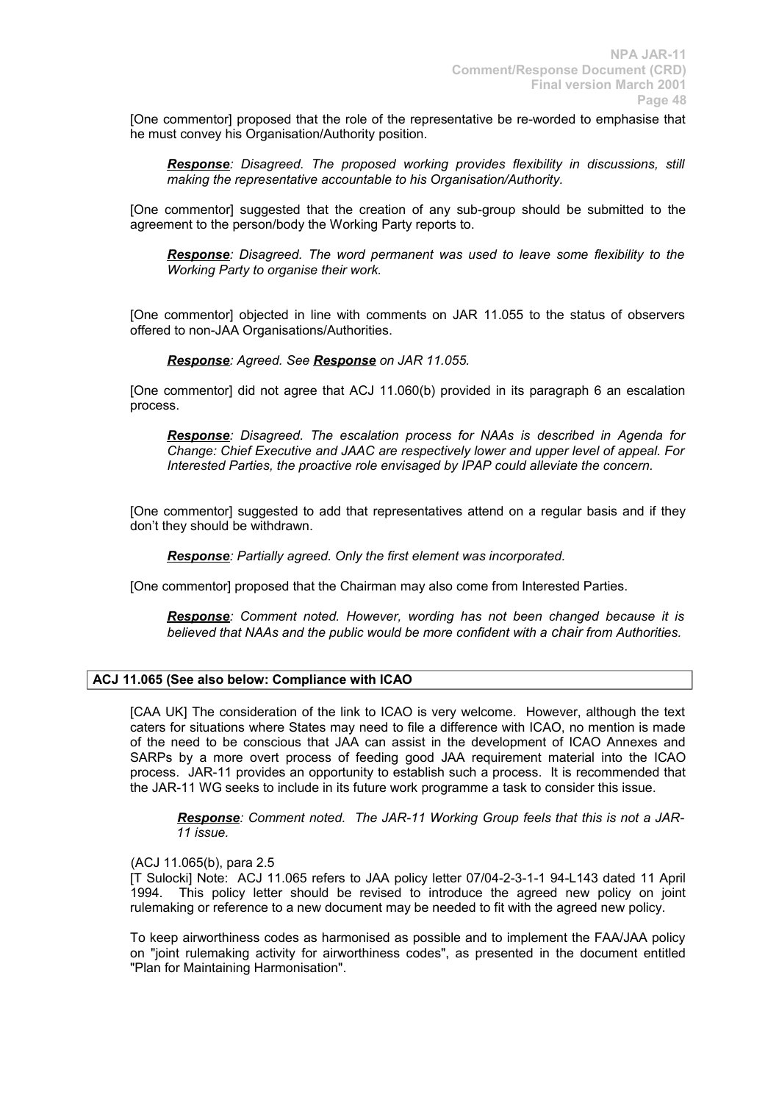[One commentor] proposed that the role of the representative be re-worded to emphasise that he must convey his Organisation/Authority position.

*Response: Disagreed. The proposed working provides flexibility in discussions, still making the representative accountable to his Organisation/Authority.*

[One commentor] suggested that the creation of any sub-group should be submitted to the agreement to the person/body the Working Party reports to.

*Response: Disagreed. The word permanent was used to leave some flexibility to the Working Party to organise their work.*

[One commentor] objected in line with comments on JAR 11.055 to the status of observers offered to non-JAA Organisations/Authorities.

# *Response: Agreed. See Response on JAR 11.055.*

[One commentor] did not agree that ACJ 11.060(b) provided in its paragraph 6 an escalation process.

*Response: Disagreed. The escalation process for NAAs is described in Agenda for Change: Chief Executive and JAAC are respectively lower and upper level of appeal. For Interested Parties, the proactive role envisaged by IPAP could alleviate the concern.*

[One commentor] suggested to add that representatives attend on a regular basis and if they don't they should be withdrawn.

*Response: Partially agreed. Only the first element was incorporated.*

[One commentor] proposed that the Chairman may also come from Interested Parties.

*Response: Comment noted. However, wording has not been changed because it is believed that NAAs and the public would be more confident with a chair from Authorities.*

### **ACJ 11.065 (See also below: Compliance with ICAO**

[CAA UK] The consideration of the link to ICAO is very welcome. However, although the text caters for situations where States may need to file a difference with ICAO, no mention is made of the need to be conscious that JAA can assist in the development of ICAO Annexes and SARPs by a more overt process of feeding good JAA requirement material into the ICAO process. JAR-11 provides an opportunity to establish such a process. It is recommended that the JAR-11 WG seeks to include in its future work programme a task to consider this issue.

*Response: Comment noted. The JAR-11 Working Group feels that this is not a JAR-11 issue.*

### (ACJ 11.065(b), para 2.5

[T Sulocki] Note: ACJ 11.065 refers to JAA policy letter 07/04-2-3-1-1 94-L143 dated 11 April 1994. This policy letter should be revised to introduce the agreed new policy on joint rulemaking or reference to a new document may be needed to fit with the agreed new policy.

To keep airworthiness codes as harmonised as possible and to implement the FAA/JAA policy on "joint rulemaking activity for airworthiness codes", as presented in the document entitled "Plan for Maintaining Harmonisation".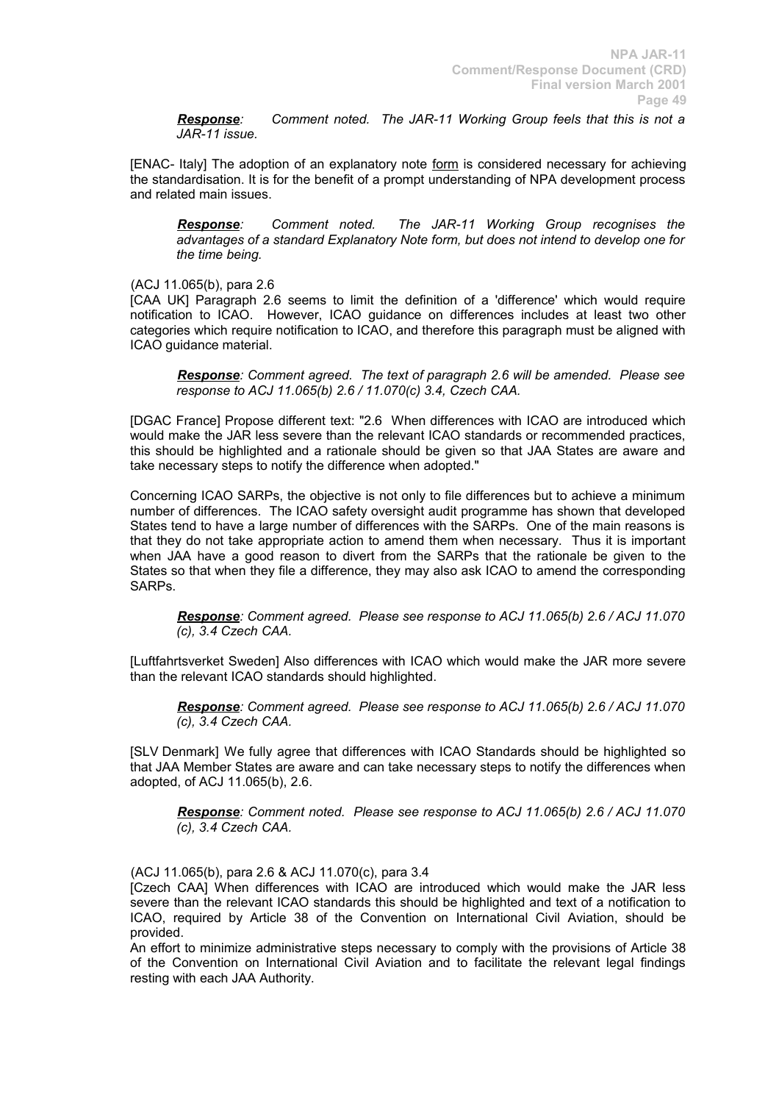*Response: Comment noted. The JAR-11 Working Group feels that this is not a JAR-11 issue.*

[ENAC- Italy] The adoption of an explanatory note form is considered necessary for achieving the standardisation. It is for the benefit of a prompt understanding of NPA development process and related main issues.

*Response: Comment noted. The JAR-11 Working Group recognises the advantages of a standard Explanatory Note form, but does not intend to develop one for the time being.*

(ACJ 11.065(b), para 2.6

[CAA UK] Paragraph 2.6 seems to limit the definition of a 'difference' which would require notification to ICAO. However, ICAO guidance on differences includes at least two other categories which require notification to ICAO, and therefore this paragraph must be aligned with ICAO guidance material.

*Response: Comment agreed. The text of paragraph 2.6 will be amended. Please see response to ACJ 11.065(b) 2.6 / 11.070(c) 3.4, Czech CAA.*

[DGAC France] Propose different text: "2.6 When differences with ICAO are introduced which would make the JAR less severe than the relevant ICAO standards or recommended practices, this should be highlighted and a rationale should be given so that JAA States are aware and take necessary steps to notify the difference when adopted."

Concerning ICAO SARPs, the objective is not only to file differences but to achieve a minimum number of differences. The ICAO safety oversight audit programme has shown that developed States tend to have a large number of differences with the SARPs. One of the main reasons is that they do not take appropriate action to amend them when necessary. Thus it is important when JAA have a good reason to divert from the SARPs that the rationale be given to the States so that when they file a difference, they may also ask ICAO to amend the corresponding SARPs.

*Response: Comment agreed. Please see response to ACJ 11.065(b) 2.6 / ACJ 11.070 (c), 3.4 Czech CAA.*

[Luftfahrtsverket Sweden] Also differences with ICAO which would make the JAR more severe than the relevant ICAO standards should highlighted.

*Response: Comment agreed. Please see response to ACJ 11.065(b) 2.6 / ACJ 11.070 (c), 3.4 Czech CAA.*

[SLV Denmark] We fully agree that differences with ICAO Standards should be highlighted so that JAA Member States are aware and can take necessary steps to notify the differences when adopted, of ACJ 11.065(b), 2.6.

*Response: Comment noted. Please see response to ACJ 11.065(b) 2.6 / ACJ 11.070 (c), 3.4 Czech CAA.*

(ACJ 11.065(b), para 2.6 & ACJ 11.070(c), para 3.4

[Czech CAA] When differences with ICAO are introduced which would make the JAR less severe than the relevant ICAO standards this should be highlighted and text of a notification to ICAO, required by Article 38 of the Convention on International Civil Aviation, should be provided.

An effort to minimize administrative steps necessary to comply with the provisions of Article 38 of the Convention on International Civil Aviation and to facilitate the relevant legal findings resting with each JAA Authority.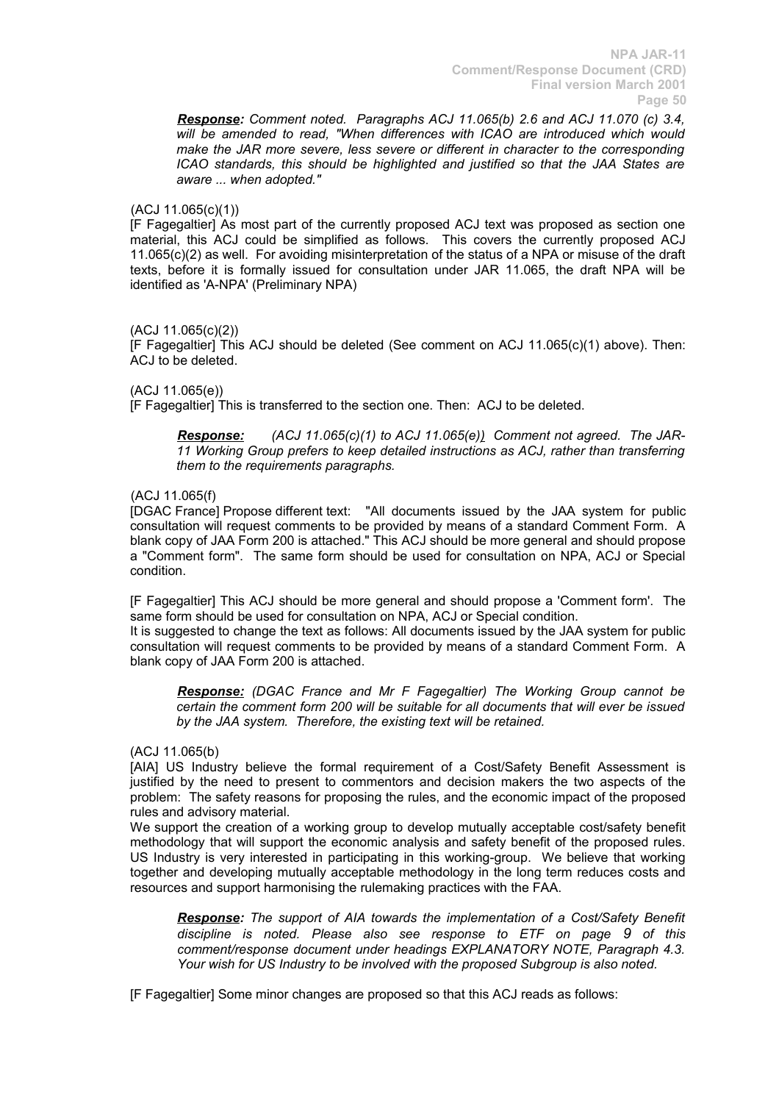*Response: Comment noted. Paragraphs ACJ 11.065(b) 2.6 and ACJ 11.070 (c) 3.4,* will be amended to read, "When differences with ICAO are introduced which would *make the JAR more severe, less severe or different in character to the corresponding ICAO standards, this should be highlighted and justified so that the JAA States are aware ... when adopted."*

# (ACJ 11.065(c)(1))

[F Fagegaltier] As most part of the currently proposed ACJ text was proposed as section one material, this ACJ could be simplified as follows. This covers the currently proposed ACJ 11.065(c)(2) as well. For avoiding misinterpretation of the status of a NPA or misuse of the draft texts, before it is formally issued for consultation under JAR 11.065, the draft NPA will be identified as 'A-NPA' (Preliminary NPA)

# (ACJ 11.065(c)(2))

[F Fagegaltier] This ACJ should be deleted (See comment on ACJ 11.065(c)(1) above). Then: ACJ to be deleted.

(ACJ 11.065(e))

[F Fagegaltier] This is transferred to the section one. Then: ACJ to be deleted.

*Response: (ACJ 11.065(c)(1) to ACJ 11.065(e)) Comment not agreed. The JAR-11 Working Group prefers to keep detailed instructions as ACJ, rather than transferring them to the requirements paragraphs.*

# (ACJ 11.065(f)

[DGAC France] Propose different text: "All documents issued by the JAA system for public consultation will request comments to be provided by means of a standard Comment Form. A blank copy of JAA Form 200 is attached." This ACJ should be more general and should propose a "Comment form". The same form should be used for consultation on NPA, ACJ or Special condition.

[F Fagegaltier] This ACJ should be more general and should propose a 'Comment form'. The same form should be used for consultation on NPA, ACJ or Special condition.

It is suggested to change the text as follows: All documents issued by the JAA system for public consultation will request comments to be provided by means of a standard Comment Form. A blank copy of JAA Form 200 is attached.

*Response: (DGAC France and Mr F Fagegaltier) The Working Group cannot be certain the comment form 200 will be suitable for all documents that will ever be issued by the JAA system. Therefore, the existing text will be retained.* 

### (ACJ 11.065(b)

[AIA] US Industry believe the formal requirement of a Cost/Safety Benefit Assessment is justified by the need to present to commentors and decision makers the two aspects of the problem: The safety reasons for proposing the rules, and the economic impact of the proposed rules and advisory material.

We support the creation of a working group to develop mutually acceptable cost/safety benefit methodology that will support the economic analysis and safety benefit of the proposed rules. US Industry is very interested in participating in this working-group. We believe that working together and developing mutually acceptable methodology in the long term reduces costs and resources and support harmonising the rulemaking practices with the FAA.

*Response: The support of AIA towards the implementation of a Cost/Safety Benefit discipline is noted. Please also see response to ETF on page 9 of this comment/response document under headings EXPLANATORY NOTE, Paragraph 4.3. Your wish for US Industry to be involved with the proposed Subgroup is also noted.*

[F Fagegaltier] Some minor changes are proposed so that this ACJ reads as follows: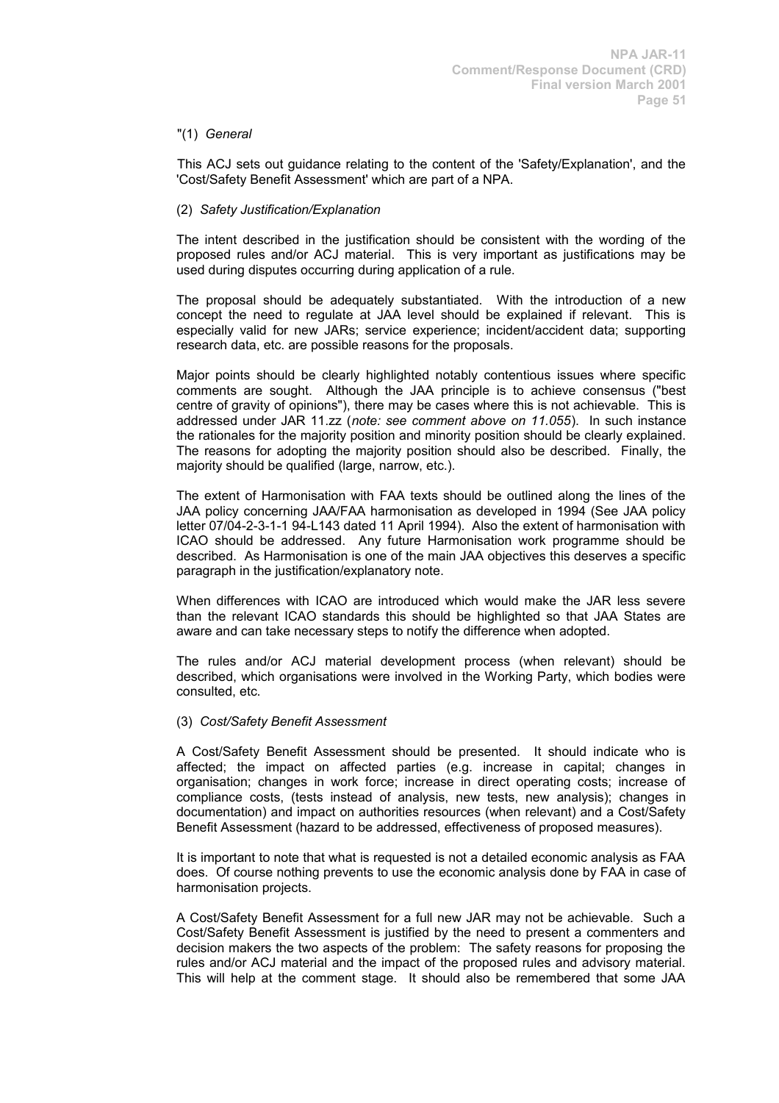### "(1) *General*

This ACJ sets out guidance relating to the content of the 'Safety/Explanation', and the 'Cost/Safety Benefit Assessment' which are part of a NPA.

### (2) *Safety Justification/Explanation*

The intent described in the justification should be consistent with the wording of the proposed rules and/or ACJ material. This is very important as justifications may be used during disputes occurring during application of a rule.

The proposal should be adequately substantiated. With the introduction of a new concept the need to regulate at JAA level should be explained if relevant. This is especially valid for new JARs; service experience; incident/accident data; supporting research data, etc. are possible reasons for the proposals.

Major points should be clearly highlighted notably contentious issues where specific comments are sought. Although the JAA principle is to achieve consensus ("best centre of gravity of opinions"), there may be cases where this is not achievable. This is addressed under JAR 11.zz (*note: see comment above on 11.055*). In such instance the rationales for the majority position and minority position should be clearly explained. The reasons for adopting the majority position should also be described. Finally, the majority should be qualified (large, narrow, etc.).

The extent of Harmonisation with FAA texts should be outlined along the lines of the JAA policy concerning JAA/FAA harmonisation as developed in 1994 (See JAA policy letter 07/04-2-3-1-1 94-L143 dated 11 April 1994). Also the extent of harmonisation with ICAO should be addressed. Any future Harmonisation work programme should be described. As Harmonisation is one of the main JAA objectives this deserves a specific paragraph in the justification/explanatory note.

When differences with ICAO are introduced which would make the JAR less severe than the relevant ICAO standards this should be highlighted so that JAA States are aware and can take necessary steps to notify the difference when adopted.

The rules and/or ACJ material development process (when relevant) should be described, which organisations were involved in the Working Party, which bodies were consulted, etc.

### (3) *Cost/Safety Benefit Assessment*

A Cost/Safety Benefit Assessment should be presented. It should indicate who is affected; the impact on affected parties (e.g. increase in capital; changes in organisation; changes in work force; increase in direct operating costs; increase of compliance costs, (tests instead of analysis, new tests, new analysis); changes in documentation) and impact on authorities resources (when relevant) and a Cost/Safety Benefit Assessment (hazard to be addressed, effectiveness of proposed measures).

It is important to note that what is requested is not a detailed economic analysis as FAA does. Of course nothing prevents to use the economic analysis done by FAA in case of harmonisation projects.

A Cost/Safety Benefit Assessment for a full new JAR may not be achievable. Such a Cost/Safety Benefit Assessment is justified by the need to present a commenters and decision makers the two aspects of the problem: The safety reasons for proposing the rules and/or ACJ material and the impact of the proposed rules and advisory material. This will help at the comment stage. It should also be remembered that some JAA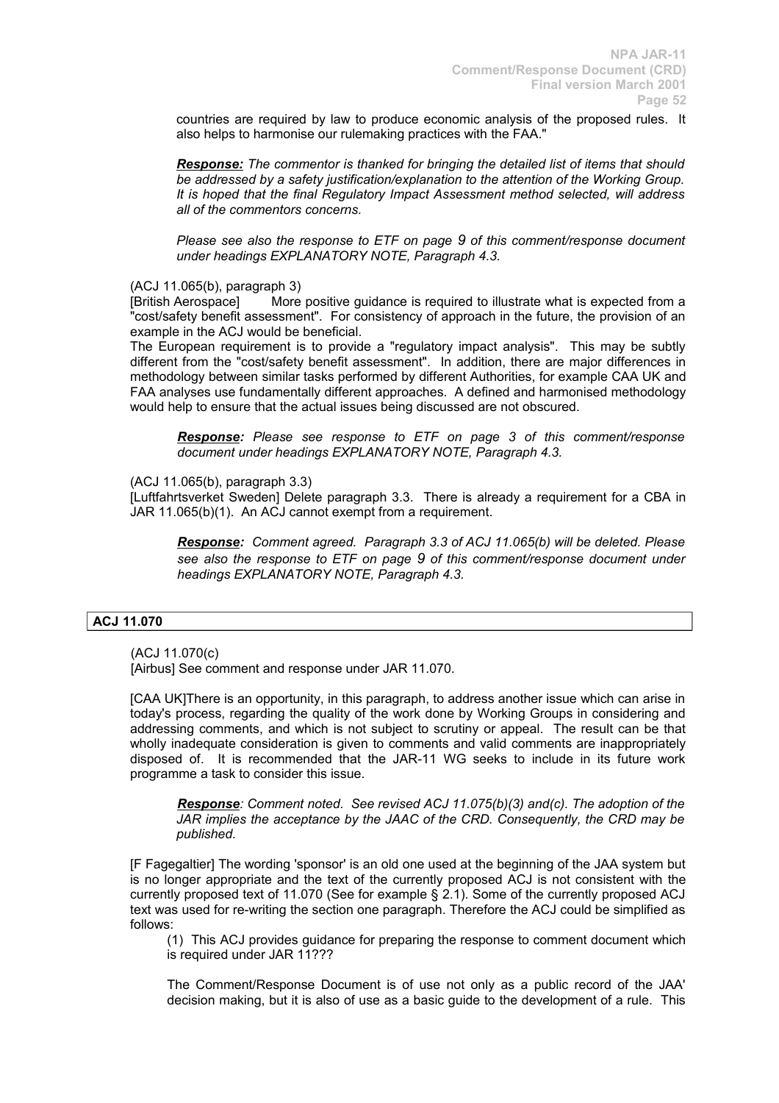countries are required by law to produce economic analysis of the proposed rules. It also helps to harmonise our rulemaking practices with the FAA."

*Response: The commentor is thanked for bringing the detailed list of items that should be addressed by a safety justification/explanation to the attention of the Working Group. It is hoped that the final Regulatory Impact Assessment method selected, will address all of the commentors concerns.*

*Please see also the response to ETF on page 9 of this comment/response document under headings EXPLANATORY NOTE, Paragraph 4.3.*

(ACJ 11.065(b), paragraph 3)

[British Aerospace] More positive guidance is required to illustrate what is expected from a "cost/safety benefit assessment". For consistency of approach in the future, the provision of an example in the ACJ would be beneficial.

The European requirement is to provide a "regulatory impact analysis". This may be subtly different from the "cost/safety benefit assessment". In addition, there are major differences in methodology between similar tasks performed by different Authorities, for example CAA UK and FAA analyses use fundamentally different approaches. A defined and harmonised methodology would help to ensure that the actual issues being discussed are not obscured.

*Response: Please see response to ETF on page 3 of this comment/response document under headings EXPLANATORY NOTE, Paragraph 4.3.*

(ACJ 11.065(b), paragraph 3.3)

[Luftfahrtsverket Sweden] Delete paragraph 3.3. There is already a requirement for a CBA in JAR 11.065(b)(1). An ACJ cannot exempt from a requirement.

*Response: Comment agreed. Paragraph 3.3 of ACJ 11.065(b) will be deleted. Please see also the response to ETF on page 9 of this comment/response document under headings EXPLANATORY NOTE, Paragraph 4.3.*

### **ACJ 11.070**

(ACJ 11.070(c)

[Airbus] See comment and response under JAR 11.070.

[CAA UK]There is an opportunity, in this paragraph, to address another issue which can arise in today's process, regarding the quality of the work done by Working Groups in considering and addressing comments, and which is not subject to scrutiny or appeal. The result can be that wholly inadequate consideration is given to comments and valid comments are inappropriately disposed of. It is recommended that the JAR-11 WG seeks to include in its future work programme a task to consider this issue.

*Response: Comment noted. See revised ACJ 11.075(b)(3) and(c). The adoption of the JAR implies the acceptance by the JAAC of the CRD. Consequently, the CRD may be published.*

[F Fagegaltier] The wording 'sponsor' is an old one used at the beginning of the JAA system but is no longer appropriate and the text of the currently proposed ACJ is not consistent with the currently proposed text of 11.070 (See for example § 2.1). Some of the currently proposed ACJ text was used for re-writing the section one paragraph. Therefore the ACJ could be simplified as follows:

(1) This ACJ provides guidance for preparing the response to comment document which is required under JAR 11???

The Comment/Response Document is of use not only as a public record of the JAA' decision making, but it is also of use as a basic guide to the development of a rule. This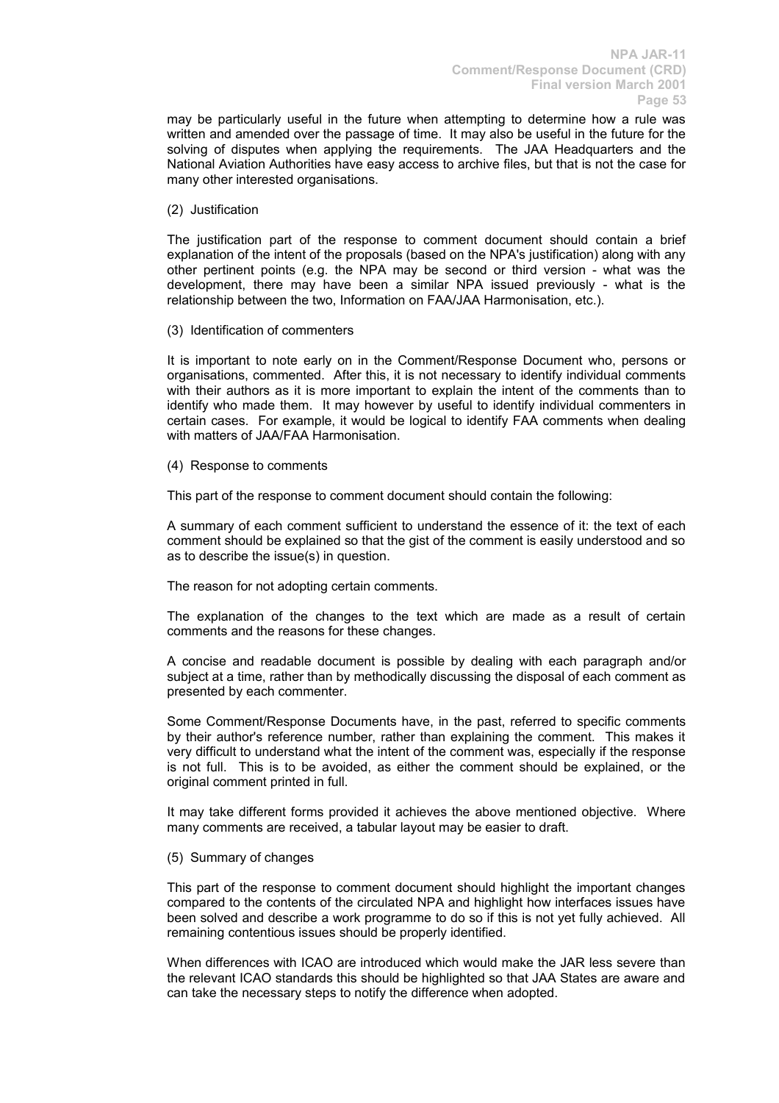may be particularly useful in the future when attempting to determine how a rule was written and amended over the passage of time. It may also be useful in the future for the solving of disputes when applying the requirements. The JAA Headquarters and the National Aviation Authorities have easy access to archive files, but that is not the case for many other interested organisations.

(2) Justification

The justification part of the response to comment document should contain a brief explanation of the intent of the proposals (based on the NPA's justification) along with any other pertinent points (e.g. the NPA may be second or third version - what was the development, there may have been a similar NPA issued previously - what is the relationship between the two, Information on FAA/JAA Harmonisation, etc.).

(3) Identification of commenters

It is important to note early on in the Comment/Response Document who, persons or organisations, commented. After this, it is not necessary to identify individual comments with their authors as it is more important to explain the intent of the comments than to identify who made them. It may however by useful to identify individual commenters in certain cases. For example, it would be logical to identify FAA comments when dealing with matters of JAA/FAA Harmonisation.

(4) Response to comments

This part of the response to comment document should contain the following:

A summary of each comment sufficient to understand the essence of it: the text of each comment should be explained so that the gist of the comment is easily understood and so as to describe the issue(s) in question.

The reason for not adopting certain comments.

The explanation of the changes to the text which are made as a result of certain comments and the reasons for these changes.

A concise and readable document is possible by dealing with each paragraph and/or subject at a time, rather than by methodically discussing the disposal of each comment as presented by each commenter.

Some Comment/Response Documents have, in the past, referred to specific comments by their author's reference number, rather than explaining the comment. This makes it very difficult to understand what the intent of the comment was, especially if the response is not full. This is to be avoided, as either the comment should be explained, or the original comment printed in full.

It may take different forms provided it achieves the above mentioned objective. Where many comments are received, a tabular layout may be easier to draft.

(5) Summary of changes

This part of the response to comment document should highlight the important changes compared to the contents of the circulated NPA and highlight how interfaces issues have been solved and describe a work programme to do so if this is not yet fully achieved. All remaining contentious issues should be properly identified.

When differences with ICAO are introduced which would make the JAR less severe than the relevant ICAO standards this should be highlighted so that JAA States are aware and can take the necessary steps to notify the difference when adopted.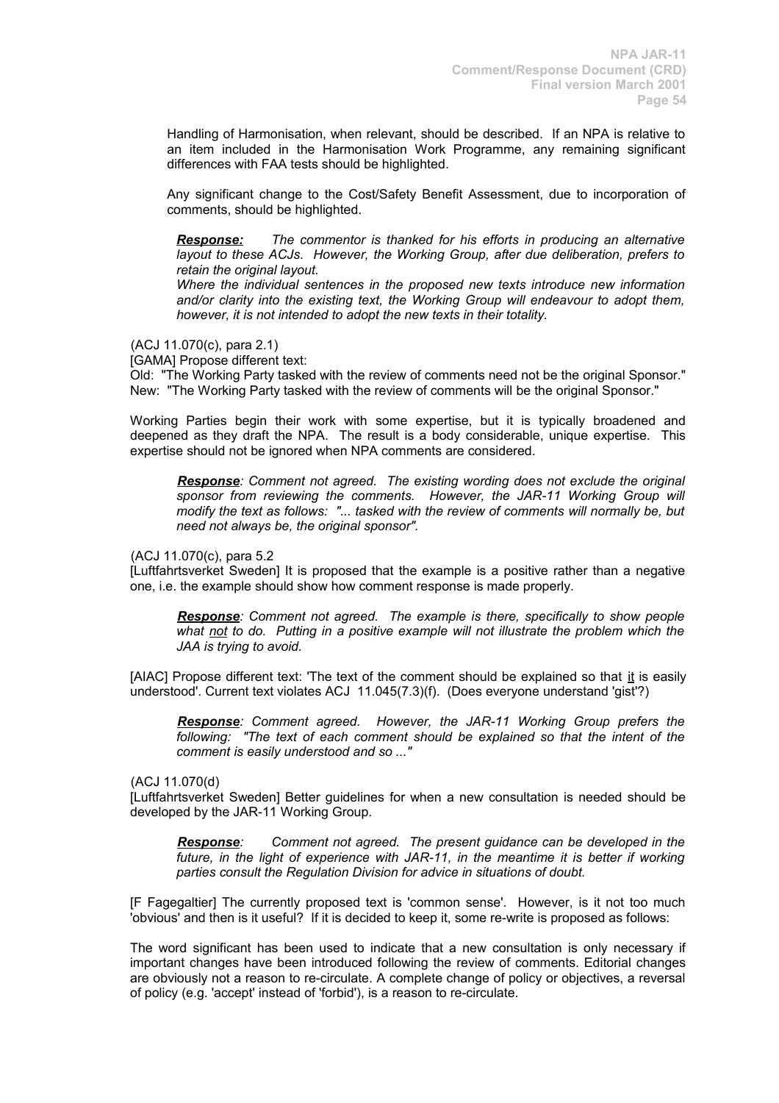Handling of Harmonisation, when relevant, should be described. If an NPA is relative to an item included in the Harmonisation Work Programme, any remaining significant differences with FAA tests should be highlighted.

Any significant change to the Cost/Safety Benefit Assessment, due to incorporation of comments, should be highlighted.

*Response: The commentor is thanked for his efforts in producing an alternative layout to these ACJs. However, the Working Group, after due deliberation, prefers to retain the original layout.* 

*Where the individual sentences in the proposed new texts introduce new information and/or clarity into the existing text, the Working Group will endeavour to adopt them, however, it is not intended to adopt the new texts in their totality.*

(ACJ 11.070(c), para 2.1)

[GAMA] Propose different text:

Old: "The Working Party tasked with the review of comments need not be the original Sponsor." New: "The Working Party tasked with the review of comments will be the original Sponsor."

Working Parties begin their work with some expertise, but it is typically broadened and deepened as they draft the NPA. The result is a body considerable, unique expertise. This expertise should not be ignored when NPA comments are considered.

*Response: Comment not agreed. The existing wording does not exclude the original sponsor from reviewing the comments. However, the JAR-11 Working Group will modify the text as follows: "... tasked with the review of comments will normally be, but need not always be, the original sponsor".* 

(ACJ 11.070(c), para 5.2

[Luftfahrtsverket Sweden] It is proposed that the example is a positive rather than a negative one, i.e. the example should show how comment response is made properly.

*Response: Comment not agreed. The example is there, specifically to show people what not to do. Putting in a positive example will not illustrate the problem which the JAA is trying to avoid.*

[AIAC] Propose different text: 'The text of the comment should be explained so that it is easily understood'. Current text violates ACJ 11.045(7.3)(f). (Does everyone understand 'gist'?)

*Response: Comment agreed. However, the JAR-11 Working Group prefers the following: "The text of each comment should be explained so that the intent of the comment is easily understood and so ..."*

(ACJ 11.070(d)

[Luftfahrtsverket Sweden] Better guidelines for when a new consultation is needed should be developed by the JAR-11 Working Group.

*Response: Comment not agreed. The present guidance can be developed in the future, in the light of experience with JAR-11, in the meantime it is better if working parties consult the Regulation Division for advice in situations of doubt.*

[F Fagegaltier] The currently proposed text is 'common sense'. However, is it not too much 'obvious' and then is it useful? If it is decided to keep it, some re-write is proposed as follows:

The word significant has been used to indicate that a new consultation is only necessary if important changes have been introduced following the review of comments. Editorial changes are obviously not a reason to re-circulate. A complete change of policy or objectives, a reversal of policy (e.g. 'accept' instead of 'forbid'), is a reason to re-circulate.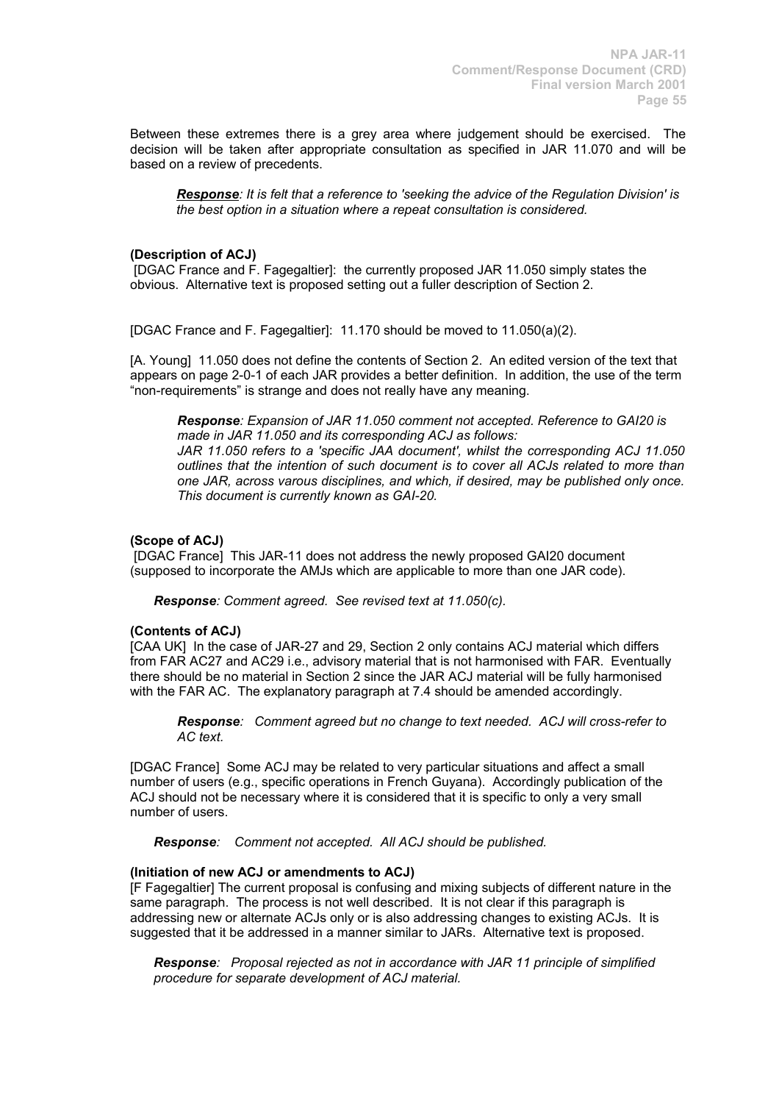Between these extremes there is a grey area where judgement should be exercised. The decision will be taken after appropriate consultation as specified in JAR 11.070 and will be based on a review of precedents.

*Response: It is felt that a reference to 'seeking the advice of the Regulation Division' is the best option in a situation where a repeat consultation is considered.*

### **(Description of ACJ)**

[DGAC France and F. Fagegaltier]: the currently proposed JAR 11.050 simply states the obvious. Alternative text is proposed setting out a fuller description of Section 2.

[DGAC France and F. Fagegaltier]: 11.170 should be moved to 11.050(a)(2).

[A. Young] 11.050 does not define the contents of Section 2. An edited version of the text that appears on page 2-0-1 of each JAR provides a better definition. In addition, the use of the term "non-requirements" is strange and does not really have any meaning.

*Response: Expansion of JAR 11.050 comment not accepted. Reference to GAI20 is made in JAR 11.050 and its corresponding ACJ as follows:*

*JAR 11.050 refers to a 'specific JAA document', whilst the corresponding ACJ 11.050 outlines that the intention of such document is to cover all ACJs related to more than one JAR, across varous disciplines, and which, if desired, may be published only once. This document is currently known as GAI-20.* 

# **(Scope of ACJ)**

[DGAC France] This JAR-11 does not address the newly proposed GAI20 document (supposed to incorporate the AMJs which are applicable to more than one JAR code).

*Response: Comment agreed. See revised text at 11.050(c).*

# **(Contents of ACJ)**

[CAA UK] In the case of JAR-27 and 29, Section 2 only contains ACJ material which differs from FAR AC27 and AC29 i.e., advisory material that is not harmonised with FAR. Eventually there should be no material in Section 2 since the JAR ACJ material will be fully harmonised with the FAR AC. The explanatory paragraph at 7.4 should be amended accordingly.

*Response: Comment agreed but no change to text needed. ACJ will cross-refer to AC text.*

[DGAC France] Some ACJ may be related to very particular situations and affect a small number of users (e.g., specific operations in French Guyana). Accordingly publication of the ACJ should not be necessary where it is considered that it is specific to only a very small number of users.

*Response: Comment not accepted. All ACJ should be published.*

### **(Initiation of new ACJ or amendments to ACJ)**

[F Fagegaltier] The current proposal is confusing and mixing subjects of different nature in the same paragraph. The process is not well described. It is not clear if this paragraph is addressing new or alternate ACJs only or is also addressing changes to existing ACJs. It is suggested that it be addressed in a manner similar to JARs. Alternative text is proposed.

*Response: Proposal rejected as not in accordance with JAR 11 principle of simplified procedure for separate development of ACJ material.*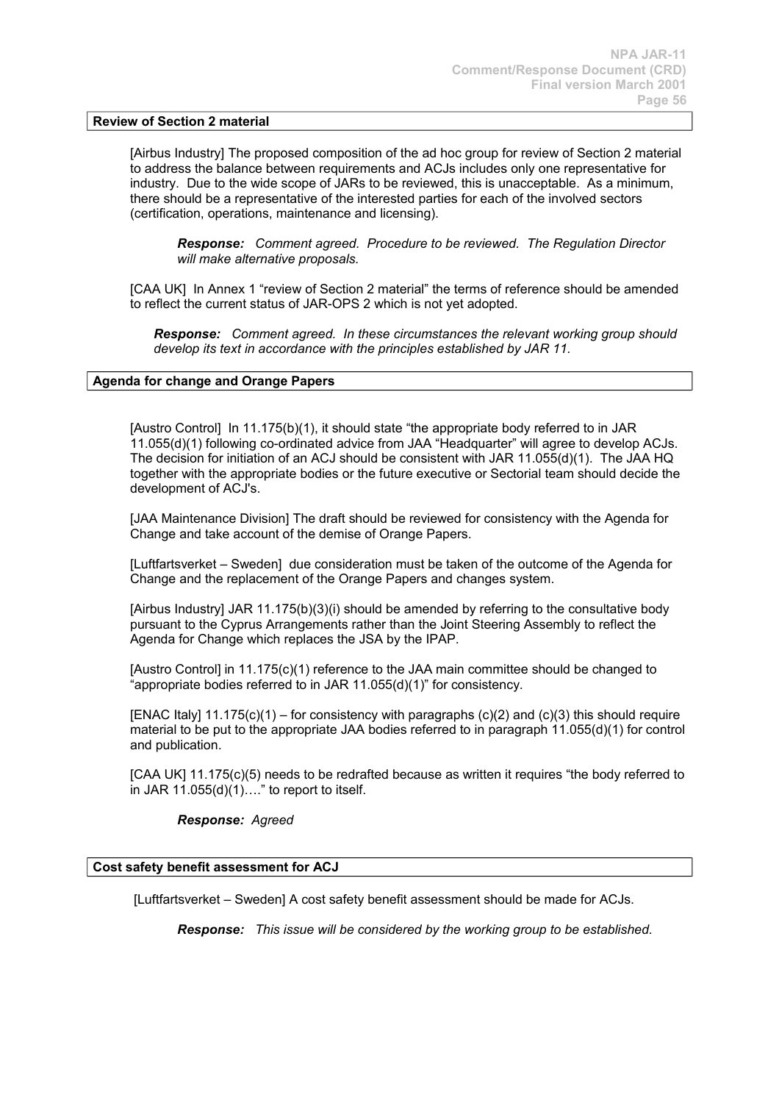### **Review of Section 2 material**

[Airbus Industry] The proposed composition of the ad hoc group for review of Section 2 material to address the balance between requirements and ACJs includes only one representative for industry. Due to the wide scope of JARs to be reviewed, this is unacceptable. As a minimum, there should be a representative of the interested parties for each of the involved sectors (certification, operations, maintenance and licensing).

*Response: Comment agreed. Procedure to be reviewed. The Regulation Director will make alternative proposals.*

[CAA UK] In Annex 1 "review of Section 2 material" the terms of reference should be amended to reflect the current status of JAR-OPS 2 which is not yet adopted.

*Response: Comment agreed. In these circumstances the relevant working group should develop its text in accordance with the principles established by JAR 11.*

### **Agenda for change and Orange Papers**

[Austro Control] In 11.175(b)(1), it should state "the appropriate body referred to in JAR 11.055(d)(1) following co-ordinated advice from JAA "Headquarter" will agree to develop ACJs. The decision for initiation of an ACJ should be consistent with JAR 11.055(d)(1). The JAA HQ together with the appropriate bodies or the future executive or Sectorial team should decide the development of ACJ's.

[JAA Maintenance Division] The draft should be reviewed for consistency with the Agenda for Change and take account of the demise of Orange Papers.

[Luftfartsverket – Sweden] due consideration must be taken of the outcome of the Agenda for Change and the replacement of the Orange Papers and changes system.

[Airbus Industry] JAR 11.175(b)(3)(i) should be amended by referring to the consultative body pursuant to the Cyprus Arrangements rather than the Joint Steering Assembly to reflect the Agenda for Change which replaces the JSA by the IPAP.

[Austro Control] in 11.175(c)(1) reference to the JAA main committee should be changed to "appropriate bodies referred to in JAR 11.055(d)(1)" for consistency.

[ENAC Italy]  $11.175(c)(1)$  – for consistency with paragraphs (c)(2) and (c)(3) this should require material to be put to the appropriate JAA bodies referred to in paragraph 11.055(d)(1) for control and publication.

[CAA UK] 11.175(c)(5) needs to be redrafted because as written it requires "the body referred to in JAR  $11.055(d)(1)...$ " to report to itself.

### *Response: Agreed*

### **Cost safety benefit assessment for ACJ**

[Luftfartsverket – Sweden] A cost safety benefit assessment should be made for ACJs.

*Response: This issue will be considered by the working group to be established.*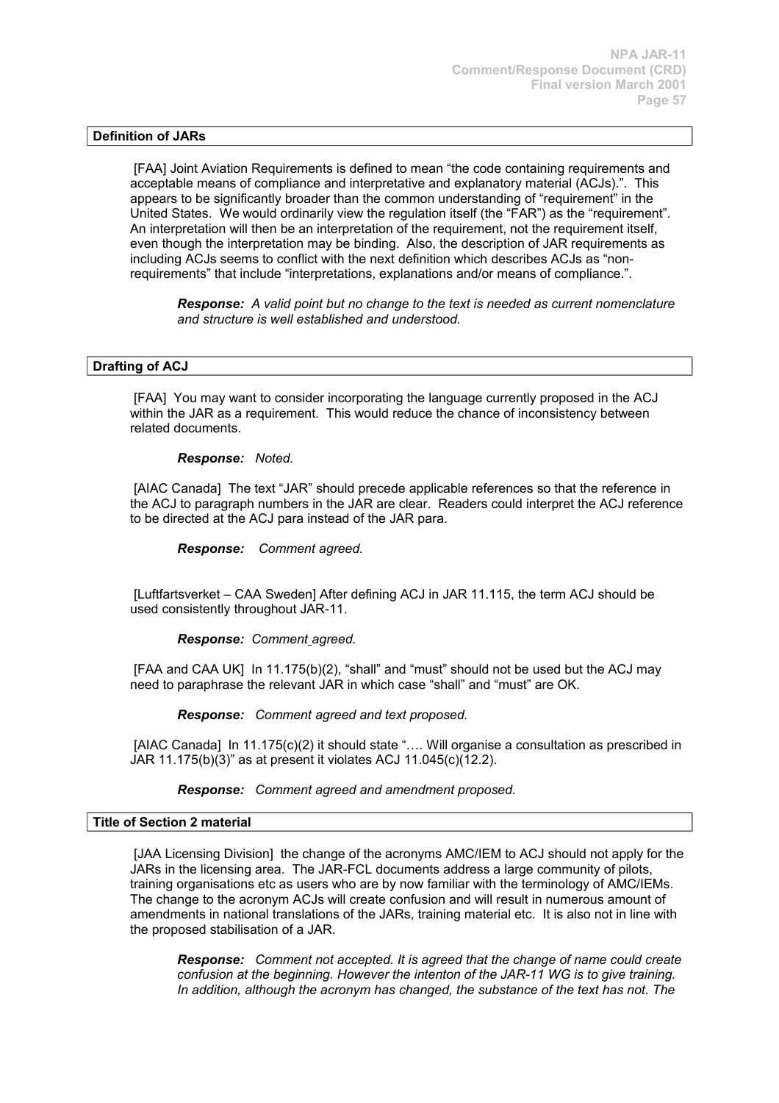# **Definition of JARs**

[FAA] Joint Aviation Requirements is defined to mean "the code containing requirements and acceptable means of compliance and interpretative and explanatory material (ACJs).". This appears to be significantly broader than the common understanding of "requirement" in the United States. We would ordinarily view the regulation itself (the "FAR") as the "requirement". An interpretation will then be an interpretation of the requirement, not the requirement itself, even though the interpretation may be binding. Also, the description of JAR requirements as including ACJs seems to conflict with the next definition which describes ACJs as "nonrequirements" that include "interpretations, explanations and/or means of compliance.".

*Response: A valid point but no change to the text is needed as current nomenclature and structure is well established and understood.* 

### **Drafting of ACJ**

[FAA] You may want to consider incorporating the language currently proposed in the ACJ within the JAR as a requirement. This would reduce the chance of inconsistency between related documents.

### *Response: Noted.*

[AIAC Canada] The text "JAR" should precede applicable references so that the reference in the ACJ to paragraph numbers in the JAR are clear. Readers could interpret the ACJ reference to be directed at the ACJ para instead of the JAR para.

*Response: Comment agreed.*

[Luftfartsverket – CAA Sweden] After defining ACJ in JAR 11.115, the term ACJ should be used consistently throughout JAR-11.

### *Response: Comment agreed.*

[FAA and CAA UK] In 11.175(b)(2), "shall" and "must" should not be used but the ACJ may need to paraphrase the relevant JAR in which case "shall" and "must" are OK.

*Response: Comment agreed and text proposed.*

[AIAC Canada] In 11.175(c)(2) it should state ".... Will organise a consultation as prescribed in JAR 11.175(b)(3)" as at present it violates ACJ 11.045(c)(12.2).

### *Response: Comment agreed and amendment proposed.*

### **Title of Section 2 material**

[JAA Licensing Division] the change of the acronyms AMC/IEM to ACJ should not apply for the JARs in the licensing area. The JAR-FCL documents address a large community of pilots, training organisations etc as users who are by now familiar with the terminology of AMC/IEMs. The change to the acronym ACJs will create confusion and will result in numerous amount of amendments in national translations of the JARs, training material etc. It is also not in line with the proposed stabilisation of a JAR.

*Response: Comment not accepted. It is agreed that the change of name could create confusion at the beginning. However the intenton of the JAR-11 WG is to give training. In addition, although the acronym has changed, the substance of the text has not. The*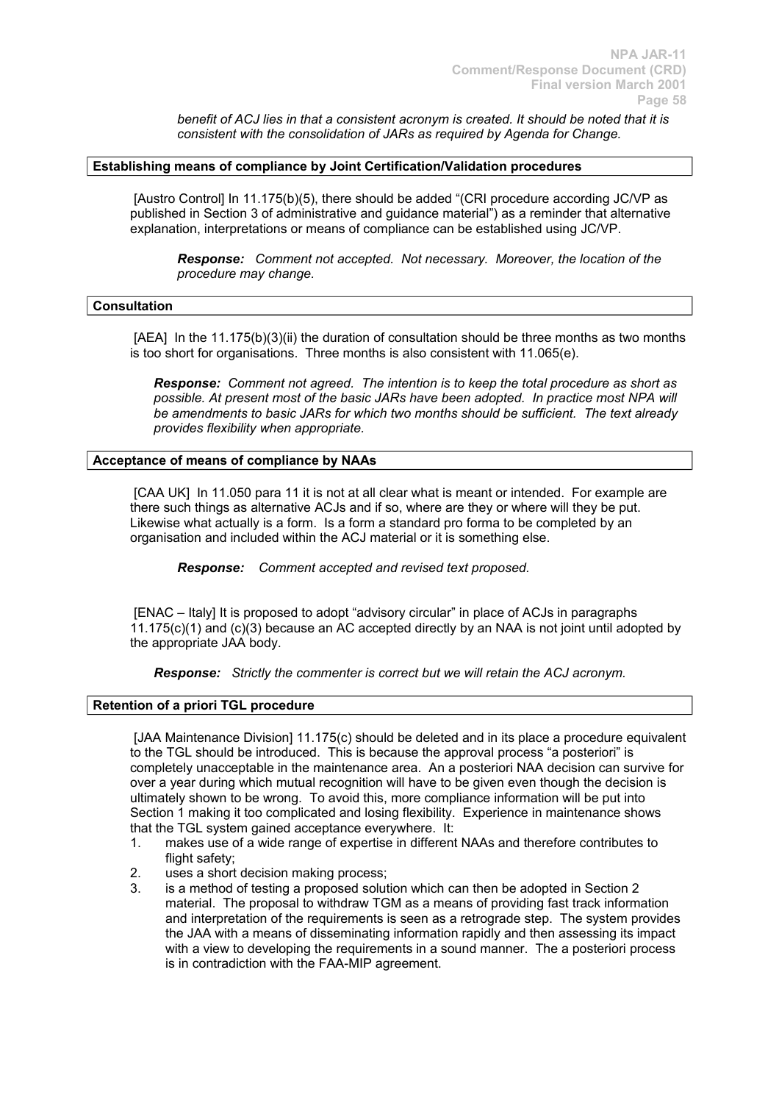*benefit of ACJ lies in that a consistent acronym is created. It should be noted that it is consistent with the consolidation of JARs as required by Agenda for Change.*

### **Establishing means of compliance by Joint Certification/Validation procedures**

[Austro Control] In 11.175(b)(5), there should be added "(CRI procedure according JC/VP as published in Section 3 of administrative and guidance material") as a reminder that alternative explanation, interpretations or means of compliance can be established using JC/VP.

*Response: Comment not accepted. Not necessary. Moreover, the location of the procedure may change.*

#### **Consultation**

[AEA] In the 11.175(b)(3)(ii) the duration of consultation should be three months as two months is too short for organisations. Three months is also consistent with 11.065(e).

*Response: Comment not agreed. The intention is to keep the total procedure as short as possible. At present most of the basic JARs have been adopted. In practice most NPA will be amendments to basic JARs for which two months should be sufficient. The text already provides flexibility when appropriate.* 

### **Acceptance of means of compliance by NAAs**

[CAA UK] In 11.050 para 11 it is not at all clear what is meant or intended. For example are there such things as alternative ACJs and if so, where are they or where will they be put. Likewise what actually is a form. Is a form a standard pro forma to be completed by an organisation and included within the ACJ material or it is something else.

*Response: Comment accepted and revised text proposed.*

[ENAC – Italy] It is proposed to adopt "advisory circular" in place of ACJs in paragraphs  $11.175(c)(1)$  and  $(c)(3)$  because an AC accepted directly by an NAA is not joint until adopted by the appropriate JAA body.

*Response: Strictly the commenter is correct but we will retain the ACJ acronym.*

# **Retention of a priori TGL procedure**

[JAA Maintenance Division] 11.175(c) should be deleted and in its place a procedure equivalent to the TGL should be introduced. This is because the approval process "a posteriori" is completely unacceptable in the maintenance area. An a posteriori NAA decision can survive for over a year during which mutual recognition will have to be given even though the decision is ultimately shown to be wrong. To avoid this, more compliance information will be put into Section 1 making it too complicated and losing flexibility. Experience in maintenance shows that the TGL system gained acceptance everywhere. It:

- 1. makes use of a wide range of expertise in different NAAs and therefore contributes to flight safety:
- 2. uses a short decision making process;
- 3. is a method of testing a proposed solution which can then be adopted in Section 2 material. The proposal to withdraw TGM as a means of providing fast track information and interpretation of the requirements is seen as a retrograde step. The system provides the JAA with a means of disseminating information rapidly and then assessing its impact with a view to developing the requirements in a sound manner. The a posteriori process is in contradiction with the FAA-MIP agreement.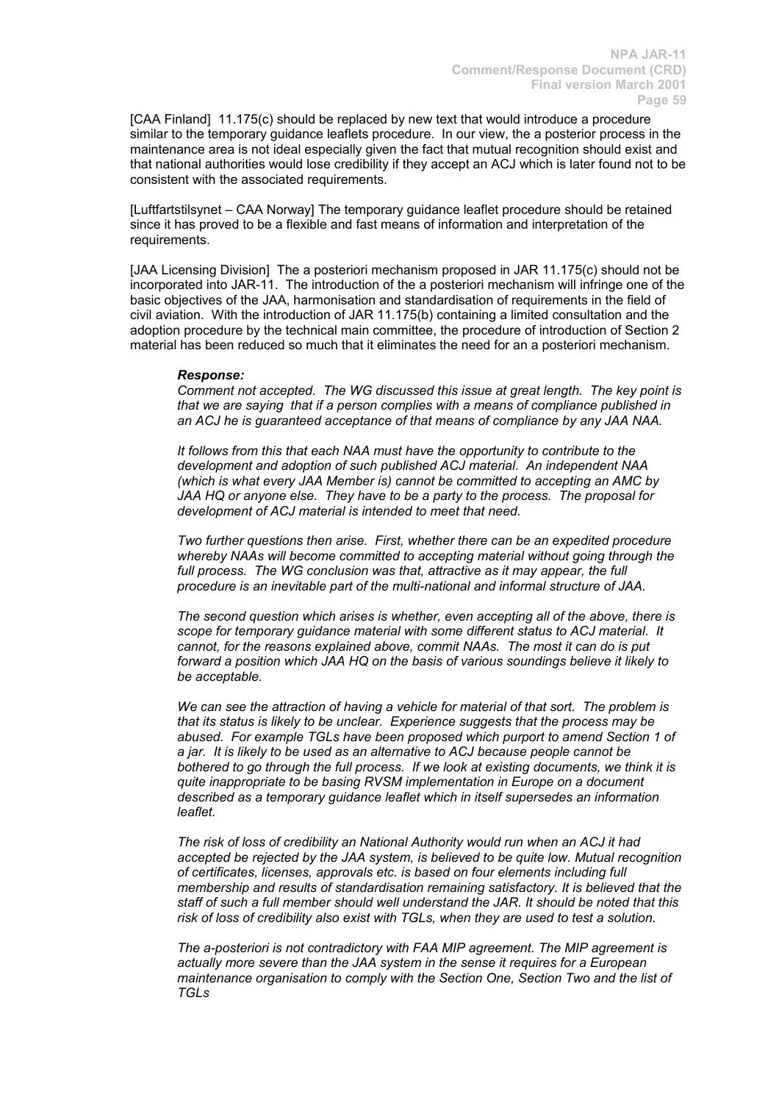[CAA Finland] 11.175(c) should be replaced by new text that would introduce a procedure similar to the temporary guidance leaflets procedure. In our view, the a posterior process in the maintenance area is not ideal especially given the fact that mutual recognition should exist and that national authorities would lose credibility if they accept an ACJ which is later found not to be consistent with the associated requirements.

[Luftfartstilsynet – CAA Norway] The temporary guidance leaflet procedure should be retained since it has proved to be a flexible and fast means of information and interpretation of the requirements.

[JAA Licensing Division] The a posteriori mechanism proposed in JAR 11.175(c) should not be incorporated into JAR-11. The introduction of the a posteriori mechanism will infringe one of the basic objectives of the JAA, harmonisation and standardisation of requirements in the field of civil aviation. With the introduction of JAR 11.175(b) containing a limited consultation and the adoption procedure by the technical main committee, the procedure of introduction of Section 2 material has been reduced so much that it eliminates the need for an a posteriori mechanism.

### *Response:*

*Comment not accepted. The WG discussed this issue at great length. The key point is that we are saying that if a person complies with a means of compliance published in an ACJ he is guaranteed acceptance of that means of compliance by any JAA NAA.*

*It follows from this that each NAA must have the opportunity to contribute to the development and adoption of such published ACJ material. An independent NAA (which is what every JAA Member is) cannot be committed to accepting an AMC by JAA HQ or anyone else. They have to be a party to the process. The proposal for development of ACJ material is intended to meet that need.*

*Two further questions then arise. First, whether there can be an expedited procedure whereby NAAs will become committed to accepting material without going through the*  full process. The WG conclusion was that, attractive as it may appear, the full *procedure is an inevitable part of the multi-national and informal structure of JAA.*

*The second question which arises is whether, even accepting all of the above, there is scope for temporary guidance material with some different status to ACJ material. It cannot, for the reasons explained above, commit NAAs. The most it can do is put forward a position which JAA HQ on the basis of various soundings believe it likely to be acceptable.* 

*We can see the attraction of having a vehicle for material of that sort. The problem is that its status is likely to be unclear. Experience suggests that the process may be abused. For example TGLs have been proposed which purport to amend Section 1 of a jar. It is likely to be used as an alternative to ACJ because people cannot be bothered to go through the full process. If we look at existing documents, we think it is quite inappropriate to be basing RVSM implementation in Europe on a document described as a temporary guidance leaflet which in itself supersedes an information leaflet.*

*The risk of loss of credibility an National Authority would run when an ACJ it had accepted be rejected by the JAA system, is believed to be quite low. Mutual recognition of certificates, licenses, approvals etc. is based on four elements including full membership and results of standardisation remaining satisfactory. It is believed that the staff of such a full member should well understand the JAR. It should be noted that this risk of loss of credibility also exist with TGLs, when they are used to test a solution.*

*The a-posteriori is not contradictory with FAA MIP agreement. The MIP agreement is actually more severe than the JAA system in the sense it requires for a European maintenance organisation to comply with the Section One, Section Two and the list of TGLs*